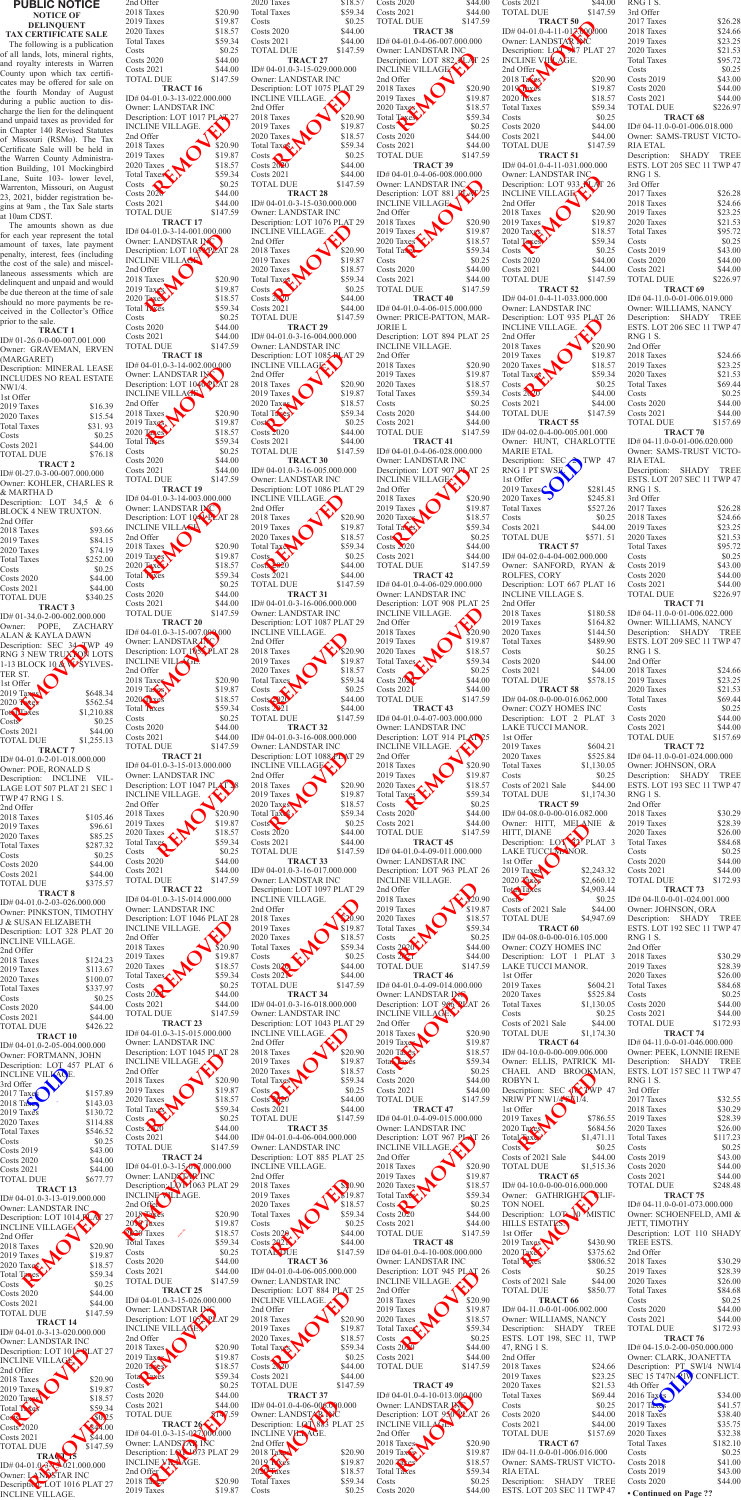## **PUBLIC NOTICE NOTICE OF DELINQUENT TAX CERTIFICATE SALE**

The following is a publication of all lands, lots, mineral rights, and royalty interests in Warren County upon which tax certificates may be offered for sale on the fourth Monday of August during a public auction to discharge the lien for the delinquent and unpaid taxes as provided for in Chapter 140 Revised Statutes of Missouri (RSMo). The Tax Certificate Sale will be held in the Warren County Administration Building, 101 Mockingbird Lane, Suite 103- lower level, Warrenton, Missouri, on August 23, 2021, bidder registration begins at 9am , the Tax Sale starts at 10am CDST.

**TRACT 3** ID# 01-34.0-2-00-002.000.000 Owner: POPE, ZACHARY ALAN & KAYLA DAWN Description: SEC 34 TWP 49 RNG 3 NEW TRUXTON LOTS 1-13 BLOCK 10 & WSYLVES-TER ST. 1st Offer 2019 Taxes \$648.34 2020 Taxes \$562.54  $Tot$ **Taxes**  $$1,210.88$  $\text{Costs}$   $\text{*}0.25$ Costs 2021 \$44.00<br>TOTAL DUE \$1,255.13 Scription: SEC 34<br>
NG 3 NEW TRUX OF 3<br>
13 BLOCK 10 A WSY<br>
13 REMOVED A WSY<br>
TO Tays<br>
20 Keep<br>
SURGER S<br>
11,

The amounts shown as due for each year represent the total amount of taxes, late payment penalty, interest, fees (including the cost of the sale) and miscellaneous assessments which are delinquent and unpaid and would be due thereon at the time of sale should no more payments be received in the Collector's Office prior to the sale.

TOTAL DUE \$1,255.13 **TRACT 7** ID# 04-01.0-2-01-018.000.000 Owner: POE, RONALD S Description: INCLINE VIL-LAGE LOT 507 PLAT 21 SEC 1 TWP 47 RNG 1 S. 2nd Offer 2018 Taxes \$105.46<br>2019 Taxes \$96.61 2019 Taxes \$96.61 2020 Taxes \$85.25 Total Taxes \$287.32<br>Costs \$0.25  $$0.25$ <br> $$44.00$ Costs 2020<br>
Costs 2021 \$44.00 Costs 2021 \$44.00<br>TOTAL DUE \$375.57 TOTAL DUE

**TRACT 1** ID# 01-26.0-0-00-007.001.000 Owner: GRAVEMAN, ERVEN (MARGARET)

| (MARUAREI)                     |         |
|--------------------------------|---------|
| Description: MINERAL LEASE     |         |
| <b>INCLUDES NO REAL ESTATE</b> |         |
| NW1/4.                         |         |
| 1st Offer                      |         |
| 2019 Taxes                     | \$16.39 |
| 2020 Taxes                     | \$15.54 |
| <b>Total Taxes</b>             | \$31.93 |
| Costs                          | \$0.25  |
| $\text{Costs } 2021$           | \$44.00 |
| <b>TOTAL DUE</b>               | \$76.18 |
| <b>TRACT 2</b>                 |         |
| ID# 01-27.0-3-00-007.000.000   |         |
| Owner: KOHLER, CHARLES R       |         |
| & MARTHA D                     |         |
|                                |         |

| Description: LOT $34.5 \&$  |  |          | 6 |
|-----------------------------|--|----------|---|
| <b>BLOCK 4 NEW TRUXTON.</b> |  |          |   |
| 2nd Offer                   |  |          |   |
| 2018 Taxes                  |  | \$93.66  |   |
| 2019 Taxes                  |  | \$84.15  |   |
| 2020 Taxes                  |  | \$74.19  |   |
| <b>Total Taxes</b>          |  | \$252.00 |   |
| Costs                       |  | \$0.25   |   |
| Costs 2020                  |  | \$44.00  |   |
| <b>Costs 2021</b>           |  | \$44.00  |   |
| TOTAL DUE                   |  | \$340.25 |   |
|                             |  |          |   |

**TRACT 8**  ID# 04-01.0-2-03-026.000.000

INCLINE VILLAGE.

|                                                     | Owner: PINKSTON, TIMOTHY |                  |
|-----------------------------------------------------|--------------------------|------------------|
| J & SUSAN ELIZABETH                                 |                          | Descriptio       |
| Description: LOT 328 PLAT 20                        |                          | <b>INCLINE</b>   |
| <b>INCLINE VILLAGE.</b>                             |                          | 2nd Offer        |
| 2nd Offer                                           |                          | 2018 Tax         |
| 2018 Taxes                                          |                          | 2019 Tax         |
|                                                     | \$124.23                 | 2020 Tax         |
| 2019 Taxes                                          | \$113.67                 | <b>Total Tax</b> |
| 2020 Taxes                                          | \$100.07                 | Costs            |
| <b>Total Taxes</b>                                  | \$337.97                 | Costs 202        |
| Costs                                               | \$0.25                   |                  |
| <b>Costs 2020</b>                                   | \$44.00                  | Costs 202        |
| <b>Costs 2021</b>                                   | \$44.00                  | <b>TOTAL I</b>   |
| <b>TOTAL DUE</b>                                    | \$426.22                 |                  |
| <b>TRACT 10</b>                                     |                          | ID# 04-0         |
| ID#04-01.0-2-05-004.000.000                         |                          | Owner: L         |
|                                                     |                          | Descriptio       |
| Owner: FORTMANN, JOHN                               |                          | <b>INCLINE</b>   |
| Description: LOT 457 PLAT 6                         |                          | 2nd Offer        |
| INCLINE VILLACE.                                    |                          | 2018 Tax         |
| 3rd Offer                                           |                          |                  |
| $2017$ Taxes                                        | \$157.89                 | 2019 Tax         |
| $2018$ Takes                                        | \$143.03                 | 2020 Tax         |
| 2019 Taxes                                          | \$130.72                 | <b>Total Tax</b> |
| 2020 Taxes                                          | \$114.88                 | Costs            |
| <b>Total Taxes</b>                                  | \$546.52                 | Costs 20         |
|                                                     |                          | Costs 202        |
| Costs                                               | \$0.25                   | <b>TOTAL I</b>   |
| <b>Costs 2019</b>                                   | \$43.00                  |                  |
| <b>Costs 2020</b>                                   | \$44.00                  |                  |
| <b>Costs 2021</b>                                   | \$44.00                  | ID# 04-0         |
| <b>TOTAL DUE</b>                                    | \$677.77                 | Owner: L         |
| <b>TRACT 13</b>                                     |                          | Descriptio       |
| ID# 04-01.0-3-13-019.000.000                        |                          | <b>INCLINE</b>   |
|                                                     |                          |                  |
|                                                     |                          | 2nd Offer        |
| Owner: LANDSTAR INC                                 |                          |                  |
| Description: LOT 1014 K AT 27                       |                          | 2018 Tak         |
| INCLINE VILLAGE                                     |                          |                  |
| 2nd Offer                                           |                          | 2018 Tax         |
| 2018 Taxes                                          | \$20.90                  | <b>Total Tax</b> |
| 2019 Taxes                                          | \$19.87                  | Costs            |
|                                                     | \$18.57                  | Costs 202        |
| $2020$ Taxes                                        |                          | Costs 202        |
| Total Tanes                                         | \$59.34                  | <b>TOTAL I</b>   |
| Costs                                               | \$0.25                   |                  |
| <b>Costs 2020</b>                                   | \$44.00                  | ID# 04-0         |
| <b>Costs 2021</b>                                   | \$44.00                  | Owner: L         |
| <b>TOTAL DUE</b>                                    | \$147.59                 |                  |
| <b>TRACT 14</b>                                     |                          | Descriptio       |
| ID# 04-01.0-3-13-020.000.000                        |                          | <b>INCLINE</b>   |
| Owner: LANDSTAR INC                                 |                          | 2nd Offer        |
| Description: LOT 1015 PLAT 27                       |                          | 2018 Tax         |
| INCLINE VILLAGE.                                    |                          | 2019 Tax         |
|                                                     |                          | $2020$ Tay       |
| 2nd Offer                                           |                          | Tota Lay         |
| 2018 Taxes                                          | \$20.90                  | Costs            |
| 2019 Taxes                                          | \$19.87                  | Costs 202        |
| 2020 Taxes                                          | \$18.57                  |                  |
| Total Traces                                        | \$59.34                  | Costs 202        |
| $\cos \theta$                                       | \$0.25                   | <b>TOTAL I</b>   |
| <b>Costs 2020</b>                                   | 844.00                   |                  |
| <b>Costs 2021</b>                                   | \$44.00                  | ID# 04-0         |
| <b>TOTAL DUE</b>                                    | \$147.59                 | Owner: L         |
|                                                     |                          | Descriptio       |
| TRACT TS                                            |                          | <b>INCLINE</b>   |
| ID# 04-01.0-3- $\sqrt{021.000.000}$                 |                          | 2nd Offer        |
| Owner: LANDSTAR INC<br>Description LOT 1016 PLAT 27 |                          | $2018$ Table     |

| 2nd Offer<br>2018 Taxes                                                             | \$20.90                        | 2020<br>Total          |
|-------------------------------------------------------------------------------------|--------------------------------|------------------------|
| 2019 Taxes<br>2020 Taxes                                                            | \$19.87<br>\$18.57             | Costs<br>Costs         |
| <b>Total Taxes</b><br>Costs                                                         | \$59.34<br>\$0.25              | Costs<br><b>TOTA</b>   |
| <b>Costs 2020</b><br><b>Costs 2021</b>                                              | \$44.00<br>\$44.00             | ID#0                   |
| <b>TOTAL DUE</b><br><b>TRACT 16</b>                                                 | \$147.59                       | Owne<br>Descr          |
| ID#04-01.0-3-13-022.000.000<br>Owner: LANDSTAR INC                                  |                                | <b>INCL</b><br>2nd C   |
| Description: LOT 1017 PLAT 27<br><b>INCLINE VILLAGE.</b>                            |                                | 2018<br>2019           |
| 2nd Offer<br>2018 Taxes                                                             | \$20.90                        | 2020<br>Total          |
| 2019 Taxes<br>2020 Taxes                                                            | \$19.87<br>\$18.57             | Costs                  |
| Total Taxes<br>A                                                                    | \$59.34<br>\$0.25              | Costs<br>Costs<br>TOTA |
| Costs<br>Costs $202\sigma$                                                          | \$44.00                        |                        |
| <b>Costs 2021</b><br><b>TOTAL DUE</b>                                               | \$44.00<br>\$147.59            | ID#0<br>Owne           |
| <b>TRACT 17</b><br>ID# 04-01.0-3-14-001.000.000                                     |                                | Descr<br><b>INCL</b>   |
| Owner: LANDSTAR INC<br>Description: LOT 106 PLAT 28                                 |                                | 2nd C<br>2018          |
| INCLINE VILLAGE<br>2nd Offer                                                        |                                | 2019<br>2020           |
| 2018 Taxes<br>2019 Taxes                                                            | \$20.90<br>\$19.87             | Total<br>Costs         |
| 2020 <b>Lyes</b><br>Total Twes                                                      | \$18.57<br>\$59.34             | Costs<br>Costs         |
| Costs<br><b>Costs 2020</b>                                                          | \$0.25<br>\$44.00              | TOTA                   |
| <b>Costs 2021</b><br><b>TOTAL DUE</b>                                               | \$44.00<br>\$147.59            | ID#0<br>Owne           |
| <b>TRACT 18</b><br>ID#04-01.0-3-14-002.000.000                                      |                                | Descr<br><b>INCL</b>   |
| Owner: LANDSTAR INC<br>Description: LOT 1040 PLAT 28                                |                                | 2nd C<br>2018          |
| <b>INCLINE VILLAGE</b><br>2nd Offer                                                 |                                | 2019<br>2020           |
| 2018 Taxes<br>2019 Taxes                                                            | \$20.90<br>\$19.87             | Total<br>Cost          |
| 2020 La es<br>Total Taxes                                                           | \$18.57<br>\$59.34             | Costs<br>Costs         |
| Costs<br><b>Costs 2020</b>                                                          | \$0.25<br>\$44.00              | ГОТА                   |
| <b>Costs 2021</b><br><b>TOTAL DUE</b>                                               | \$44.00<br>\$147.59            | ID#0<br>Owne           |
| <b>TRACT 19</b><br>ID#04-01.0-3-14-003.000.000                                      |                                | Descr<br>INCL          |
| Owner: LANDSTAR INC<br>Description: LOT 1042RZAT 28                                 |                                | 2nd C<br>2018          |
| <b>INCLINE VILLAGE</b><br>2nd Offer                                                 |                                | 2019<br>2020           |
| 2018 Taxes<br>$2019$ Taxes                                                          | \$20.90<br>\$19.87             | Total<br><b>Costs</b>  |
| 2020 Taxe<br>Total <b>x</b> es                                                      | \$18.57<br>\$59.34             | Cost<br>Costs          |
| Costs<br><b>Costs 2020</b>                                                          | \$0.25<br>\$44.00              | TOTA                   |
| <b>Costs 2021</b><br><b>TOTAL DUE</b>                                               | \$44.00<br>\$147.59            | ID#0<br>Owne           |
| <b>TRACT 20</b><br>ID#04-01.0-3-15-007.000.000                                      |                                | Descr<br><b>INCL</b>   |
| Owner: LANDSTARANC<br>Description: LOT <sub>4</sub> 105 PLAT 28                     |                                | 2nd C<br>2018          |
| INCLINE VILLAGE.                                                                    |                                | 2019'                  |
| 2nd Offer<br>2018 Taxes                                                             | \$20.90                        | 2020<br>Total          |
| 2019 Taxes<br>2020 T xes                                                            | \$19.87<br>\$18.57             | Costs<br>Costs         |
| Total Taxes<br>Costs                                                                | \$59.34<br>\$0.25              | Costs<br><b>TOTA</b>   |
| <b>Costs 2020</b><br><b>Costs 2021</b>                                              | \$44.00<br>\$44.00             | ID#0                   |
| <b>TOTAL DUE</b><br><b>TRACT 21</b>                                                 | \$147.59                       | Owne<br>Descr          |
| ID# 04-01.0-3-15-013.000.000<br>Owner: LANDSTAR INC<br>Description: LOT 1047 PLAT 3 |                                | INCL<br>2nd C<br>2018  |
| <b>INCLINE VILLAGE.</b><br>2nd Offer                                                |                                | 2019<br>2020           |
| 2018 Taxes<br>2019 Taxes                                                            | \$20.90<br>\$19.87             | Total<br>Costs         |
| 2020 Taxes<br><b>Total Taxes</b>                                                    | \$18.57<br>\$59.34             | Costs<br>Costs         |
| Costs<br><b>Costs 2020</b>                                                          | \$0.25<br>\$44.00              | <b>TOTA</b>            |
| <b>Costs 2021</b><br><b>TOTAL DUE</b>                                               | \$44.00<br>\$147.59            | ID#0<br>Owne           |
| <b>TRACT 22</b><br>ID#04-01.0-3-15-014.000.000                                      |                                | Descr<br><b>INCL</b>   |
| Owner: LANDSTAR INC<br>Description: LOT 1046 PLAT 28                                |                                | 2nd C<br>2018          |
| <b>INCLINE VILLAGE.</b><br>2nd Offer                                                |                                | 2019<br>2020           |
| 2018 Taxes<br>2019 Taxes                                                            | \$20.90<br>\$19.87             | Total<br>Costs         |
| 2020 Taxes<br><b>Total Taxes</b>                                                    | \$18.57<br>\$59.34             | Costs<br>Costs         |
| Costs                                                                               | \$0.25                         | TOTA                   |
| $\text{Costs } 2020$<br><b>Costs 2021</b><br><b>TOTAL DUE</b>                       | \$44.00<br>\$44.00<br>\$147.59 | ID#0<br>Owne           |
| <b>TRACT 23</b><br>ID# 04-01.0-3-15-015.000.000                                     |                                | Descr<br><b>INCL</b>   |
| Owner: LANDSTAR INC<br>Description: LOT 1045 PLAT 28                                |                                | 2nd C<br>2018          |
| INCLINE VILLAGE.<br>2nd Offer                                                       |                                | 2019'<br>2020          |
| 2018 Taxes<br>2019 Taxes                                                            | \$20.90<br>\$19.87             | Total<br>Costs         |
| 2020 Taxes                                                                          | \$18.57                        | Costs                  |
| Total Taxes<br>Costs<br>Costs 2.20                                                  | \$59.34<br>\$0.25<br>\$44.00   | Costs<br><b>TOTA</b>   |
| <b>Costs 2021</b>                                                                   | \$44.00                        | ID#0                   |
| <b>TOTAL DUE</b><br><b>TRACT 24</b>                                                 | \$147.59                       | Owne<br>Descr          |
| ID# 04-01.0-3-15-017.000.000<br>Owner: LANDSTAR INC                                 |                                | <b>INCL</b><br>2nd C   |
| Description: LOM063 PLAT 29<br>INCLINE WILLAGE.                                     |                                | 2018<br>2019'          |
| 2nd Offer<br>2018 Takes                                                             | \$20.90                        | 2020<br>Total          |
| 2019 Taxes<br>2.29 Taxes                                                            | \$19.87<br>\$18.57             | Costs<br>Costs         |
| <b>Total Taxes</b><br>Costs                                                         | \$59.34<br>\$0.25              | Costs<br>TOTA          |
| <b>Costs 2020</b><br><b>Costs 2021</b>                                              | \$44.00<br>\$44.00             | ID#0                   |
| <b>TOTAL DUE</b><br><b>TRACT 25</b>                                                 | \$147.59                       | Owne<br>Descr          |
| ID# 04-01.0-3-15-026.000.000<br>Owner: LANDSTAR ING                                 |                                | <b>INCL</b><br>2nd C   |
| Description: LOT 1072PLAT 29<br><b>INCLINE VILLAGE.</b>                             |                                | 2018<br>2019           |
| 2nd Offer<br>2018 Taxes                                                             | \$20.90                        | 2020<br>Total          |
| $2019$ Taxes<br>2020 Taves                                                          | \$19.87<br>\$18.57             | Costs<br>Costs         |
| Tota <b>Layes</b><br>Costs                                                          | \$59.34<br>\$0.25              | Costs<br>ТОТА          |
| Costs 2020<br><b>Costs 2021</b>                                                     | \$44.00<br>\$44.00             | ID#0                   |
| <b>TOTAL DUE</b><br>TRACT 26                                                        | 8147.59                        | Owne<br>Descr          |
| ID# 04-01.0-3-15-027.000.000<br>Owner: LANDSTAN INC                                 |                                | <b>INCL</b><br>2nd C   |
| Description: LON 1873 PLAT 29<br>AGE.<br>INCLINE VI                                 |                                | 2018′<br>2019'         |
|                                                                                     |                                |                        |
| 2nd Offer<br>2018 Tax<br>2019 Taxes                                                 | \$20.90<br>\$19.87             | 2020<br>Total<br>Costs |

| 2020 Taxes<br><b>Total Taxes</b><br>Costs                                            | \$18.57<br>\$59.34<br>\$0.25   | C<br>C<br>T                                        |
|--------------------------------------------------------------------------------------|--------------------------------|----------------------------------------------------|
| <b>Costs 2020</b><br><b>Costs 2021</b><br><b>TOTAL DUE</b>                           | \$44.00<br>\$44.00<br>\$147.59 | П<br>C                                             |
| <b>TRACT 27</b><br>ID# 04-01.0-3-15-029.000.000                                      |                                | Г<br>П                                             |
| Owner: LANDSTAR INC<br>Description: LOT 1075 PLAT 29<br><b>INCLINE VILLAGE.</b>      |                                | $\overline{c}$<br>$\overline{c}$<br>$\overline{c}$ |
| 2nd Offer<br>2018 Taxes                                                              | \$20.90                        | 2<br>Τ                                             |
| 2019 Taxes<br>2020 Taxes<br>Total Taxes                                              | \$19.87<br>\$18.57<br>\$59.34  | $\mathcal{C}$<br>$\mathsf{C}$<br>C                 |
| Costs $\angle$<br>Costs 2020                                                         | \$0.25<br>\$44.00              | T                                                  |
| <b>Costs 2021</b><br><b>TOTAL DUE</b><br><b>TRACT 28</b>                             | \$44.00<br>\$147.59            | П<br>$\overline{C}$<br>Г                           |
| ID# 04-01.0-3-15-030.000.000<br>Owner: LANDSTAR INC                                  |                                | П<br>2                                             |
| Description: LOT 1076 PLAT 29<br>INCLINE VILLAGE.<br>2nd Offer                       |                                | 2<br>$\overline{c}$<br>$\overline{c}$              |
| 2018 Taxes<br>2019 Taxes                                                             | \$20.90<br>\$19.87             | Τ<br>C                                             |
| 2020 Taxes<br>Total Taxes<br>Costs                                                   | \$18.57<br>\$59.34<br>\$0.25   | C<br>C<br>T                                        |
| Costs $2020$<br><b>Costs 2021</b>                                                    | \$44.00<br>\$44.00             | П                                                  |
| <b>TOTAL DUE</b><br><b>TRACT 29</b><br>ID# 04-01.0-3-16-004.000.000                  | \$147.59                       | C<br>J(<br>Г                                       |
| Owner: LANDSTAR INC<br>Description: LOT 1085 PLAT 29                                 |                                | П<br>2                                             |
| <b>INCLINE VILLAGE</b><br>2nd Offer<br>2018 Taxes                                    | \$20.90                        | $\overline{c}$<br>$\overline{c}$<br>2              |
| 2019 Taxes<br>2020 Taxes                                                             | \$19.87<br>\$18.57             | T<br>C                                             |
| Total Takes<br>Cost<br><b>Costs 2020</b>                                             | \$59.34<br>\$0.25<br>\$44.00   | $\mathsf{C}$<br>C<br>T                             |
| <b>Costs 2021</b><br><b>TOTAL DUE</b>                                                | \$44.00<br>\$147.59            | $\prod$                                            |
| <b>TRACT 30</b><br>ID#04-01.0-3-16-005.000.000<br>Owner: LANDSTAR INC                |                                | C<br>Г<br>П                                        |
| Description: LOT 1086 PLAT 29<br><b>INCLINE VILLAGE.</b>                             |                                | $\overline{c}$<br>2                                |
| 2nd Offer<br>2018 Taxes<br>2019 Taxes                                                | \$20.90<br>\$19.87             | $\overline{c}$<br>$\overline{c}$<br>T              |
| 2020 Taxes<br>Total Taxes                                                            | \$18.57<br>\$59.34             | $\mathsf{C}$<br>C                                  |
| Costs<br>Cost 2020<br>Costs $2021$                                                   | \$0.25<br>\$44.00<br>\$44.00   | C<br>T                                             |
| <b>TOTAL DUE</b><br><b>TRACT 31</b>                                                  | \$147.59                       | П<br>C                                             |
| ID# 04-01.0-3-16-006.000.000<br>Owner: LANDSTAR INC<br>Description: LOT 1087 PLAT 29 |                                | Г<br>П<br>2                                        |
| <b>INCLINE VILLAGE.</b><br>2nd Offer                                                 |                                | 2<br>$\overline{c}$                                |
| 2018 Taxes<br>2019 Taxes<br>2020 Taxes                                               | \$20.90<br>\$19.87<br>\$18.57  | $\overline{c}$<br>Τ<br>$\mathsf{C}$                |
| <b>Total Taxes</b><br>Costs                                                          | \$59.34<br>\$0.25              | C<br>C                                             |
| $\text{Costs} \geq 20$<br>$\text{Costs}$ $\geq 21$<br><b>TOTAL DUE</b>               | \$44.00<br>\$44.00<br>\$147.59 | T<br>П                                             |
| <b>TRACT 32</b><br>ID# 04-01.0-3-16-008.000.000                                      |                                | C<br>Г                                             |
| Owner: LANDSTAR INC<br>Description: LOT 1088 PLAT 29<br><b>INCLINE VILLAGE</b>       |                                | П<br>2<br>$\overline{c}$                           |
| 2nd Offer<br>2018 Taxes                                                              | \$20.90                        | $\overline{c}$<br>$\overline{c}$                   |
| 2019 Taxes<br>2020 Taxes<br>Total Tax                                                | \$19.87<br>\$18.57<br>\$59.34  | Т<br>$\overline{C}$<br>$\mathsf{C}$                |
| Costs<br>Costs $2020$                                                                | \$0.25<br>\$44.00              | $\mathsf{C}$<br>T                                  |
| <b>Costs 2021</b><br><b>TOTAL DUE</b><br><b>TRACT 33</b>                             | \$44.00<br>\$147.59            | П<br>C                                             |
| ID# 04-01.0-3-16-017.000.000<br>Owner: LANDSTAR INC                                  |                                | $\Gamma$<br>П                                      |
| Description: LOT 1097 PLAT 29<br><b>INCLINE VILLAGE.</b><br>2nd Offer                |                                | $\overline{c}$<br>$\overline{c}$<br>2              |
| 2018 Taxes<br>2019 Taxes<br>2020 Taxes                                               | 20.90<br>\$19.87<br>\$18.57    | 2<br>T<br>$\mathsf{C}$                             |
| <b>Total Taxes</b><br>$\boldsymbol{\zeta}$<br>Costs                                  | \$59.34<br>\$0.25              | C<br>C                                             |
| Costs 2020<br>Costs $202$<br><b>TOTAL DUE</b>                                        | \$44.00<br>\$44.00<br>\$147.59 | T<br>П                                             |
| <b>TRACT 34</b><br>ID# 04-01.0-3-16-018.000.000                                      |                                | C<br>D                                             |
| Owner: LANDSTAR INC<br>Description: LOT 1043 PLAT 29<br>INCLINE VILLAGE.             |                                | П<br>2<br>$\overline{c}$                           |
| 2nd Offer<br>2018 Taxes                                                              | \$20.90                        | $\overline{c}$<br>$\overline{c}$                   |
| 2019 Taxes<br>2020 Taxes<br>Total Taxes                                              | \$19.87<br>\$18.57<br>\$59.34  | T<br>C<br>C                                        |
| Costs<br>Costs <sup>2</sup> 20                                                       | \$0.25<br>\$44.00              | C<br>T                                             |
| Costs $2021$<br><b>TOTAL DUE</b><br><b>TRACT 35</b>                                  | \$44.00<br>\$147.59            | $\prod$<br>C                                       |
| ID# 04-01.0-4-06-004.000.000<br>Owner: LANDSTAR INC                                  |                                | Г<br>П                                             |
| Description: LOT 885 PLAT 25<br><b>INCLINE VILLAGE.</b><br>2nd Offer                 |                                | 2<br>$\overline{c}$<br>$\overline{c}$              |
| 2018 Taxes<br>2019 Taxes                                                             | \$20.90<br>\$19.87             | 2<br>Т                                             |
| 2020 Taxes<br><b>Total Taxes</b><br>Costs                                            | \$18.57<br>\$59.34<br>\$0.25   | C<br>$\mathsf{C}$<br>C                             |
| Costs $2020$<br>Costs $202N$                                                         | \$44.00<br>\$44.00             | T                                                  |
| <b>TOTAL DUE</b><br>TRACT <sub>36</sub><br>ID# 04-01.0-4-06-005.000.000              | \$147.59                       | П<br>C<br>Г                                        |
| Owner: LANDSTAR INC<br>Description: LOT 884 PLAT 25                                  |                                | П<br>$\overline{c}$                                |
| <b>INCLINE VILLAGE.</b><br>2nd Offer<br>2018 Taxes                                   | \$20.90                        | 2<br>2<br>$\overline{c}$                           |
| 2019 Taxes<br>2020 Taxes                                                             | \$19.87<br>\$18.57             | Τ<br>$\mathsf{C}$                                  |
| Total Tax <sub>s</sub><br>Costs<br>Costs 2020                                        | \$59.34<br>\$0.25<br>\$44.00   | $\mathsf{C}$<br>C<br>Т                             |
| <b>Costs 2021</b><br><b>TOTAL DUE</b>                                                | \$44.00<br>\$147.59            |                                                    |
| <b>TRACT 37</b><br>ID#04-01.0-4-06-006.000.000<br>Owner: LANDSTAR NC                 |                                | П<br>C<br>Г                                        |
| Description: LON883 PLAT 25<br>INCLINE VIA AGE.                                      |                                | П<br>$\overline{c}$                                |
| 2nd Offer<br>2018 Tax<br>2019 h xes                                                  | \$20.90<br>\$19.87             | $\overline{c}$<br>$\overline{c}$<br>$\overline{c}$ |
| 20 <sup>20</sup> Taxes<br><b>Total Taxes</b>                                         | \$18.57<br>\$59.34             | T<br>C<br>$\overline{C}$                           |
| Costs                                                                                | \$0.25                         |                                                    |

|                                               |                     | 2020 Taxes                                               | \$18.57             | Costs 2020                                              | \$44.00             | <b>Costs 2021</b>                                                | \$44.00                  | RNG 1 S.                                          |
|-----------------------------------------------|---------------------|----------------------------------------------------------|---------------------|---------------------------------------------------------|---------------------|------------------------------------------------------------------|--------------------------|---------------------------------------------------|
| er<br>ixes<br>ixes                            | \$20.90<br>\$19.87  | <b>Total Taxes</b><br>Costs                              | \$59.34<br>\$0.25   | <b>Costs 2021</b><br><b>TOTAL DUE</b>                   | \$44.00<br>\$147.59 | <b>TOTAL DUE</b><br>TRACT 50                                     | \$147.59                 | 3rd Offer<br>2017 Taxes                           |
| ixes<br>ixes                                  | \$18.57<br>\$59.34  | <b>Costs 2020</b><br><b>Costs 2021</b>                   | \$44.00<br>\$44.00  | <b>TRACT 38</b><br>ID# 04-01.0-4-06-007.000.000         |                     | ID# 04-01.0-4-11-017.000.000<br>Owner: LANDSTAR WC               |                          | 2018 Taxes<br>2019 Taxes                          |
| 020                                           | \$0.25<br>\$44.00   | <b>TOTAL DUE</b><br><b>TRACT 27</b>                      | \$147.59            | Owner: LANDSTAR INC<br>Description: LOT 882 FLAT 25     |                     | Description: LOT >87 PLAT 27<br>INCLINE VILLAGE.                 |                          | 2020 Taxes<br><b>Total Taxes</b>                  |
| 021<br><b>DUE</b>                             | \$44.00<br>\$147.59 | ID# $04-01.0-3-15-029.000.000$<br>Owner: LANDSTAR INC    |                     | INCLINE VILLAGE<br>2nd Offer                            |                     | 2nd Offer<br>2018 Taxes                                          | \$20.90                  | Costs<br><b>Costs 2019</b>                        |
| <b>TRACT 16</b><br>01.0-3-13-022.000.000      |                     | Description: LOT 1075 PLAT 29<br><b>INCLINE VILLAGE.</b> |                     | 2018 Taxes<br>2019 Taxes                                | \$20.90<br>\$19.87  | $2019$ $n$ <sup>xes</sup><br>2020 Taxes                          | \$19.87<br>\$18.57       | <b>Costs 2020</b><br><b>Costs 2021</b>            |
| LANDSTAR INC<br>tion: LOT 1017 PLAT 27        |                     | 2nd Offer<br>2018 Taxes                                  | \$20.90             | 2020 Taxes<br><b>Total Taxes</b>                        | \$18.57<br>\$59.34  | <b>Total Taxes</b><br>Costs                                      | \$59.34<br>\$0.25        | <b>TOTAL DUE</b><br>TRACT <sub>68</sub>           |
| <b>JE VILLAGE.</b><br>er                      |                     | 2019 Taxes<br>2020 Taxes                                 | \$19.87<br>\$18.57  | Costs<br><b>Costs 2020</b>                              | \$0.25<br>\$44.00   | <b>Costs 2020</b><br><b>Costs 2021</b>                           | \$44.00<br>\$44.00       | ID# 04-11.0-0-01-006.01<br>Owner: SAMS-TRUST      |
| ixes<br>xes                                   | \$20.90<br>\$19.87  | Total Taxes<br>Costs                                     | \$59.34<br>\$0.25   | <b>Costs 2021</b><br><b>TOTAL DUE</b>                   | \$44.00<br>\$147.59 | <b>TOTAL DUE</b><br>TRACT <sub>51</sub>                          | \$147.59                 | <b>RIA ETAL</b><br>Description: SHADY             |
| ixes<br>ixes                                  | \$18.57<br>\$59.34  | Costs $2020$<br><b>Costs 2021</b>                        | \$44.00<br>\$44.00  | TRACT 39<br>ID# 04-01.0-4-06-008.000.000                |                     | $ID# 04-01.0-4-11-031.000.000$<br>Owner: LANDSTAR INC            |                          | <b>ESTS. LOT 205 SEC 11</b><br>RNG 1 S.           |
|                                               | \$0.25<br>\$44.00   | <b>TOTAL DUE</b><br><b>TRACT 28</b>                      | \$147.59            | Owner: LANDSTAR INC<br>Description: LOT 881 RAV25       |                     | Description: LOT 933 ALAT 26<br>INCLINE VILLAGE                  |                          | 3rd Offer<br>2017 Taxes                           |
| 021<br><b>DUE</b>                             | \$44.00<br>\$147.59 | ID# $04-01.0-3-15-030.000.000$<br>Owner: LANDSTAR INC    |                     | INCLINE VILLAGE<br>2nd Offer                            |                     | 2nd Offer<br>2018 Taxes                                          | \$20.90                  | 2018 Taxes<br>2019 Taxes                          |
| TRACT <sub>17</sub><br>01.0-3-14-001.000.000  |                     | Description: LOT 1076 PLAT 29<br><b>INCLINE VILLAGE.</b> |                     | 2018 Taxes<br>2019 Taxes                                | \$20.90<br>\$19.87  | 2019 Taxes<br>2020 Taxes                                         | \$19.87<br>\$18.57       | 2020 Taxes<br><b>Total Taxes</b>                  |
| LANDSTAR INC<br>tion: LOT $106$ PLAT 28       |                     | 2nd Offer<br>2018 Taxes                                  | \$20.90             | 2020 Taxes<br>Total Taxes                               | \$18.57<br>\$59.34  | Total <b>Laves</b><br>Costs                                      | \$59.34<br>\$0.25        | Costs<br><b>Costs 2019</b>                        |
| <b>JE VILLAGE</b><br>er                       |                     | 2019 Taxes<br>2020 Taxes                                 | \$19.87<br>\$18.57  | Costs<br>Costs 2020                                     | \$0.25<br>\$44.00   | <b>Costs 2020</b><br><b>Costs 2021</b>                           | \$44.00<br>\$44.00       | <b>Costs 2020</b><br>Costs 2021                   |
| xes                                           | \$20.90<br>\$19.87  | Total Taxes<br>Costs                                     | \$59.34<br>\$0.25   | Costs 2021<br><b>TOTAL DUE</b>                          | \$44.00<br>\$147.59 | <b>TOTAL DUE</b><br>TRACT <sub>52</sub>                          | \$147.59                 | <b>TOTAL DUE</b><br>TRACT <sub>69</sub>           |
| ves                                           | \$18.57<br>\$59.34  | Costs $2\sqrt{20}$<br><b>Costs 2021</b>                  | \$44.00<br>\$44.00  | TRACT <sub>40</sub><br>ID# 04-01.0-4-06-015.000.000     |                     | $ID# 04-01.0-4-11-033.000.000$<br>Owner: LANDSTAR INC            |                          | ID# 04-11.0-0-01-006.01<br>Owner: WILLIAMS, NA    |
| 020                                           | \$0.25<br>\$44.00   | <b>TOTAL DUE</b><br><b>TRACT 29</b>                      | \$147.59            | Owner: PRICE-PATTON, MAR-<br><b>JORIE L</b>             |                     | Description: LOT 935 PLAT 26<br><b>INCLINE VILLAGE.</b>          |                          | Description: SHADY<br>ESTS. LOT 206 SEC 11        |
| 021<br>DUE                                    | \$44.00<br>\$147.59 | ID# 04-01.0-3-16-004.000.000<br>Owner: LANDSTAR INC      |                     | Description: LOT 894 PLAT 25<br>INCLINE VILLAGE.        |                     | 2nd Offer<br>2018 Taxes                                          | \$20.90                  | RNG 1 S.<br>2nd Offer                             |
| <b>TRACT 18</b><br>01.0-3-14-002.000.000      |                     | Description: LOT 1085 PLAT 29<br><b>INCLINE VILLAGE</b>  |                     | 2nd Offer<br>2018 Taxes                                 | \$20.90             | 2019 Taxes<br>2020 Taxes                                         | \$19.87<br>\$18.57       | 2018 Taxes<br>2019 Taxes                          |
| LANDSTAR INC<br>tion: LOT 1040 PLAT 28        |                     | 2nd Offer<br>2018 Taxes                                  | \$20.90             | 2019 Taxes<br>2020 Taxes                                | \$19.87<br>\$18.57  | Total Taxes<br>Costs $\bigcap$                                   | \$59.34<br>\$0.25        | 2020 Taxes<br><b>Total Taxes</b>                  |
| <b>JE VILLAGE</b><br>er                       |                     | 2019 Taxes<br>2020 Taxes                                 | \$19.87<br>\$18.57  | <b>Total Taxes</b><br>Costs                             | \$59.34<br>\$0.25   | Costs 2020<br><b>Costs 2021</b>                                  | \$44.00<br>\$44.00       | Costs<br><b>Costs 2020</b>                        |
| ixes<br><b>IXES</b>                           | \$20.90<br>\$19.87  | Total Takes<br>Cost <sub>2</sub>                         | \$59.34<br>\$0.25   | <b>Costs 2020</b><br>Costs 2021                         | \$44.00<br>\$44.00  | <b>TOTAL DUE</b><br>TRACT <sub>55</sub>                          | \$147.59                 | <b>Costs 2021</b><br><b>TOTAL DUE</b>             |
| $\mathbf{c}$ s                                | \$18.57<br>\$59.34  | Costs 2020<br><b>Costs 2021</b>                          | \$44.00<br>\$44.00  | TOTAL DUE<br><b>TRACT 41</b>                            |                     | $$147.59$ ID# 04-02.0-4-00-005.001.000<br>Owner: HUNT, CHARLOTTE |                          | <b>TRACT 70</b><br>ID# 04-11.0-0-01-006.02        |
| 020                                           | \$0.25<br>\$44.00   | <b>TOTAL DUE</b><br><b>TRACT 30</b>                      | \$147.59            | ID# 04-01.0-4-06-028.000.000<br>Owner: LANDSTAR INC     |                     | <b>MARIE ETAL</b><br>Description: SEC TWP 47                     |                          | Owner: SAMS-TRUST<br><b>RIA ETAL</b>              |
| 021<br>DUE »                                  | \$44.00<br>\$147.59 | ID# 04-01.0-3-16-005.000.000<br>Owner: LANDSTAR INC      |                     | Description: LOT 907 PLAT 25<br><b>INCLINE VILLAGE</b>  |                     | RNG 1 PT SWSE<br>1st Offer                                       |                          | Description: SHADY<br><b>ESTS. LOT 207 SEC 11</b> |
| <b>TRACT 19</b><br>01.0-3-14-003.000.000      |                     | Description: LOT 1086 PLAT 29<br>INCLINE VILLAGE.        |                     | 2nd Offer<br>2018 Taxes                                 | \$20.90             | 2019 Taxes<br>2020 Taxes $\sim$                                  | \$281.45<br>\$245.81     | RNG 1 S.<br>3rd Offer                             |
| LANDSTAR INC<br>tion: LOT 104 PLAT 28         |                     | 2nd Offer<br>2018 Taxes                                  | \$20.90             | 2019 Taxes<br>2020 Taxes                                | \$19.87<br>\$18.57  | <b>Total Taxes</b><br>Costs                                      | \$527.26<br>\$0.25       | 2017 Taxes<br>2018 Taxes                          |
| <b>JE VILLACE</b><br>er                       |                     | 2019 Taxes<br>2020 Taxes                                 | \$19.87<br>\$18.57  | Total Taxes<br>Cost <sub>2</sub>                        | \$59.34<br>\$0.25   | <b>Costs 2021</b><br><b>TOTAL DUE</b>                            | \$44.00<br>\$571.51      | 2019 Taxes<br>2020 Taxes                          |
| ixes                                          | \$20.90<br>\$19.87  | Total Taxes<br>Costs                                     | \$59.34<br>\$0.25   | <b>Costs 2020</b><br><b>Costs 2021</b>                  | \$44.00<br>\$44.00  | TRACT <sub>57</sub><br>ID# 04-02.0-4-04-002.000.000              |                          | <b>Total Taxes</b><br>Costs                       |
| <b>Xe</b><br>xes                              | \$18.57<br>\$59.34  | Cost 2020<br>Costs 2021                                  | \$44.00<br>\$44.00  | <b>TOTAL DUE</b><br><b>TRACT 42</b>                     | \$147.59            | Owner: SANFORD, RYAN &<br>ROLFES, CORY                           |                          | <b>Costs 2019</b><br><b>Costs 2020</b>            |
| 020                                           | \$0.25<br>\$44.00   | <b>TOTAL DUE</b><br><b>TRACT 31</b>                      | \$147.59            | ID# 04-01.0-4-06-029.000.000<br>Owner: LANDSTAR INC     |                     | Description: LOT 667 PLAT 16<br><b>INCLINE VILLAGE S.</b>        |                          | Costs 2021<br><b>TOTAL DUE</b>                    |
| 021<br>DUE                                    | \$44.00<br>\$147.59 | ID# 04-01.0-3-16-006.000.000                             |                     | Description: LOT 908 PLAT 25<br><b>INCLINE VILLAGE.</b> |                     | 2nd Offer<br>2018 Taxes                                          | \$180.58                 | TRACT 71<br>ID# 04-11.0-0.01-006.02               |
| <b>TRACT 20</b>                               |                     | Owner: LANDSTAR INC<br>Description: LOT 1087 PLAT 29     |                     | 2nd Offer                                               | \$20.90             | 2019 Taxes                                                       | \$164.82                 | Owner: WILLIAMS, NA                               |
| 01.0-3-15-007.000.000<br>LANDSTARANC          |                     | <b>INCLINE VILLAGE.</b><br>2nd Offer                     |                     | 2018 Taxes<br>2019 Taxes                                | \$19.87             | 2020 Taxes<br><b>Total Taxes</b>                                 | \$144.50<br>\$489.90     | Description: SHADY<br>ESTS. LOT 209 SEC 11        |
| tion: LOT $105$ PLAT 28<br>JE VILLAGE.        |                     | 2018 Taxes<br>2019 Taxes                                 | 320.90<br>\$19.87   | 2020 Taxes<br>Total Taxes                               | \$18.57<br>\$59.34  | Costs<br><b>Costs 2020</b>                                       | \$0.25<br>\$44.00        | RNG 1 S.<br>2nd Offer                             |
| er<br><b>xes</b>                              | \$20.90             | 2020 Taxes<br><b>Total Taxes</b>                         | \$18.57<br>\$59.34  | Costs<br>Costs $202$                                    | \$0.25<br>\$44.00   | <b>Costs 2021</b><br><b>TOTAL DUE</b>                            | \$44.00<br>\$578.15      | 2018 Taxes<br>2019 Taxes                          |
|                                               | \$19.87<br>\$18.57  | Costs<br>$\text{Costs} \geq 20$                          | \$0.25<br>\$44.00   | <b>Costs 2021</b><br><b>TOTAL DUE</b>                   | \$44.00<br>\$147.59 | TRACT <sub>58</sub><br>ID# 04-08.0-0-00-016.062.000              |                          | 2020 Taxes<br><b>Total Taxes</b>                  |
| xes                                           | \$59.34<br>\$0.25   | Costs $2921$<br><b>TOTAL DUE</b>                         | \$44.00<br>\$147.59 | <b>TRACT 43</b><br>ID# 04-01.0-4-07-003.000.000         |                     | Owner: COZY HOMES INC<br>Description: LOT 2 PLAT 3               |                          | Costs<br><b>Costs 2020</b>                        |
| 020<br>021                                    | \$44.00<br>\$44.00  | <b>TRACT 32</b><br>ID# 04-01.0-3-16-008.000.000          |                     | Owner: LANDSTAR INC<br>Description: LOT 914 PLAT 25     |                     | LAKE TUCCI MANOR.<br>1st Offer                                   |                          | <b>Costs 2021</b><br><b>TOTAL DUE</b>             |
| <b>DUE</b><br><b>TRACT 21</b>                 | \$147.59            | Owner: LANDSTAR INC<br>Description: LOT 1088 PLAT 29     |                     | INCLINE VILLAGE.<br>2nd Offer                           |                     | 2019 Taxes<br>2020 Taxes                                         | \$604.21<br>\$525.84     | <b>TRACT 72</b><br>ID# 04-11.0-0-01-024.00        |
| 01.0-3-15-013.000.000<br><b>LANDSTAR INC</b>  |                     | INCLINE VILLAGE<br>2nd Offer                             |                     | 2018 Taxes<br>2019 Taxes                                | \$20.90<br>\$19.87  | <b>Total Taxes</b><br>Costs                                      | \$1,130.05<br>\$0.25     | Owner: JOHNSON, OR.<br>Description: SHADY         |
| tion: LOT 1047 PLAT $8$<br>JE VILLAGE.        |                     | 2018 Taxes<br>2019 Taxes                                 | \$20.90<br>\$19.87  | 2020 Taxes<br>Total Taxes                               | \$18.57<br>\$59.34  | Costs of 2021 Sale<br><b>TOTAL DUE</b>                           | \$44.00<br>\$1,174.30    | <b>ESTS. LOT 193 SEC 11</b><br>RNG 1 S.           |
| er<br>ixes                                    | \$20.90             | 2020 Taxes<br>Total Tax                                  | \$18.57<br>\$59.34  | Costs<br><b>Costs 2020</b>                              | \$0.25<br>\$44.00   | <b>TRACT 59</b><br>ID# 04-08.0-0-00-016.082.000                  |                          | 2nd Offer<br>2018 Taxes                           |
| ixes<br>ixes                                  | \$19.87<br>\$18.57  | Costs<br>Costs $2020$                                    | \$0.25<br>\$44.00   | <b>Costs 2021</b><br><b>TOTAL DUE</b>                   | \$44.00<br>\$147.59 | Owner: HITT, MELANIE &<br>HITT, DIANE                            |                          | 2019 Taxes<br>2020 Taxes                          |
| xes                                           | \$59.34<br>\$0.25   | <b>Costs 2021</b><br><b>TOTAL DUE</b>                    | \$44.00<br>\$147.59 | TRACT <sub>45</sub><br>ID# 04-01.0-4-09-011.000.000     |                     | Description: LOT PLAT 3<br>LAKE TUCCL WE NOR.                    |                          | <b>Total Taxes</b><br>Costs                       |
| 020<br>021                                    | \$44.00<br>\$44.00  | TRACT 33<br>ID# 04-01.0-3-16-017.000.000                 |                     | Owner: LANDSTAR INC<br>Description: LOT 963 PLAT 26     |                     | 1st Offer<br>2019 Taxes                                          | \$2,243.32               | <b>Costs 2020</b><br><b>Costs 2021</b>            |
| <b>DUE</b><br><b>TRACT 22</b>                 | \$147.59            | Owner: LANDSTAR INC<br>Description: LOT 1097 PLAT 29     |                     | INCLINE VILLAGE.<br>2nd Offer                           |                     | 2020 Taxes<br>Tota <sub>n</sub> Taxes                            | \$2,660.12<br>\$4,903.44 | <b>TOTAL DUE</b><br><b>TRACT 73</b>               |
| 01.0-3-15-014.000.000<br>LANDSTAR INC         |                     | <b>INCLINE VILLAGE.</b><br>2nd Offer                     |                     | 2018 Taxes<br>2019 Taxes                                | 20.90<br>\$19.87    | Costs<br>Costs of 2021 Sale                                      | \$0.25<br>\$44.00        | ID# 04-11.0-0-01-024.00<br>Owner: JOHNSON, OR.    |
| tion: LOT 1046 PLAT 28<br>JE VILLAGE.         |                     | 2018 Taxes<br>2019 Taxes                                 | 20.90<br>\$19.87    | 2020 Taxes<br><b>Total Taxes</b>                        | \$18.57<br>\$59.34  | <b>TOTAL DUE</b><br><b>TRACT 60</b>                              | \$4,947.69               | Description: SHADY<br><b>ESTS. LOT 192 SEC 11</b> |
| er<br>ixes                                    | \$20.90             | 2020 Taxes<br><b>Total Taxes</b>                         | \$18.57<br>\$59.34  | Costs<br>Costs 2020                                     | \$0.25<br>\$44.00   | ID# 04-08.0-0-00-016.105.000<br>Owner: COZY HOMES INC            |                          | RNG 1 S.<br>2nd Offer                             |
| ixes<br>ixes                                  | \$19.87<br>\$18.57  | Costs<br>Costs $2020$                                    | \$0.25<br>\$44.00   | Costs $2\sqrt{7}$<br><b>TOTAL DUE</b>                   | \$44.00<br>\$147.59 | Description: LOT 1 PLAT 3<br>LAKE TUCCI MANOR.                   |                          | 2018 Taxes<br>2019 Taxes                          |
| ixes.                                         | \$59.34<br>\$0.25   | Costs $202$<br><b>TOTAL DUE</b>                          | \$44.00<br>\$147.59 | TRACT <sub>46</sub><br>ID# 04-01.0-4-09-014.000.000     |                     | 1st Offer<br>2019 Taxes                                          | \$604.21                 | 2020 Taxes<br><b>Total Taxes</b>                  |
| 021                                           | \$44.00<br>\$44.00  | TRACT 34<br>$ID# 04-01.0-3-16-018.000.000$               |                     | Owner: LANDSTAR ING<br>Description: LOT 966 PLAT 26     |                     | 2020 Taxes<br><b>Total Taxes</b>                                 | \$525.84<br>\$1,130.05   | Costs<br><b>Costs 2020</b>                        |
| DUE »<br>TRACT <sub>23</sub>                  | \$147.59            | Owner: LANDSTAR INC<br>Description: LOT 1043 PLAT 29     |                     | INCLINE VILLAGE.<br>2nd Offer                           |                     | Costs<br>Costs of 2021 Sale                                      | \$0.25<br>\$44.00        | <b>Costs 2021</b><br><b>TOTAL DUE</b>             |
| 01.0-3-15-015.000.000<br><b>LANDSTAR INC</b>  |                     | <b>INCLINE VILLAGE.</b><br>2nd Offer                     |                     | 2018 Taxes<br>$2019$ Taxes                              | \$20.90<br>\$19.87  | <b>TOTAL DUE</b><br><b>TRACT 64</b>                              | \$1,174.30               | TRACT <sub>74</sub><br>ID# 04-11.0-0-01-046.00    |
| tion: LOT 1045 PLAT 28<br><b>JE VILLAGE.</b>  |                     | 2018 Taxes<br>2019 Taxes                                 | \$20.90<br>\$19.87  | 2020 Taxes<br>Tota Daves                                | \$18.57<br>\$59.34  | $ID# 04-10.0-0-00-009.006.000$<br>Owner: ELLIS, PATRICK MI-      |                          | Owner: PEEK, LONNIE<br>Description: SHADY         |
| er<br>xes                                     | \$20.90             | 2020 Taxes<br>Total Taxes                                | \$18.57<br>\$59.34  | Costs<br><b>Costs 2020</b>                              | \$0.25<br>\$44.00   | CHAEL AND BROOKMAN,<br>ROBYN L                                   |                          | <b>ESTS. LOT 157 SEC 11</b><br>RNG 1 S.           |
| ixes<br>ixes                                  | \$19.87<br>\$18.57  | Costs<br>Costs $\sqrt{20}$                               | \$0.25<br>\$44.00   | <b>Costs 2021</b><br><b>TOTAL DUE</b>                   | \$44.00<br>\$147.59 | Description: SEC 18 PWP 47<br>NRIW PT NW1/4 SA1/4                |                          | 3rd Offer<br>2017 Taxes                           |
| IXES,                                         | \$59.34<br>\$0.25   | Costs $2021$<br><b>TOTAL DUE</b>                         | \$44.00<br>\$147.59 | <b>TRACT 47</b><br>ID# 04-01.0-4-09-015.000.000         |                     | 1st Offer<br>2019 Taxes                                          | \$786.55                 | 2018 Taxes<br>2019 Taxes                          |
| $\mathbf{V}$<br>021                           | \$44.00<br>\$44.00  | <b>TRACT 35</b><br>ID# 04-01.0-4-06-004.000.000          |                     | Owner: LANDSTAR INC<br>Description: LOT 967 PLAT 26     |                     | 2020 Taxes<br>Total Taxe                                         | \$684.56<br>\$1,471.11   | 2020 Taxes<br><b>Total Taxes</b>                  |
| <b>DUE</b><br><b>TRACT 24</b>                 | \$147.59            | Owner: LANDSTAR INC                                      |                     | <b>INCLINE VILLAGE.</b>                                 |                     | Costs                                                            | \$0.25                   | Costs                                             |
| $01.0 - 3 - 15.0 - 7.000.000$                 |                     | Description: LOT 885 PLAT 25<br><b>INCLINE VILLAGE.</b>  |                     | 2nd Offer<br>2018 Taxes                                 | \$20.90             | Costs of 2021 Sale<br><b>TOTAL DUE</b>                           | \$44.00<br>\$1,515.36    | <b>Costs 2019</b><br><b>Costs 2020</b>            |
| LANDSTAR INC<br>tion: $LQM063$ PLAT 29        |                     | 2nd Offer<br>2018 Taxes                                  | \$20.90             | 2019 Taxes<br>2020 Taxes                                | \$19.87<br>\$18.57  | TRACT <sub>65</sub><br>ID# 04-10.0-0-00-016.000.000              |                          | <b>Costs 2021</b><br><b>TOTAL DUE</b>             |
| <b>JEANLLAGE.</b>                             |                     | 2019 Taxes<br>2020 Taxes                                 | 819.87<br>\$18.57   | Total Tax<br>Costs                                      | \$59.34<br>\$0.25   | Owner: GATHRIGHT LIF-<br><b>TON NOEL</b>                         |                          | TRACT <sub>75</sub><br>ID# 04-11.0-0-01-073.00    |
| ixes                                          | \$20.90<br>\$19.87  | <b>Total Taxes</b><br>Costs                              | \$59.34<br>\$0.25   | <b>Costs 2020</b><br>Costs 2021                         | \$44.00<br>\$44.00  | Description: LOT 10 MISTIC<br>HILLS ESTATES.                     |                          | Owner: SCHOENFELD<br>JETT, TIMOTHY                |
| ixes<br>ixes                                  | \$18.57<br>\$59.34  | Costs 2020<br>Costs 2021                                 | \$44.00<br>\$44.00  | <b>TOTAL DUE</b><br><b>TRACT 48</b>                     | \$147.59            | 1st Offer<br>2019 Taxes                                          | \$430.90                 | Description: LOT 110<br>TREE ESTS.                |
| 020                                           | \$0.25<br>\$44.00   | <b>TOTAL DUE</b><br>TRACT 36                             | \$147.59            | ID# 04-01.0-4-10-008.000.000<br>Owner: LANDSTAR INC     |                     | <b>2020 Taxe</b><br>Total <b>A</b> cs                            | \$375.62<br>\$806.52     | 2nd Offer<br>2018 Taxes                           |
| 021<br>DUE                                    | \$44.00<br>\$147.59 | $ID# 04-01.0-4-06-005.000.000$<br>Owner: LANDSTAR INC    |                     | Description: LOT 945 PLAT 26<br>INCLINE VILLAGE.        |                     | Costs<br>Costs of 2021 Sale                                      | \$0.25<br>\$44.00        | 2019 Taxes<br>2020 Taxes                          |
| <b>TRACT 25</b><br>01.0-3-15-026.000.000      |                     | Description: LOT 884 PLAT 25<br><b>INCLINE VILLAGE.</b>  |                     | 2nd Offer<br>2018 Taxes                                 | \$20.90             | <b>TOTAL DUE</b><br>TRACT <sub>66</sub>                          | \$850.77                 | <b>Total Taxes</b><br>Costs                       |
| LANDSTAR ING<br>tion: LOT 1072 PLAT 29        |                     | 2nd Offer<br>2018 Taxes                                  | \$20.90             | 2019 Taxes<br>2020 Taxes                                | \$19.87<br>\$18.57  | $ID# 04-11.0-0-01-006.002.000$<br>Owner: WILLIAMS, NANCY         |                          | <b>Costs 2020</b><br><b>Costs 2021</b>            |
| <b>JE VILLAQE.</b><br>er                      |                     | 2019 Taxes<br>2020 Taxes                                 | \$19.87<br>\$18.57  | Total Taxe                                              | \$59.34<br>\$0.25   | Description: SHADY TREE<br>ESTS. LOT 198, SEC 11, TWP            |                          | <b>TOTAL DUE</b><br>TRACT 76                      |
| ixes                                          | \$20.90<br>\$19.87  | Total Taxes<br>Costs                                     | \$59.34<br>\$0.25   | Costs<br>Costs 2020<br><b>Costs 2021</b>                | \$44.00<br>\$44.00  | 47, RNG 1 S.<br>2nd Offer                                        |                          | ID# 04-15.0-2-00-050.00<br>Owner: CLARK, JOAN     |
|                                               | \$18.57<br>\$59.34  | Costs $2\sqrt{20}$<br><b>Costs 2021</b>                  | \$44.00<br>\$44.00  | <b>TOTAL DUE</b>                                        | \$147.59            | 2018 Taxes<br>2019 Taxes                                         | \$24.66<br>\$23.25       | Description: PT_SWI/4<br>SEC 15 T47N V CON        |
| 020                                           | \$0.25<br>\$44.00   | <b>TOTAL DUE</b><br><b>TRACT 37</b>                      | \$147.59            | <b>TRACT 49</b><br>ID# 04-01.0-4-10-013.000-000         |                     | 2020 Taxes<br><b>Total Taxes</b>                                 | \$21.53<br>\$69.44       | 4th Offer<br>$2016$ Tax $\overline{\text{ss}}$    |
| 021<br><b>DUE</b>                             | \$44.00<br>8147.59  | ID# 04-01.0-4-06-006.000.000<br>Owner: LANDSTAB NC       |                     | Owner: LANDSTAR<br>Description: LOT 950 PLAT 26         |                     | Costs<br><b>Costs 2020</b>                                       | \$0.25<br>\$44.00        | 2017 Tanys<br>2018 Taxes                          |
| TRACT 26<br>01.0-3-15-027000.000              |                     | Description: LOT 883 PLAT 25<br>INCLINE VIA AGE.         |                     | <b>INCLINE VILLAGE.</b><br>2nd Offer                    |                     | Costs 2021<br><b>TOTAL DUE</b>                                   | \$44.00<br>\$157.69      | 2019 Taxes<br>2020 Taxes                          |
| <b>LANDSTAN</b> INC<br>tion: LO1-1073 PLAT 29 |                     | 2nd Offer<br>2018 Tax                                    | \$20.90             | 2018 Taxes<br>$2019$ Tax $\rightarrow$                  | \$20.90<br>\$19.87  | <b>TRACT 67</b><br>ID# 04-11.0-0-01-006.016.000                  |                          | <b>Total Taxes</b><br>Costs                       |
| JE VI AGE.                                    |                     | 2019 Nxes<br>2020 Taxes                                  | \$19.87<br>\$18.57  | 2020 Takes<br>Total Taxes                               | \$18.57<br>\$59.34  | Owner: SAMS-TRUST VICTO-<br>RIA ETAL                             |                          | <b>Costs 2018</b><br><b>Costs 2019</b>            |
| ixes                                          | \$20.90<br>\$19.87  | Total Taxes<br>Costs                                     | \$59.34<br>\$0.25   | Costs<br><b>Costs 2020</b>                              | \$0.25<br>\$44.00   | Description:<br>ESTS. LOT 203 SEC 11 TWP 47                      | SHADY TREE               | <b>Costs 2020</b><br>• Continued on Page ??       |
|                                               |                     |                                                          |                     |                                                         |                     |                                                                  |                          |                                                   |

| Costs 2021<br>\$44.00<br>\$147.59<br><b>TOTAL DUE</b>                                          | RNG 1 S.<br>3rd Offer                                                 |                               |
|------------------------------------------------------------------------------------------------|-----------------------------------------------------------------------|-------------------------------|
| <b>TRACT 50</b><br>ID# 04-01.0-4-11-017.000.000                                                | 2017 Taxes<br>2018 Taxes                                              | \$26.28<br>\$24.66            |
| Owner: LANDSTAR WC<br>Description: LOT 387 PLAT 27<br>INCLINE VIIL AGE.                        | 2019 Taxes<br>2020 Taxes                                              | \$23.25<br>\$21.53            |
| 2nd Offer.<br>2018 Taxes<br>\$20.90                                                            | <b>Total Taxes</b><br>Costs<br><b>Costs 2019</b>                      | \$95.72<br>\$0.25<br>\$43.00  |
| $2019$ axes<br>\$19.87<br>\$18.57<br>$2020$ Taxes                                              | <b>Costs 2020</b><br>Costs 2021                                       | \$44.00<br>\$44.00            |
| <b>Total Taxes</b><br>\$59.34<br>\$0.25<br>Costs                                               | <b>TOTAL DUE</b><br>TRACT <sub>68</sub>                               | \$226.97                      |
| <b>Costs 2020</b><br>\$44.00<br><b>Costs 2021</b><br>\$44.00                                   | ID# 04-11.0-0-01-006.018.000<br>Owner: SAMS-TRUST VICTO-              |                               |
| <b>TOTAL DUE</b><br>\$147.59<br><b>TRACT 51</b>                                                | <b>RIA ETAL</b><br>Description:<br>SHADY                              | <b>TREE</b>                   |
| ID# 04-01.0-4-11-031.000.000<br>Owner: LANDSTAR INC                                            | ESTS. LOT 205 SEC 11 TWP 47<br>RNG 1 S.                               |                               |
| Description: LOT 933 ALAT 26<br><b>INCLINE VILLAGE</b>                                         | 3rd Offer<br>2017 Taxes                                               | \$26.28                       |
| 2nd Offer<br>2018 Taxes<br>\$20.90                                                             | 2018 Taxes<br>2019 Taxes                                              | \$24.66<br>\$23.25            |
| 2019 Taxes<br>\$19.87<br>2020 Taxes.<br>\$18.57                                                | 2020 Taxes<br><b>Total Taxes</b>                                      | \$21.53<br>\$95.72            |
| Total <b>Laves</b><br>\$59.34<br>\$0.25<br>Costs                                               | Costs<br>Costs 2019                                                   | \$0.25<br>\$43.00             |
| <b>Costs 2020</b><br>\$44.00<br><b>Costs 2021</b><br>\$44.00                                   | <b>Costs 2020</b><br><b>Costs 2021</b>                                | \$44.00<br>\$44.00            |
| <b>TOTAL DUE</b><br>\$147.59<br><b>TRACT 52</b>                                                | <b>TOTAL DUE</b><br>TRACT <sub>69</sub>                               | \$226.97                      |
| ID# 04-01.0-4-11-033.000.000<br>Owner: LANDSTAR INC                                            | ID# 04-11.0-0-01-006.019.000<br>Owner: WILLIAMS, NANCY                |                               |
| Description: LOT 935 PLAT 26<br><b>INCLINE VILLAGE.</b>                                        | Description: SHADY TREE<br>ESTS. LOT 206 SEC 11 TWP 47                |                               |
| 2nd Offer<br>2018 Taxes<br>\$20.90                                                             | RNG 1 S.<br>2nd Offer                                                 |                               |
| 2019 Taxes<br>\$19.87<br>\$18.57<br>2020 Taxes                                                 | 2018 Taxes<br>2019 Taxes                                              | \$24.66<br>\$23.25            |
| Total Taxes<br>\$59.34<br>\$0.25<br>Costs                                                      | 2020 Taxes<br><b>Total Taxes</b>                                      | \$21.53<br>\$69.44            |
| Costs $2020$<br>\$44.00<br><b>Costs 2021</b><br>\$44.00                                        | Costs<br><b>Costs 2020</b>                                            | \$0.25<br>\$44.00             |
| <b>TOTAL DUE</b><br>\$147.59<br><b>TRACT 55</b>                                                | <b>Costs 2021</b><br><b>TOTAL DUE</b>                                 | \$44.00<br>\$157.69           |
| ID# 04-02.0-4-00-005.001.000<br>Owner: HUNT, CHARLOTTE                                         | <b>TRACT 70</b><br>ID#04-11.0-0-01-006.020.000                        |                               |
| MARIE ETAL<br>Description: SEC TWP<br>47                                                       | Owner: SAMS-TRUST VICTO-<br><b>RIA ETAL</b>                           |                               |
| RNG 1 PT SWSK<br>1st Offer<br>\$281.45                                                         | Description: SHADY TREE<br>ESTS. LOT 207 SEC 11 TWP 47                |                               |
| 2019 Taxes $\bigcirc$<br>2020 Taxes<br>\$245.81<br><b>Total Taxes</b><br>\$527.26              | RNG 1 S.<br>3rd Offer<br>2017 Taxes                                   | \$26.28                       |
| \$0.25<br>Costs<br><b>Costs 2021</b><br>\$44.00                                                | 2018 Taxes<br>2019 Taxes                                              | \$24.66<br>\$23.25            |
| <b>TOTAL DUE</b><br>\$571.51<br><b>TRACT 57</b>                                                | 2020 Taxes<br><b>Total Taxes</b>                                      | \$21.53<br>\$95.72            |
| ID# 04-02.0-4-04-002.000.000<br>Owner: SANFORD, RYAN &                                         | Costs<br><b>Costs 2019</b>                                            | \$0.25<br>\$43.00             |
| ROLFES, CORY<br>Description: LOT 667 PLAT 16                                                   | <b>Costs 2020</b><br><b>Costs 2021</b>                                | \$44.00<br>\$44.00            |
| <b>INCLINE VILLAGE S.</b><br>2nd Offer                                                         | TOTAL DUE<br><b>TRACT 71</b>                                          | \$226.97                      |
| 2018 Taxes<br>\$180.58<br>2019 Taxes<br>\$164.82                                               | ID# 04-11.0-0.01-006.022.000<br>Owner: WILLIAMS, NANCY                |                               |
| 2020 Taxes<br>\$144.50<br><b>Total Taxes</b><br>\$489.90                                       | Description: SHADY TREE<br>ESTS. LOT 209 SEC 11 TWP 47                |                               |
| \$0.25<br>Costs<br><b>Costs 2020</b><br>\$44.00                                                | RNG 1 S.<br>2nd Offer                                                 |                               |
| \$44.00<br>Costs 2021<br><b>TOTAL DUE</b><br>\$578.15                                          | 2018 Taxes<br>2019 Taxes                                              | \$24.66<br>\$23.25            |
| <b>TRACT 58</b><br>ID# 04-08.0-0-00-016.062.000                                                | 2020 Taxes<br><b>Total Taxes</b>                                      | \$21.53<br>\$69.44            |
| Owner: COZY HOMES INC<br>Description: LOT 2 PLAT 3                                             | Costs                                                                 | \$0.25<br>\$44.00             |
|                                                                                                | $\text{Costs } 2020$                                                  |                               |
| LAKE TUCCI MANOR.<br>1st Offer                                                                 | Costs 2021<br>TOTAL DUE                                               | \$44.00<br>\$157.69           |
| 2019 Taxes<br>\$604.21<br>2020 Taxes<br>\$525.84<br><b>Total Taxes</b><br>\$1,130.05           | <b>TRACT72</b><br>ID# 04-11.0-0-01-024.000.000<br>Owner: JOHNSON, ORA |                               |
| Costs<br>\$0.25<br>Costs of 2021 Sale<br>\$44.00                                               | SHADY<br>Description:<br>ESTS. LOT 193 SEC 11 TWP 47                  | <b>TREE</b>                   |
| <b>TOTAL DUE</b><br>\$1,174.30<br><b>TRACT 59</b>                                              | RNG 1 S.<br>2nd Offer                                                 |                               |
| ID# 04-08.0-0-00-016.082.000<br>Owner: HITT, MELANIE &                                         | 2018 Taxes<br>2019 Taxes                                              | \$30.29<br>\$28.39            |
| HITT, DIANE<br>Description: LOT<br>PLAT <sub>3</sub>                                           | 2020 Taxes<br><b>Total Taxes</b>                                      | \$26.00<br>\$84.68            |
| LAKE TUCCL WANOR.<br>1st Offer                                                                 | Costs<br><b>Costs 2020</b>                                            | \$0.25<br>\$44.00             |
| 2019 Taxes<br>\$2,243.32<br>2020 Taxes<br>\$2,660.12                                           | <b>Costs 2021</b><br><b>TOTAL DUE</b>                                 | \$44.00<br>\$172.93           |
| \$4,903.44<br>Total Taxes<br>Costs<br>\$0.25                                                   | <b>TRACT 73</b><br>ID# 04-11.0-0-01-024.001.000                       |                               |
| Costs of 2021 Sale<br>\$44.00<br>\$4,947.69<br><b>TOTAL DUE</b><br>TRACT <sub>60</sub>         | Owner: JOHNSON, ORA<br>Description: SHADY TREE                        |                               |
| ID#04-08.0-0-00-016.105.000<br>Owner: COZY HOMES INC                                           | ESTS. LOT 192 SEC 11 TWP 47<br>RNG 1 S.<br>2nd Offer                  |                               |
| Description: LOT 1 PLAT<br>3<br>LAKE TUCCI MANOR.                                              | 2018 Taxes<br>2019 Taxes                                              | \$30.29<br>\$28.39            |
| 1st Offer<br>2019 Taxes<br>\$604.21                                                            | 2020 Taxes<br><b>Total Taxes</b>                                      | \$26.00<br>\$84.68            |
| 2020 Taxes<br>\$525.84<br><b>Total Taxes</b><br>\$1,130.05                                     | Costs<br><b>Costs 2020</b>                                            | \$0.25<br>\$44.00             |
| Costs<br>\$0.25<br>Costs of 2021 Sale<br>\$44.00                                               | Costs 2021<br><b>TOTAL DUE</b>                                        | \$44.00<br>\$172.93           |
| <b>TOTAL DUE</b><br>\$1,174.30<br><b>TRACT 64</b>                                              | <b>TRACT 74</b><br>ID#04-11.0-0-01-046.000.000                        |                               |
| ID# 04-10.0-0-00-009.006.000<br>Owner: ELLIS, PATRICK MI-                                      | Owner: PEEK, LONNIE IRENE<br>Description:<br>SHADY TREE               |                               |
| CHAEL AND BROOKMAN,<br><b>ROBYNL</b>                                                           | ESTS. LOT 157 SEC 11 TWP 47<br>RNG 1 S.                               |                               |
| Description: SEC 18 PWP 47<br>NRIW PT NW1/4 SA1/4.                                             | 3rd Offer<br>2017 Taxes                                               | \$32.55                       |
| 1st Offer<br>2019 Taxes<br>\$786.55                                                            | 2018 Taxes<br>2019 Taxes                                              | \$30.29<br>\$28.39            |
| \$684.56<br>2020 Taxes<br>Total Taxes<br>\$1,471.11                                            | 2020 Taxes<br><b>Total Taxes</b>                                      | \$26.00<br>\$117.23           |
| Cost <sub>o</sub><br>\$0.25<br>Costs of 2021 Sale<br>\$44.00<br><b>TOTAL DUE</b><br>\$1,515.36 | Costs<br><b>Costs 2019</b><br>Costs 2020                              | \$0.25<br>\$43.00<br>\$44.00  |
| TRACT <sub>65</sub><br>ID#04-10.0-0-00-016.000.000                                             | Costs 2021<br>TOTAL DUE                                               | \$44.00<br>\$248.48           |
| GATHRIGHT LIF-<br>Owner:<br>TON NOEL                                                           | <b>TRACT 75</b><br>ID# 04-11.0-0-01-073.000.000                       |                               |
| Description: LOT TO MISTIC<br>HILLS ESTATES.                                                   | Owner: SCHOENFELD, AMI &<br>JETT, TIMOTHY                             |                               |
| 1st Offer<br>\$430.90<br>2019 Taxes                                                            | Description: LOT 110 SHADY<br>TREE ESTS.                              |                               |
| 2020 Taxe<br>\$375.62<br>Total <b>N</b> <sub>NCS</sub><br>\$806.52                             | 2nd Offer<br>2018 Taxes                                               | \$30.29                       |
| \$0.25<br>Costs<br>Costs of 2021 Sale<br>\$44.00                                               | 2019 Taxes<br>2020 Taxes                                              | \$28.39<br>\$26.00            |
| <b>TOTAL DUE</b><br>\$850.77<br>TRACT <sub>66</sub>                                            | <b>Total Taxes</b><br>Costs                                           | \$84.68<br>\$0.25             |
| ID# 04-11.0-0-01-006.002.000<br>Owner: WILLIAMS, NANCY                                         | <b>Costs 2020</b><br><b>Costs 2021</b><br>TOTAL DUE                   | \$44.00<br>\$44.00            |
| Description: SHADY TREE<br>ESTS. LOT 198, SEC 11, TWP<br>47, RNG 1 S.                          | TRACT <sub>76</sub><br>ID# 04-15.0-2-00-050.000.000                   | \$172.93                      |
| 2nd Offer<br>2018 Taxes<br>\$24.66                                                             | Owner: CLARK, JOANETTA<br>Description: PT_SWl/4 NWl/4                 |                               |
| 2019 Taxes<br>\$23.25<br>2020 Taxes<br>\$21.53                                                 | SEC 15 T47N VI CONFLICT.<br>4th Offer                                 |                               |
| <b>Total Taxes</b><br>\$69.44<br>\$0.25<br>Costs                                               | $2016$ Taxes<br>$2017 \text{ T4}$                                     | \$34.00<br>\$41.57            |
| <b>Costs 2020</b><br>\$44.00<br><b>Costs 2021</b><br>\$44.00<br><b>TOTAL DUE</b><br>\$157.69   | 2018 Taxes<br>2019 Taxes<br>2020 Taxes                                | \$38.40<br>\$35.75<br>\$32.38 |

| 4.00<br>7.59             | RNG 1 S.<br>3rd Offer                               |                     |
|--------------------------|-----------------------------------------------------|---------------------|
|                          | 2017 Taxes                                          | \$26.28             |
| $\overline{0}$           | 2018 Taxes                                          | \$24.66             |
|                          | 2019 Taxes                                          | \$23.25             |
| $\Gamma$ 27              | 2020 Taxes<br><b>Total Taxes</b>                    | \$21.53<br>\$95.72  |
|                          | Costs                                               | \$0.25              |
| 0.90                     | <b>Costs 2019</b>                                   | \$43.00             |
| 9.87                     | <b>Costs 2020</b>                                   | \$44.00             |
| 8.57                     | <b>Costs 2021</b>                                   | \$44.00             |
| 9.34                     | <b>TOTAL DUE</b>                                    | \$226.97            |
| 0.25<br>4.00             | <b>TRACT 68</b><br>ID# 04-11.0-0-01-006.018.000     |                     |
| 4.00                     | Owner: SAMS-TRUST VICTO-                            |                     |
| 7.59                     | <b>RIA ETAL</b>                                     |                     |
|                          | Description: SHADY                                  | TREE                |
| $\overline{0}$           | ESTS. LOT 205 SEC 11 TWP 47                         |                     |
| $\Gamma$ 26              | RNG 1 S.                                            |                     |
|                          | 3rd Offer<br>2017 Taxes                             | \$26.28             |
|                          | 2018 Taxes                                          | \$24.66             |
| 0.90                     | 2019 Taxes                                          | \$23.25             |
| 9.87                     | 2020 Taxes                                          | \$21.53             |
| 8.57                     | <b>Total Taxes</b>                                  | \$95.72             |
| 9.34                     | Costs                                               | \$0.25              |
| 0.25                     | <b>Costs 2019</b>                                   | \$43.00             |
| 4.00<br>4.00             | <b>Costs 2020</b><br><b>Costs 2021</b>              | \$44.00<br>\$44.00  |
| 7.59                     | <b>TOTAL DUE</b>                                    | \$226.97            |
|                          | TRACT <sub>69</sub>                                 |                     |
| $\overline{0}$           | ID# 04-11.0-0-01-006.019.000                        |                     |
|                          | Owner: WILLIAMS, NANCY                              |                     |
| Г 26                     | Description: SHADY                                  | <b>TREE</b>         |
|                          | ESTS. LOT 206 SEC 11 TWP 47<br>RNG 1 S.             |                     |
| 0.90                     | 2nd Offer                                           |                     |
| 9.87                     | 2018 Taxes                                          | \$24.66             |
| 8.57                     | 2019 Taxes                                          | \$23.25             |
| 9.34                     | 2020 Taxes                                          | \$21.53             |
| 0.25                     | <b>Total Taxes</b>                                  | \$69.44             |
| 4.00                     | Costs<br><b>Costs 2020</b>                          | \$0.25<br>\$44.00   |
| 4.00<br>7.59             | <b>Costs 2021</b>                                   | \$44.00             |
|                          | <b>TOTAL DUE</b>                                    | \$157.69            |
| $\overline{0}$           | <b>TRACT 70</b>                                     |                     |
| TTE                      | ID#04-11.0-0-01-006.020.000                         |                     |
|                          | Owner: SAMS-TRUST VICTO                             |                     |
| 47                       | <b>RIA ETAL</b>                                     | SHADY TREE          |
|                          | Description:<br>ESTS. LOT 207 SEC 11 TWP 47         |                     |
| 1.45                     | RNG 1 S.                                            |                     |
| 5.81                     | 3rd Offer                                           |                     |
| 7.26                     | 2017 Taxes                                          | \$26.28             |
| 0.25                     | 2018 Taxes                                          | \$24.66             |
| 4.00<br>l. 51            | 2019 Taxes<br>2020 Taxes                            | \$23.25<br>\$21.53  |
|                          | <b>Total Taxes</b>                                  | \$95.72             |
| $\overline{0}$           | Costs                                               | \$0.25              |
| J&                       | <b>Costs 2019</b>                                   | \$43.00             |
|                          | <b>Costs 2020</b>                                   | \$44.00             |
| Г 16                     | <b>Costs 2021</b>                                   | \$44.00             |
|                          | <b>TOTAL DUE</b>                                    | \$226.97            |
| 0.58                     | TRACT <sub>71</sub><br>ID# 04-11.0-0.01-006.022.000 |                     |
| 4.82                     | Owner: WILLIAMS, NANCY                              |                     |
| 4.50                     | Description: SHADY TREE                             |                     |
| 9.90                     | ESTS. LOT 209 SEC 11 TWP 47                         |                     |
| 0.25                     | RNG 1 S.                                            |                     |
| 4.00                     | 2nd Offer                                           |                     |
| 4.00<br>8.15             | 2018 Taxes<br>2019 Taxes                            | \$24.66<br>\$23.25  |
|                          | 2020 Taxes                                          | \$21.53             |
| $\overline{0}$           | <b>Total Taxes</b>                                  | \$69.44             |
|                          | Costs                                               | \$0.25              |
| $\overline{\Gamma}$<br>3 | <b>Costs 2020</b>                                   | \$44.00             |
|                          | <b>Costs 2021</b><br>TOTAL DUE                      | \$44.00<br>\$157.69 |
| 4.21                     | TRACT <sub>72</sub>                                 |                     |
| 5.84                     | ID# 04-11.0-0-01-024.000.000                        |                     |
| 0.05                     | Owner: JOHNSON, ORA                                 |                     |
| 0.25                     | Description: SHADY TREE                             |                     |
| 4.00                     | ESTS. LOT 193 SEC 11 TWP 47                         |                     |
| 4.30                     | RNG 1 S.                                            |                     |
| 0 <sup>0</sup>           | 2nd Offer<br>2018 Taxes                             | \$30.29             |
| &                        | 2019 Taxes                                          | \$28.39             |
|                          | 2020 Taxes                                          | \$26.00             |
| T<br>3                   | <b>Total Taxes</b>                                  | \$84.68             |
|                          | Costs                                               | \$0.25              |
|                          | <b>Costs 2020</b>                                   | \$44.00             |
| 3.32                     | <b>Costs 2021</b>                                   | \$44.00             |
| 0.12<br>3.44             | <b>TOTAL DUE</b><br>TRACT <sub>73</sub>             | \$172.93            |
| 0.25                     | ID#04-11.0-0-01-024.001.000                         |                     |
|                          |                                                     |                     |

| RNG 1 S.                     |          |
|------------------------------|----------|
| 2nd Offer                    |          |
| 2018 Taxes                   | \$30.29  |
| 2019 Taxes                   | \$28.39  |
| 2020 Taxes                   | \$26.00  |
| <b>Total Taxes</b>           | \$84.68  |
| Costs                        | \$0.25   |
| <b>Costs 2020</b>            | \$44.00  |
| <b>Costs 2021</b>            | \$44.00  |
| <b>TOTAL DUE</b>             | \$172.93 |
| <b>TRACT74</b>               |          |
| ID# 04-11.0-0-01-046.000.000 |          |
| Owner: PEEK, LONNIE IRENE    |          |
| Description: SHADY TREE      |          |
| ESTS. LOT 157 SEC 11 TWP 47  |          |
| RNG 1 S.                     |          |
| 3rd Offer                    |          |
| 2017 Taxes                   | \$32.55  |
| 2018 Taxes                   | \$30.29  |
| 2019 Taxes                   | \$28.39  |
| 2020 Taxes                   | \$26.00  |
| <b>Total Taxes</b>           | \$117.23 |
| Costs                        | \$0.25   |
| Costs 2019                   | \$43.00  |
| Costs 2020                   | \$44.00  |
| <b>Costs 2021</b>            | \$44.00  |
| <b>TOTAL DUE</b>             | \$248.48 |
| <b>TRACT 75</b>              |          |
| ID# 04-11.0-0-01-073.000.000 |          |
| Owner: SCHOENFELD, AMI &     |          |
| JETT, TIMOTHY                |          |
| Description: LOT 110 SHADY   |          |
| TREE ESTS.                   |          |
| 2nd Offer                    |          |
| 2018 Taxes                   | \$30.29  |
| 2019 Taxes                   | \$28.39  |
| 2020 Taxes                   | \$26.00  |
| <b>Total Taxes</b>           | \$84.68  |
| Costs                        | \$0.25   |
| <b>Costs 2020</b>            | \$44.00  |
| <b>Costs 2021</b>            | \$44.00  |
| <b>TOTAL DUE</b>             | \$172.93 |
| <b>TRACT 76</b>              |          |
| ID#04-15.0-2-00-050.000.000  |          |
| Owner: CLARK, JOANETTA       |          |
| Description: PT_SWl/4 NWl/4  |          |
| SEC 15 T47N VIV CONFLICT.    |          |
| 4th Offer                    |          |
| $2016$ Tax $\epsilon$ s      | \$34.00  |
| $2017 \text{ Tans}$          | \$41.57  |
| 2018 Taxes                   | \$38.40  |
| 2019 Taxes                   | \$35.75  |
| 2020 Taxes                   | \$32.38  |
| <b>Total Taxes</b>           | \$182.10 |
| Costs                        | \$0.25   |
| Costs 2018                   | \$41.00  |
| <b>Costs 2019</b>            | \$43.00  |
| <b>Costs 2020</b>            | \$44.00  |
|                              |          |
| • Continued on Page ??       |          |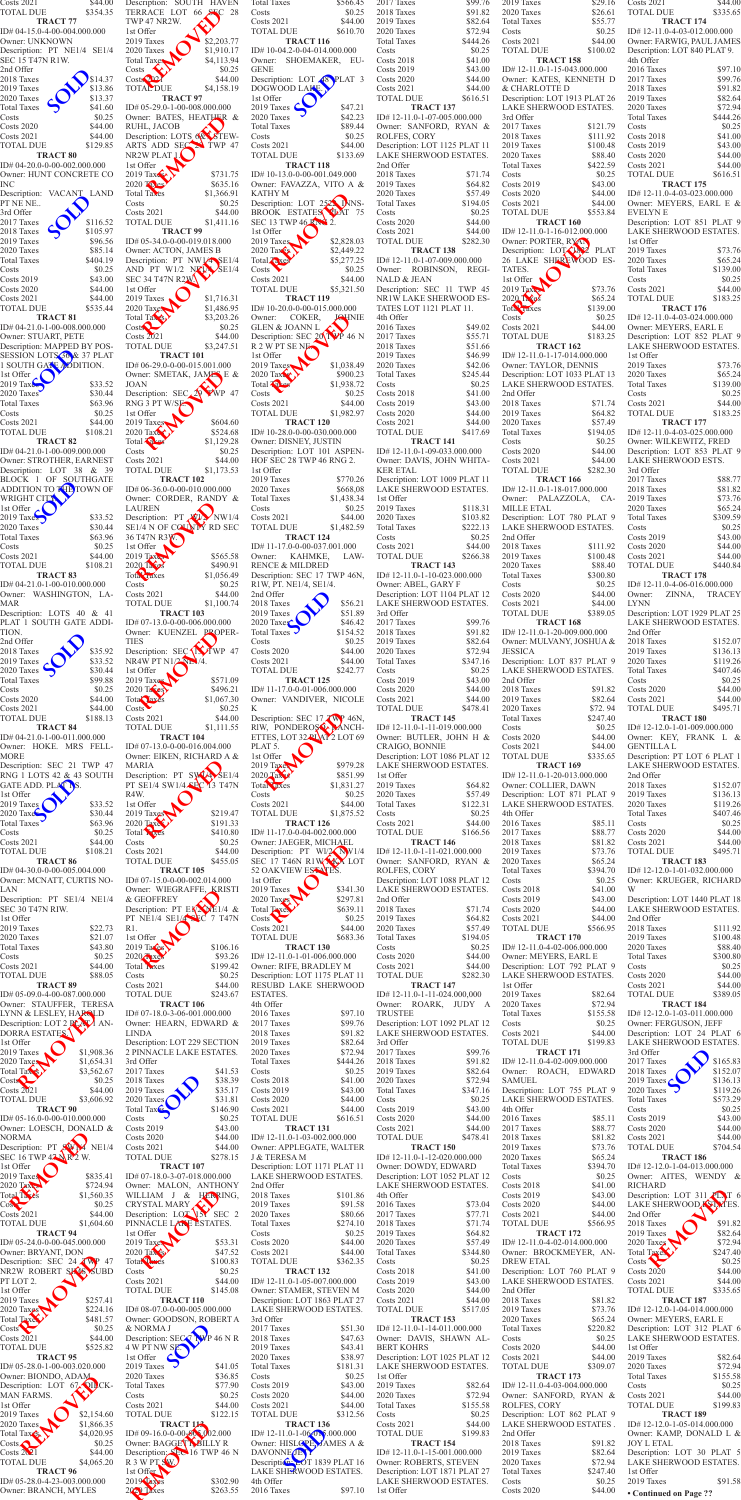2nd Offer 2018 Taxes \$111.92<br>2019 Taxes \$100.48 2019 Taxes 2020 Taxes \$88.40 Total Taxes \$300.80<br>Costs \$0.25 Costs<br>
Costs 2020<br>
\$44.00 Costs 2020 Costs 2021 \$44.00<br>TOTAL DUE \$389.05  $\overline{\text{TOTAL DUE}}$ **TRACT 184** ID# 12-12.0-1-03-011.000.000 Owner: FERGUSON, JEFF Description: LOT 24 PLAT 6 LAKE SHERWOOD ESTATES.<br>
3rd Offer<br>
2017 Taxes<br>
2018 Taxes<br>
2017 3rd Offer 2017 Taxes \$165.83 2018 Taxes \$152.07<br>2019 Taxes \$136.13 2019 Taxes \$136.13<br>2020 Taxes \$119.26 2020 Taxes <br>
Total Taxes <br>
\$119.26<br>
\$573.29 Total Taxes Costs \$0.25 Costs 2019 \$43.00 Costs 2020 \$44.00<br>Costs 2021 \$44.00 Costs 2021 \$44.00<br>TOTAL DUE \$704.54  $\operatorname{TOTAL}$  DUE **TRACT 186** ID# 12-12.0-1-04-013.000.000 Owner: AITES, WENDY & RICHARD Description: LOT 311 PLAT 6 LAKE SHERWOOD EST *K*ES. 2nd Offer 2018 Taxes \$91.82 2019 Taxes \$82.64 2020 Taxes \$72.94 Total Taxes  $$247.40$  $\sim$  \$0.25 Costs 2020 \$44.00<br>Costs 2021 \$44.00 Costs 2021 TOTAL DUE \$335.65 **TRACT 187** ID# 12-12.0-1-04-014.000.000 Owner: MEYERS, EARL E Description: LOT 312 PLAT 6 LAKE SHERWOOD ESTATES. 1st Offer 2019 Taxes \$82.64<br>2020 Taxes \$72.94 2020 Taxes \$72.94<br>Total Taxes \$155.58 Total Taxes Costs<br>
Costs 2021<br>
\$44.00 Costs 2021 TOTAL DUE \$199.83 **TRACT 189** ID# 12-12.0-1-05-014.000.000 Owner: KAMP, DONALD L & JOY L ETAL Description: LOT 30 PLAT 5 LAKE SHERWOOD ESTATES. 1st Offer 2019 Taxes \$91.58 France Control of Street Control of Street Control of Street Control of Street Control of Street Control of Street Control of Street Control of Street Control of Street Control of Street Control of Street Control of Street

| TOTAL DUE<br>\$354.35                                                                                                                                              | Description: SOUTH<br>HAVEN                                               |
|--------------------------------------------------------------------------------------------------------------------------------------------------------------------|---------------------------------------------------------------------------|
| <b>TRACT 77</b>                                                                                                                                                    | TERRACE LOT<br>66<br>28<br>TWP 47 NR2W.                                   |
| ID# 04-15.0-4-00-004.000.000<br>Owner: UNKNOWN<br>Description: PT NE1/4<br>SE1/4                                                                                   | 1st Offer<br>\$2,203.77<br>2019 Taxes<br>2020 Taxes                       |
| SEC 15 T47N R1W.                                                                                                                                                   | \$1,910.17<br>Total Taxes<br>\$4,113.94                                   |
| 2nd Offer<br>\$14.37<br>2018 Taxes                                                                                                                                 | \$0.25<br>Costs<br>$\text{Costs} \rightarrow 12$<br>\$44.00               |
| 2019 Taxes<br>\$13.86<br>\$13.37<br>2020 Taxes                                                                                                                     | <b>TOTAL DUE</b><br>\$4,158.19<br><b>TRACT 97</b>                         |
| \$41.60<br>Total Taxes<br>Costs<br>\$0.25                                                                                                                          | ID# 05-29.0-1-00-008.000.000<br>Owner: BATES, HEATHER &                   |
| <b>Costs 2020</b><br>\$44.00<br>Costs 2021<br>\$44.00                                                                                                              | RUHL, JACOB<br>Description: LOTS 68 STEW-                                 |
| \$129.85<br>TOTAL DUE<br><b>TRACT 80</b>                                                                                                                           | ARTS ADD SEC 21 TWP 47<br>NR2W PLAT 1.                                    |
| ID# 04-20.0-0-00-002.000.000<br>Owner: HUNT CONCRETE CO                                                                                                            | 1st Offer<br>\$731.75<br>$2019$ Tax $\leq$                                |
| INC<br>VACANT LAND<br>Description:                                                                                                                                 | 2020 Thes<br>\$635.16<br><b>Total Taxes</b><br>\$1,366.91                 |
| PT NE NE<br>3rd Offer                                                                                                                                              | Costs<br>\$0.25<br><b>Costs 2021</b><br>\$44.00                           |
| \$116.52<br>2017 Taxes<br>2018 Taxes<br>\$105.97                                                                                                                   | <b>TOTAL DUE</b><br>\$1,411.16<br>TRACT 99                                |
| 2019 Taxes<br>\$96.56<br>2020 Taxes<br>\$85.14                                                                                                                     | ID# 05-34.0-0-00-019.018.000<br>Owner: ACTON, JAMES B                     |
| Total Taxes<br>\$404.19<br>Costs<br>\$0.25                                                                                                                         | Description: PT NW1/4 SE1/4<br>AND PT W1/2 $N$ KIA SE1/4                  |
| Costs 2019<br>\$43.00<br><b>Costs 2020</b><br>\$44.00                                                                                                              | SEC 34 T47N R2W.<br>1st Offer                                             |
| Costs 2021<br>\$44.00<br>TOTAL DUE<br>\$535.44                                                                                                                     | 2019 Taxes<br>\$1,716.31<br>\$1,486.95<br>2020 Taxes                      |
| <b>TRACT 81</b><br>ID# 04-21.0-1-00-008.000.000                                                                                                                    | Total Tax s<br>\$3,203.26<br>Costs<br>\$0.25                              |
| Owner: STUART, PETE<br>Description: MAPPED BY POS-                                                                                                                 | Costs 2021<br>\$44.00<br><b>TOTAL DUE</b><br>\$3,247.51                   |
| SESSION LOTS 36 & 37 PLAT<br>1 SOUTH GATE ADDITION.                                                                                                                | <b>TRACT 101</b><br>ID# 06-29.0-0-00-015.001.000                          |
| 1st Offer<br>2019 Tax↓<br>\$33.52                                                                                                                                  | Owner: SMETAK, JAMES E &<br><b>JOAN</b>                                   |
| 2020 Taxes<br>\$30.44                                                                                                                                              | Description: SEC<br>47                                                    |
| <b>Total Taxes</b><br>\$63.96<br>\$0.25<br>Costs                                                                                                                   | RNG 3 PT W/SE<br>1st Offer                                                |
| Costs 2021<br>\$44.00<br><b>TOTAL DUE</b><br>\$108.21                                                                                                              | 2019 Taxes<br>\$604.60<br>2020 Tax<br>\$524.68                            |
| <b>TRACT 82</b><br>ID#04-21.0-1-00-009.000.000                                                                                                                     | \$1,129.28<br>Total <b>Kake</b><br>Costs<br>\$0.25                        |
| Owner: STROTHER, EARNEST<br>Description: LOT 38 & 39                                                                                                               | \$44.00<br>Costs 2021<br>TOTAL DUE<br>\$1,173.53                          |
| BLOCK 1 OF SOUTHGATE<br>ADDITION TO THE TOWN OF                                                                                                                    | <b>TRACT 102</b><br>ID# 06-36.0-0-00-010.000.000                          |
| WRIGHT CITY<br>1st Offer $\lambda$                                                                                                                                 | Owner: CORDER, RANDY &<br>LAUREN                                          |
| 2019 Taxes<br>\$33.52<br>2020 Taxes<br>\$30.44                                                                                                                     | Description: PT<br>NW1/4<br><b>XI</b><br>SE1/4 N OF COUNTY RD SEC         |
| <b>Total Taxes</b><br>\$63.96<br>\$0.25<br>Costs                                                                                                                   | 36 T47N R3W.<br>1st Offer                                                 |
| Costs 2021<br>\$44.00<br>TOTAL DUE<br>\$108.21                                                                                                                     | 2019 Tax<br>\$565.58<br>2020 Taxes<br>\$490.91                            |
| <b>TRACT 83</b><br>ID# 04-21.0-1-00-010.000.000                                                                                                                    | Total Taxes<br>\$1,056.49<br>\$0.25<br>Costs                              |
| Owner: WASHINGTON, LA-<br>MAR                                                                                                                                      | <b>Costs 2021</b><br>\$44.00<br><b>TOTAL DUE</b><br>\$1,100.74            |
| Description: LOTS 40 & 41<br>PLAT 1 SOUTH GATE ADDI-                                                                                                               | <b>TRACT 103</b><br>ID# 07-13.0-0-00-006.000.000                          |
| TION.<br>2nd Offer                                                                                                                                                 | Owner: KUENZEL PROPER-<br><b>TIES</b>                                     |
| 2018 Taxes<br>\$35.92<br>2019 Taxes<br>\$33.52                                                                                                                     | Description: SEC <b>IN</b> TWP 47<br>NR4W PT N1/2 NL /4.                  |
| 2020 Taxes<br>\$30.44<br><b>Total Taxes</b><br>\$99.88                                                                                                             | 1st Offer<br>2019 Taxes<br>\$571.09                                       |
| \$0.25<br>Costs<br><b>Costs 2020</b><br>\$44.00                                                                                                                    | $2020$ Taves<br>\$496.21<br>\$1,067.30<br>Total Jaxes                     |
| Costs 2021<br>\$44.00<br>TOTAL DUE<br>\$188.13                                                                                                                     | Costs<br>\$0.25<br><b>Costs 2021</b><br>\$44.00                           |
| <b>TRACT 84</b><br>ID#04-21.0-1-00-011.000.000                                                                                                                     | <b>TOTAL DUE</b><br>\$1,111.55<br>TRACT 104                               |
| Owner: HOKE. MRS FELL-<br><b>MORE</b>                                                                                                                              | ID# 07-13.0-0-00-016.004.000<br>Owner: EIKEN, RICHARD A &                 |
| Description: SEC 21 TWP 47<br>RNG 1 LOTS 42 & 43 SOUTH                                                                                                             | <b>MARIA</b><br>Description: PT SW14<br>SE1/4                             |
|                                                                                                                                                                    |                                                                           |
| <b>GATE ADD. PLAT NS.</b><br>1st Offer                                                                                                                             | PT SE1/4 SW1/4 SEC<br><b>13 T47N</b><br>R4W.                              |
| 2019 Taxes<br>\$33.52<br>$2020$ Taxes<br>\$30.44                                                                                                                   | 1st Offer<br>2019 Taxes<br>\$219.47                                       |
| Total Taxes<br>\$63.96<br>\$0.25<br>Costs                                                                                                                          | <b>2020 Taxe</b><br>\$191.33<br>Total <b>R</b> <sub>ACS</sub><br>\$410.80 |
| Costs 2021<br>\$44.00<br><b>TOTAL DUE</b><br>\$108.21                                                                                                              | \$0.25<br>Costs<br><b>Costs 2021</b><br>\$44.00                           |
| TRACT <sub>86</sub><br>ID#04-30.0-0-00-005.004.000                                                                                                                 | <b>TOTAL DUE</b><br>\$455.05<br><b>TRACT 105</b>                          |
| Owner: MCNATT, CURTIS NO-<br>LAN                                                                                                                                   | ID# 07-15.0-0-00-002.014.000<br>Owner: WIEGRAFFE, KRISTI                  |
| Description: PT SE1/4 NE1/4<br>SEC 30 T47N RIW.                                                                                                                    | & GEOFFREY                                                                |
| 1st Offer<br>2019 Taxes<br>\$22.73                                                                                                                                 | Description: PT EXXXE1/4 &<br>PT NE1/4 SE1/4 SEC 7 T47N<br>R1.            |
| 2020 Taxes<br>\$21.07<br>\$43.80<br>Total Taxes                                                                                                                    | 1st Offer<br>2019 Taxes<br>\$106.16                                       |
| \$0.25<br>\$44.00                                                                                                                                                  | 2020 Tixes<br>\$93.26<br>\$199.42<br>Total <b>R</b> xes                   |
| Costs<br>Costs 2021<br>TOTAL DUE<br>\$88.05<br>TRACT <sub>89</sub>                                                                                                 | \$0.25<br>Costs<br><b>Costs 2021</b><br>\$44.00                           |
| ID#05-09.0-4-00-087.000.000<br>Owner: STAUFFER, TERESA                                                                                                             | TOTAL DUE<br>\$243.67<br><b>TRACT 106</b>                                 |
| LYNN & LESLEY, HARQLD<br>Description: LOT 2 PLAY AN-                                                                                                               | ID# 07-18.0-3-06-001.000.000<br>Owner: HEARN, EDWARD &                    |
| DORRA ESTATES.<br>1st Offer                                                                                                                                        | LINDA<br>Description: LOT 229 SECTION                                     |
| \$1,908.36<br>\$1,654.31                                                                                                                                           | 2 PINNACLE LAKE ESTATES.<br>3rd Offer                                     |
| \$3,562.67<br>\$0.25                                                                                                                                               | 2017 Taxes<br>\$41.53<br>2018 Taxes<br>\$38.39                            |
| \$44.00<br>\$3,606.92                                                                                                                                              | 2019 Taxes<br>\$35.17<br>2020 Taxes<br>\$31.81                            |
| <b>TRACT 90</b>                                                                                                                                                    | Total Tax <sup>es</sup><br>\$146.90<br>Costs<br>\$0.25                    |
| 2019 Taxes<br>$2020$ Taxes<br>Total Tax <sup>8</sup><br>CostS<br><b>Costs 2021</b><br>TOTAL DUE<br>ID#05-16.0-0-00-010.000.000<br>Owner: LOESCH, DONALD &<br>NORMA | <b>Costs 2019</b><br>\$43.00<br><b>Costs 2020</b><br>\$44.00              |
| Description: PT SWI<br>NE1/4<br>SEC 16 TWP 47 NR 2 W.                                                                                                              | <b>Costs 2021</b><br>\$44.00<br>TOTAL DUE<br>\$278.15                     |
| 1st Offer<br>2019 Taxes<br>\$835.41                                                                                                                                | <b>TRACT 107</b><br>ID# 07-18.0-3-07-018.000.000                          |
| \$724.94<br>\$1,560.35                                                                                                                                             | Owner: MALON,<br><b>ANTHONY</b><br>WILLIAM<br>$J \&$<br>HERRING.          |
| 2020 Tax<br>Total Taves<br>$\cos \left( \frac{1}{2} \right)$<br>\$0.25<br><b>Costs 2021</b><br>\$44.00                                                             | CRYSTAL MARY<br>Description: LOT 137 SEC 2                                |
| TOTAL DUE<br>\$1,604.60<br><b>TRACT 94</b>                                                                                                                         | PINNACLE LANE ESTATES.<br>1st Offer                                       |
| ID#05-24.0-0-00-045.000.000<br>Owner: BRYANT, DON                                                                                                                  | $2019$ Taxes<br>\$53.31<br>2020 Tax s<br>\$47.52                          |
| Description: SEC 24 TWP 47<br>NR2W ROBERT SACS SUBD                                                                                                                | Total Parts<br>\$100.83<br>\$0.25<br>Costs                                |
| PT LOT 2.<br>1st Offer                                                                                                                                             | <b>Costs 2021</b><br>\$44.00<br><b>TOTAL DUE</b><br>\$145.08              |
| 2019 Taxes<br>\$257.41<br>2020 Taxes<br>\$224.16                                                                                                                   | TRACT 110<br>ID# 08-07.0-0-00-005.000.000                                 |
| <b>Total Taxe</b><br>\$481.57<br>Costs <sup>2</sup><br>\$0.25                                                                                                      | Owner: GOODSON, ROBERT A<br>& NORMA J                                     |
| <b>Costs 2021</b><br>\$44.00<br>TOTAL DUE<br>\$525.82                                                                                                              | Description: SEC-7<br>WP 46 N R<br>4 W PT NW SE.                          |
| <b>TRACT 95</b><br>ID# 05-28.0-1-00-003.020.000                                                                                                                    | 1st Offer<br>2019 Taxes<br>\$41.05                                        |
| Owner: BIONDO, ADAM<br>Description: LOT 67 QILCK-                                                                                                                  | 2020 Taxes<br>\$36.85<br><b>Total Taxes</b><br>\$77.90                    |
| MAN FARMS.<br>1st Offer                                                                                                                                            | Costs<br>\$0.25<br><b>Costs 2021</b><br>\$44.00                           |
| 2019 Taxes<br>\$2,154.60<br>2020 Taxes<br>\$1,866.35                                                                                                               | <b>TOTAL DUE</b><br>\$122.15<br><b>TRACT 113</b>                          |
| Total Tax <sub>S</sub><br>\$4,020.95<br>$\text{Costs} \triangle$<br>\$0.25                                                                                         | $ID#09-16.0-0-00-005.002.000$<br>Owner: BAGGET SBILLY R                   |
| $\text{Costs } 2021$<br>\$44.00<br>TOTAL DUE<br>\$4,065.20                                                                                                         | Description: SEC 16 TWP 46 N<br>R 3 W PT SW.                              |
| TRACT <sub>96</sub><br>ID# 05-28.0-4-23-003.000.000<br>Owner: BRANCH, MYLES                                                                                        | 1st Offer<br>2019 Taxes<br>\$302.90<br>2021 Taxes<br>\$263.55             |

| <b>Total Taxes</b><br>Costs                                                       | \$566.45<br>\$0.25       |
|-----------------------------------------------------------------------------------|--------------------------|
| <b>Costs 2021</b><br><b>TOTAL DUE</b>                                             | \$44.00<br>\$610.70      |
| <b>TRACT 116</b><br>ID#10-04.2-0-04-014.000.000                                   |                          |
| Owner: SHOEMAKER,<br><b>GENE</b>                                                  | EU-                      |
| Description: LOT 48                                                               | PLAT <sub>3</sub>        |
| DOGWOOD LAKE.<br>1st Offer                                                        |                          |
| 2019 Taxes<br>2020 Taxes                                                          | \$47.21<br>\$42.23       |
| <b>Total Taxes</b><br>Costs                                                       | \$89.44<br>\$0.25        |
| <b>Costs 2021</b><br><b>TOTAL DUE</b>                                             | \$44.00<br>\$133.69      |
| <b>TRACT 118</b><br>ID#10-13.0-0-00-001.049.000                                   |                          |
| Owner: FAVAZZA, VITO A &<br><b>KATHY M</b>                                        |                          |
| Description: LOT 2522 DVNS-                                                       |                          |
| BROOK ESTATES PLAT 75<br>SEC 13 TWP 46 RM $2$ .                                   |                          |
| 1st Offer<br>2019 Taxes                                                           | \$2,828.03               |
| 2020 Taxes<br>Total Taxes                                                         | \$2,449.22<br>\$5,277.25 |
| Costs<br><b>Costs 2021</b>                                                        | \$0.25<br>\$44.00        |
| <b>TOTAL DUE</b>                                                                  | \$5,321.50               |
| <b>TRACT 119</b><br>ID#10-20.0-0-00-015.000.000                                   |                          |
| Owner: COKER,<br><b>GLEN &amp; JOANN L</b>                                        | <b>JAHNIE</b>            |
| Description: SEC 201<br>R 2 W PT SE NE                                            | P 46 N                   |
| 1st Offer<br>2019 Taxes                                                           | \$1,038.49               |
| 2020 Tax<br>Total <b>Takes</b>                                                    | \$900.23<br>\$1,938.72   |
| Costs<br><b>Costs 2021</b>                                                        | \$0.25<br>\$44.00        |
| TOTAL DUE                                                                         | \$1,982.97               |
| <b>TRACT 120</b><br>ID#10-28.0-0-00-030.000.000                                   |                          |
| Owner: DISNEY, JUSTIN<br>Description: LOT 101 ASPEN-                              |                          |
| HOF SEC 28 TWP 46 RNG 2.<br>1st Offer                                             |                          |
| 2019 Taxes<br>2020 Taxes                                                          | \$770.26<br>\$668,08     |
| <b>Total Taxes</b><br>Costs                                                       | \$1,438.34<br>\$0.25     |
| <b>Costs 2021</b>                                                                 | \$44.00                  |
| TOTAL DUE<br><b>TRACT 124</b>                                                     | \$1,482.59               |
| ID#11-17.0-0-00-037.001.000<br>Owner: KAHMKE,                                     | LAW-                     |
| <b>RENCE &amp; MILDRED</b><br>Description: SEC 17 TWP 46N,                        |                          |
| R1W, PT. NE1/4, SE1/4.<br>2nd Offer                                               |                          |
| 2018 Taxes                                                                        | \$56.21                  |
| 2019 Taxes<br>2020 Taxes                                                          | \$51.89<br>\$46.42       |
| <b>Total Taxes</b><br>Costs                                                       | \$154.52<br>\$0.25       |
| <b>Costs 2020</b><br><b>Costs 2021</b>                                            | \$44.00<br>\$44.00       |
| <b>TOTAL DUE</b><br><b>TRACT 125</b>                                              | \$242.77                 |
| ID#11-17.0-0-01-006.000.000<br>Owner: VANDIVER, NICOLE                            |                          |
| K                                                                                 |                          |
| Description: SEC 17.7WP 46N,<br>RIW, PONDEROSS PANCH-                             |                          |
|                                                                                   |                          |
| ETTES, LOT 32 PLAT 2 LOT 69<br>PLAT 5.                                            |                          |
| 1st Offer<br>2019 Taxes                                                           | \$979.28                 |
| 2020 Tax 3                                                                        | \$851.99<br>\$1,831.27   |
| Total <b>d</b> xes<br>Costs                                                       | \$0.25                   |
| <b>Costs 2021</b><br><b>TOTAL DUE</b>                                             | \$44.00<br>\$1,875.52    |
| <b>TRACT 126</b><br>ID#11-17.0-0-04-002.000.000                                   |                          |
| Owner: JAEGER, MICHAEL<br>Description: PT Wl/2 NW1/4                              |                          |
| SEC 17 T46N R1W XX LOT<br><b>52 OAKVIEW ESTATES.</b>                              |                          |
| 1st Offer<br>2019 Taxes                                                           | \$341.30                 |
|                                                                                   | \$297.81                 |
| 2020 Taxes<br>$\mathcal{S}$<br>Costs                                              | \$639.11<br>\$0.25       |
| <b>Costs 2021</b><br><b>TOTAL DUE</b>                                             | \$44.00<br>\$683.36      |
| <b>TRACT 130</b><br>ID#12-11.0-1-01-006.000.000                                   |                          |
| Owner: RIFE, BRADLEY M<br>Description: LOT 1175 PLAT 11                           |                          |
| RESUBD LAKE SHERWOOD<br>ESTATES.                                                  |                          |
| 4th Offer<br>2016 Taxes                                                           | \$97.10                  |
| 2017 Taxes<br>2018 Taxes                                                          | \$99.76<br>\$91.82       |
| 2019 Taxes<br>2020 Taxes                                                          | \$82.64<br>\$72.94       |
| <b>Total Taxes</b>                                                                | \$444.26                 |
| Costs<br><b>Costs 2018</b>                                                        | \$0.25<br>\$41.00        |
| <b>Costs 2019</b><br><b>Costs 2020</b>                                            | \$43.00<br>\$44.00       |
| <b>Costs 2021</b><br><b>TOTAL DUE</b>                                             | \$44.00<br>\$616.51      |
| <b>TRACT 131</b><br>ID#12-11.0-1-03-002.000.000                                   |                          |
| Owner: APPLEGATE, WALTER                                                          |                          |
| <b>J &amp; TERESA M</b><br>Description: LOT 1171 PLAT 11                          |                          |
| LAKE SHERWOOD ESTATES.<br>2nd Offer                                               |                          |
| 2018 Taxes<br>2019 Taxes                                                          | \$101.86<br>\$91.58      |
| 2020 Taxes<br><b>Total Taxes</b>                                                  | \$80.66<br>\$274.10      |
| Costs<br><b>Costs 2020</b>                                                        | \$0.25<br>\$44.00        |
| <b>Costs 2021</b><br><b>TOTAL DUE</b>                                             | \$44.00<br>\$362.35      |
| <b>TRACT 132</b>                                                                  |                          |
| ID# 12-11.0-1-05-007.000.000<br>Owner: STAMER, STEVEN M                           |                          |
| Description: LOT 1863 PLAT 27<br>LAKE SHERWOOD ESTATES.                           |                          |
| 3rd Offer<br>2017 Taxes                                                           | \$51.30                  |
| 2018 Taxes<br>2019 Taxes                                                          | \$47.63<br>\$43.41       |
| 2020 Taxes<br><b>Total Taxes</b>                                                  | \$38.97                  |
| Costs                                                                             | \$181.31<br>\$0.25       |
| <b>Costs 2019</b><br><b>Costs 2020</b>                                            | \$43.00<br>\$44.00       |
| <b>Costs 2021</b><br><b>TOTAL DUE</b>                                             | \$44.00<br>\$312.56      |
| <b>TRACT 136</b><br>ID# 12-11.0-1-06-00 5.000.000                                 |                          |
|                                                                                   |                          |
| Owner: HISLOPE JAMES A &<br>Description OT 1839 PLAT 16<br>LAKE SHERWOOD ESTATES. |                          |

| cription: SOUTH HAVEN<br>RACE LOT 66 SEC 28<br>? 47 NR2W.             |                              | <b>Total Taxes</b><br>Costs<br><b>Costs 2021</b>                                         | \$566.45<br>\$0.25<br>\$44.00   | 2017 Taxes<br>2018 Taxes<br>2019 Taxes                                    | \$99.76<br>\$91.82<br>\$82.64  | 2019 Taxes<br>2020 Taxes<br><b>Total Taxes</b>                                         | \$29.16<br>\$26.61<br>\$55.77 | Costs 2021<br><b>TOTAL DUE</b><br><b>TRACT 174</b>                         |
|-----------------------------------------------------------------------|------------------------------|------------------------------------------------------------------------------------------|---------------------------------|---------------------------------------------------------------------------|--------------------------------|----------------------------------------------------------------------------------------|-------------------------------|----------------------------------------------------------------------------|
| )ffer<br>Taxes                                                        | \$2,203.77                   | <b>TOTAL DUE</b><br><b>TRACT 116</b>                                                     | \$610.70                        | 2020 Taxes<br><b>Total Taxes</b>                                          | \$72.94<br>\$444.26            | Costs<br><b>Costs 2021</b>                                                             | \$0.25<br>\$44.00             | ID#12-11.0-4-03-012.000<br>Owner: FARWIG, PAUL J                           |
| Taxes<br>I Taxes                                                      | \$1,910.17<br>\$4,113.94     | ID#10-04.2-0-04-014.000.000<br>Owner: SHOEMAKER, EU-                                     |                                 | Costs<br><b>Costs 2018</b>                                                | \$0.25<br>\$41.00              | <b>TOTAL DUE</b><br><b>TRACT 158</b>                                                   | \$100.02                      | Description: LOT 840 PL.<br>4th Offer                                      |
| $\mathbb{C}^{12}$                                                     | \$0.25<br>\$44.00            | <b>GENE</b><br>Description: LOT 48 PLAT 3                                                |                                 | Costs 2019<br><b>Costs 2020</b>                                           | \$43.00<br>\$44.00             | ID# 12-11.0-1-15-043.000.000<br>Owner: KATES, KENNETH D                                |                               | 2016 Taxes<br>2017 Taxes                                                   |
| <b>AL DUE</b><br><b>TRACT 97</b><br>05-29.0-1-00-008.000.000          | \$4,158.19                   | DOGWOOD LAKE.<br>1st Offer<br>2019 Taxes $\bigcirc$                                      | \$47.21                         | <b>Costs 2021</b><br><b>TOTAL DUE</b><br><b>TRACT 137</b>                 | \$44.00<br>\$616.51            | & CHARLOTTE D<br>Description: LOT 1913 PLAT 26<br>LAKE SHERWOOD ESTATES.               |                               | 2018 Taxes<br>2019 Taxes<br>2020 Taxes                                     |
| er: BATES, HEATHER &<br>IL, JACOB                                     |                              | 2020 Taxes<br><b>Total Taxes</b>                                                         | \$42.23<br>\$89.44              | $ID# 12-11.0-1-07-005.000.000$<br>Owner: SANFORD, RYAN &                  |                                | 3rd Offer<br>2017 Taxes                                                                | \$121.79                      | <b>Total Taxes</b><br>Costs                                                |
| eription: LOTS 68 STEW-<br>S ADD SEC $\geq$ TWP 47                    |                              | Costs<br><b>Costs 2021</b>                                                               | \$0.25<br>\$44.00               | ROLFES, CORY<br>Description: LOT 1125 PLAT 11                             |                                | 2018 Taxes<br>2019 Taxes                                                               | \$111.92<br>\$100.48          | <b>Costs 2018</b><br><b>Costs 2019</b>                                     |
| W PLAT 1<br>)ffer                                                     |                              | <b>TOTAL DUE</b><br><b>TRACT 118</b>                                                     | \$133.69                        | LAKE SHERWOOD ESTATES.<br>2nd Offer                                       |                                | 2020 Taxes<br><b>Total Taxes</b>                                                       | \$88.40<br>\$422.59           | Costs 2020<br>Costs 2021                                                   |
| $\text{Tax}$<br>Tables                                                | \$731.75<br>\$635.16         | ID#10-13.0-0-00-001.049.000<br>Owner: FAVAZZA, VITO A &                                  |                                 | 2018 Taxes<br>2019 Taxes                                                  | \$71.74<br>\$64.82             | Costs<br><b>Costs 2019</b>                                                             | \$0.25<br>\$43.00             | <b>TOTAL DUE</b><br><b>TRACT 175</b>                                       |
| Taxes<br>S                                                            | \$1,366.91<br>\$0.25         | KATHY M<br>Description: LOT 2522 INNS-                                                   |                                 | 2020 Taxes<br><b>Total Taxes</b>                                          | \$57.49<br>\$194.05            | <b>Costs 2020</b><br>Costs 2021                                                        | \$44.00<br>\$44.00            | ID# 12-11.0-4-03-023.000<br>Owner: MEYERS, EAR                             |
| s 2021<br>`AL DUE                                                     | \$44.00<br>\$1,411.16        | BROOK ESTATES TAT 75<br>SEC 13 TWP 46 RN $\frac{2}{3}$ .                                 |                                 | Costs<br><b>Costs 2020</b>                                                | \$0.25<br>\$44.00              | TOTAL DUE<br><b>TRACT 160</b>                                                          | \$553.84                      | EVELYN E<br>Description: LOT 851 P                                         |
| <b>TRACT 99</b><br>05-34.0-0-00-019.018.000<br>er: ACTON, JAMES B     |                              | 1st Offer<br>2019 Taxes<br>$2020$ Taxes                                                  | \$2,828.03<br>\$2,449.22        | <b>Costs 2021</b><br><b>TOTAL DUE</b><br><b>TRACT 138</b>                 | \$44.00<br>\$282.30            | $ID# 12-11.0-1-16-012.000.000$<br>Owner: PORTER, RYAN<br>Description: LOTAL PLAT       |                               | <b>LAKE SHERWOOD EST</b><br>1st Offer<br>2019 Taxes                        |
| cription: PT NW1 $/4$ SE1/4<br>$D$ PT W1/2 NKLA SE1/4                 |                              | Total Taxes<br>Costs                                                                     | \$5,277.25<br>\$0.25            | ID#12-11.0-1-07-009.000.000<br>Owner: ROBINSON, REGI-                     |                                | 26 LAKE SHEREWOOD ES-<br>TATES.                                                        |                               | 2020 Taxes<br><b>Total Taxes</b>                                           |
| 34 T47N R2W<br>)ffer                                                  |                              | <b>Costs 2021</b><br><b>TOTAL DUE</b>                                                    | \$44.00<br>\$5,321.50           | NALD & JEAN<br>Description: SEC 11 TWP 45                                 |                                | 1st Offer<br>2019 Tax                                                                  | \$73.76                       | Costs<br>Costs 2021                                                        |
| Taxes<br>$\int$ Taxes                                                 | \$1,716.31<br>\$1,486.95     | <b>TRACT 119</b><br>ID#10-20.0-0-00-015.000.000                                          |                                 | NR1W LAKE SHERWOOD ES-<br>TATES LOT 1121 PLAT 11.                         |                                | $2020$ $\int \frac{1}{2}$<br>Total Faxes                                               | \$65.24<br>\$139.00           | <b>TOTAL DUE</b><br>S<br><b>TRACT 176</b>                                  |
| Tax's                                                                 | \$3,203.26<br>\$0.25         | Owner:<br>COKER,<br><b>GLEN &amp; JOANN L</b>                                            | <b>JOUNIE</b>                   | 4th Offer<br>2016 Taxes                                                   | \$49.02                        | Costs<br><b>Costs 2021</b>                                                             | \$0.25<br>\$44.00             | ID# 12-11.0-4-03-024.000<br>Owner: MEYERS, EARL                            |
| $s\overline{20}21$<br>AL DUE                                          | \$44.00<br>\$3,247.51        | Description: SEC $20$ VP 46 N<br>R 2 W PT SE NE                                          |                                 | 2017 Taxes<br>2018 Taxes                                                  | \$55.71<br>\$51.66             | <b>TOTAL DUE</b><br><b>TRACT 162</b>                                                   | \$183.25                      | Description: LOT 852 P<br><b>LAKE SHERWOOD EST</b>                         |
| <b>TRACT 101</b><br>06-29.0-0-00-015.001.000<br>er: SMETAK, JAMES E & |                              | 1st Offer<br>2019 Taxes<br>2020 Tax                                                      | \$1,038.49<br>\$900.23          | 2019 Taxes<br>2020 Taxes<br><b>Total Taxes</b>                            | \$46.99<br>\$42.06<br>\$245.44 | ID# 12-11.0-1-17-014.000.000<br>Owner: TAYLOR, DENNIS<br>Description: LOT 1033 PLAT 13 |                               | 1st Offer<br>2019 Taxes<br>2020 Taxes                                      |
| Ν<br>cription: $SEC. 20$                                              | $WPP$ 47                     | Total <b>They</b><br>Costs                                                               | \$1,938.72<br>\$0.25            | Costs<br><b>Costs 2018</b>                                                | \$0.25<br>\$41.00              | LAKE SHERWOOD ESTATES.<br>2nd Offer                                                    |                               | <b>Total Taxes</b><br>Costs                                                |
| $53$ PT W/SE.<br>)ffer                                                |                              | <b>Costs 2021</b><br><b>TOTAL DUE</b>                                                    | \$44.00<br>\$1,982.97           | <b>Costs 2019</b><br><b>Costs 2020</b>                                    | \$43.00<br>\$44.00             | 2018 Taxes<br>2019 Taxes                                                               | \$71.74<br>\$64.82            | Costs 2021<br><b>TOTAL DUE</b><br>Ş                                        |
| Taxes<br>Tax                                                          | \$604.60<br>\$524.68         | <b>TRACT 120</b><br>ID#10-28.0-0-00-030.000.000                                          |                                 | Costs 2021<br><b>TOTAL DUE</b>                                            | \$44.00<br>\$417.69            | 2020 Taxes<br><b>Total Taxes</b>                                                       | \$57.49<br>\$194.05           | <b>TRACT 177</b><br>ID# 12-11.0-4-03-025.000                               |
| <b>TOLO</b><br>S                                                      | \$1,129.28                   | Owner: DISNEY, JUSTIN<br>\$0.25 Description: LOT 101 ASPEN- ID# 12-11.0-1-09-033.000.000 |                                 | <b>TRACT 141</b>                                                          |                                | Costs<br><b>Costs 2020</b>                                                             | \$0.25                        | Owner: WILKEWITZ, FF<br>\$44.00 Description: LOT 853 P                     |
| s 2021<br>AL DUE                                                      | \$44.00<br>\$1,173.53        | HOF SEC 28 TWP 46 RNG 2.<br>1st Offer                                                    |                                 | Owner: DAVIS, JOHN WHITA-<br><b>KER ETAL</b>                              |                                | <b>Costs 2021</b><br><b>TOTAL DUE</b>                                                  | \$44.00<br>\$282.30           | <b>LAKE SHERWOOD EST</b><br>3rd Offer                                      |
| <b>TRACT 102</b><br>06-36.0-0-00-010.000.000                          |                              | 2019 Taxes<br>2020 Taxes                                                                 | \$770.26<br>\$668,08            | Description: LOT 1009 PLAT 11<br>LAKE SHERWOOD ESTATES.                   |                                | <b>TRACT 166</b><br>ID# 12-11.0-1-18-017.000.000                                       |                               | 2017 Taxes<br>2018 Taxes                                                   |
| er: CORDER, RANDY &<br>JREN<br>cription: PT $X1/N$ NW1/4              |                              | <b>Total Taxes</b><br>Costs<br><b>Costs 2021</b>                                         | \$1,438.34<br>\$0.25<br>\$44.00 | 1st Offer<br>2019 Taxes<br>2020 Taxes                                     | \$118.31<br>\$103.82           | Owner: PALAZZOLA, CA-<br><b>MILLE ETAL</b><br>Description: LOT 780 PLAT 9              |                               | 2019 Taxes<br>2020 Taxes<br><b>Total Taxes</b>                             |
| 4 N OF COUNTY RD SEC<br>47N R3W                                       |                              | <b>TOTAL DUE</b><br><b>TRACT 124</b>                                                     | \$1,482.59                      | <b>Total Taxes</b><br>Costs                                               | \$222.13<br>\$0.25             | LAKE SHERWOOD ESTATES.<br>2nd Offer                                                    |                               | Costs<br><b>Costs 2019</b>                                                 |
| )ffer<br>Tax                                                          | \$565.58                     | ID#11-17.0-0-00-037.001.000<br>Owner:<br>KAHMKE,                                         | LAW-                            | $\text{Costs } 2021$<br><b>TOTAL DUE</b>                                  | \$44.00<br>\$266.38            | 2018 Taxes<br>2019 Taxes                                                               | \$111.92<br>\$100.48          | <b>Costs 2020</b><br><b>Costs 2021</b>                                     |
| Ta o<br>raxes                                                         | \$490.91<br>\$1,056.49       | <b>RENCE &amp; MILDRED</b><br>Description: SEC 17 TWP 46N,                               |                                 | TRACT <sub>143</sub><br>ID# 12-11.0-1-10-023.000.000                      |                                | 2020 Taxes<br><b>Total Taxes</b>                                                       | \$88.40<br>\$300.80           | <b>TOTAL DUE</b><br><b>TRACT 178</b>                                       |
| S<br>s 2021                                                           | \$0.25<br>\$44.00            | R1W, PT. NE1/4, SE1/4.<br>2nd Offer                                                      |                                 | Owner: ABEL, GARY F<br>Description: LOT 1104 PLAT 12                      |                                | Costs<br>Costs 2020                                                                    | \$0.25<br>\$44.00             | ID# 12-11.0-4-06-016.000<br>Owner:<br>ZINNA, TR                            |
| `AL DUE<br><b>TRACT 103</b>                                           | \$1,100.74                   | 2018 Taxes<br>2019 Taxes                                                                 | \$56.21<br>\$51.89              | LAKE SHERWOOD ESTATES.<br>3rd Offer                                       |                                | <b>Costs 2021</b><br>TOTAL DUE                                                         | \$44.00<br>\$389.05           | <b>LYNN</b><br>Description: LOT 1929 Pl                                    |
| 07-13.0-0-00-006.000.000<br>er: KUENZEL PROPER-                       |                              | 2020 Taxes<br>Total Taxes $\sqrt$<br>Costs                                               | \$46.42<br>\$154.52<br>\$0.25   | 2017 Taxes<br>2018 Taxes<br>2019 Taxes                                    | \$99.76<br>\$91.82<br>\$82.64  | <b>TRACT 168</b><br>ID# 12-11.0-1-20-009.000.000                                       |                               | <b>LAKE SHERWOOD EST</b><br>2nd Offer<br>2018 Taxes                        |
| eription: $SEC$ $\sqrt{1}$ WP 47<br>W PT N1/2 NL /4.                  |                              | <b>Costs 2020</b><br><b>Costs 2021</b>                                                   | \$44.00<br>\$44.00              | 2020 Taxes<br><b>Total Taxes</b>                                          | \$72.94<br>\$347.16            | Owner: MULVANY, JOSHUA &<br><b>JESSICA</b><br>Description: LOT 837 PLAT 9              |                               | 2019 Taxes<br>2020 Taxes                                                   |
| )ffer<br>Taxes                                                        | \$571.09                     | <b>TOTAL DUE</b><br><b>TRACT 125</b>                                                     | \$242.77                        | Costs<br><b>Costs 2019</b>                                                | \$0.25<br>\$43.00              | LAKE SHERWOOD ESTATES.<br>2nd Offer                                                    |                               | S<br><b>Total Taxes</b><br>Costs                                           |
| Taxes<br><b>Claxes</b>                                                | \$496.21<br>\$1,067.30       | ID#11-17.0-0-01-006.000.000<br>Owner: VANDIVER, NICOLE                                   |                                 | <b>Costs 2020</b><br><b>Costs 2021</b>                                    | \$44.00<br>\$44.00             | 2018 Taxes<br>2019 Taxes                                                               | \$91.82<br>\$82.64            | <b>Costs 2020</b><br>Costs 2021                                            |
| s 2021                                                                | \$0.25<br>\$44.00            | K<br>Description: SEC 17.7WP 46N,                                                        |                                 | <b>TOTAL DUE</b><br><b>TRACT 145</b>                                      | \$478.41                       | 2020 Taxes<br><b>Total Taxes</b>                                                       | \$72.94<br>\$247.40           | <b>TOTAL DUE</b><br><b>TRACT 180</b>                                       |
| `AL DUE<br><b>TRACT 104</b>                                           | \$1,111.55                   | RIW, PONDEROSS MANCH-<br>ETTES, LOT 32 PLAT 2 LOT 69                                     |                                 | ID#12-11.0-1-11-019.000.000<br>Owner: BUTLER, JOHN H &                    |                                | Costs<br><b>Costs 2020</b>                                                             | \$0.25<br>\$44.00             | ID# 12-12.0-1-01-009.000<br>Owner: KEY, FRANK                              |
| 07-13.0-0-00-016.004.000<br>er: EIKEN, RICHARD A &                    |                              | PLAT 5.<br>1st Offer                                                                     | \$979.28                        | CRAIGO, BONNIE<br>Description: LOT 1086 PLAT 12                           |                                | <b>Costs 2021</b><br><b>TOTAL DUE</b>                                                  | \$44.00<br>\$335.65           | <b>GENTILLAL</b><br>Description: PT LOT 6 F                                |
| RIA<br>eription: PT SWCA SE1/4<br><b>SE1/4 SW1/4 SEC 13 T47N</b>      |                              | 2019 Taxes<br>2020 Taxes<br>Total axes                                                   | \$851.99<br>\$1,831.27          | LAKE SHERWOOD ESTATES.<br>1st Offer<br>2019 Taxes                         | \$64.82                        | <b>TRACT 169</b><br>$ID# 12-11.0-1-20-013.000.000$<br>Owner: COLLIER, DAWN             |                               | <b>LAKE SHERWOOD EST</b><br>2nd Offer<br>2018 Taxes                        |
| )ffer                                                                 |                              | Costs<br><b>Costs 2021</b>                                                               | \$0.25<br>\$44.00               | 2020 Taxes<br><b>Total Taxes</b>                                          | \$57.49<br>\$122.31            | Description: LOT 871 PLAT 9<br>LAKE SHERWOOD ESTATES.                                  |                               | 2019 Taxes<br>2020 Taxes                                                   |
| Taxes<br>Taxe                                                         | \$219.47<br>\$191.33         | <b>TOTAL DUE</b><br><b>TRACT 126</b>                                                     | \$1,875.52                      | Costs<br><b>Costs 2021</b>                                                | \$0.25<br>\$44.00              | 4th Offer<br>2016 Taxes                                                                | \$85.11                       | \$<br><b>Total Taxes</b><br>Costs                                          |
| Racs<br>S                                                             | \$410.80<br>\$0.25           | ID#11-17.0-0-04-002.000.000<br>Owner: JAEGER, MICHAEL                                    |                                 | <b>TOTAL DUE</b><br><b>TRACT 146</b>                                      | \$166.56                       | 2017 Taxes<br>2018 Taxes                                                               | \$88.77<br>\$81.82            | <b>Costs 2020</b><br><b>Costs 2021</b>                                     |
| s 2021<br>AL DUE                                                      | \$44.00<br>\$455.05          | Description: PT Wl/2 NW1/4<br>SEC 17 T46N R1W XX LOT                                     |                                 | ID# 12-11.0-1-11-021.000.000<br>Owner: SANFORD, RYAN &                    |                                | 2019 Taxes<br>2020 Taxes                                                               | \$73.76<br>\$65.24            | <b>TOTAL DUE</b><br>Ş<br>TRACT 183                                         |
| <b>TRACT 105</b><br>07-15.0-0-00-002.014.000<br>er: WIEGRAFFE, KRISTI |                              | <b>52 OAKVIEW ESTATES.</b><br>1st Offer<br>2019 Taxes                                    | \$341.30                        | ROLFES, CORY<br>Description: LOT 1088 PLAT 12<br>LAKE SHERWOOD ESTATES.   |                                | <b>Total Taxes</b><br>Costs<br><b>Costs 2018</b>                                       | \$394.70<br>\$0.25<br>\$41.00 | ID# 12-12.0-1-01-032.000<br>Owner: KRUEGER, RIC<br>W                       |
| EOFFREY<br>eription: PT EXAME1/4 &                                    | $\lambda$                    | $2020$ Taxes<br>Total Taxes                                                              | \$297.81<br>\$639.11            | 2nd Offer<br>2018 Taxes                                                   | \$71.74                        | <b>Costs 2019</b><br><b>Costs 2020</b>                                                 | \$43.00<br>\$44.00            | Description: LOT 1440 Pl<br><b>LAKE SHERWOOD EST</b>                       |
| $NE1/4$ $SE1/4$ $SC$ 7 T47N                                           |                              | Costs<br><b>Costs 2021</b>                                                               | \$0.25<br>\$44.00               | 2019 Taxes<br>2020 Taxes                                                  | \$64.82<br>\$57.49             | <b>Costs 2021</b><br><b>TOTAL DUE</b>                                                  | \$44.00<br>\$566.95           | 2nd Offer<br>2018 Taxes                                                    |
| )ffer<br>Taxes                                                        | \$106.16                     | <b>TOTAL DUE</b><br><b>TRACT 130</b>                                                     | \$683.36                        | <b>Total Taxes</b><br>Costs                                               | \$194.05<br>\$0.25             | <b>TRACT 170</b><br>ID# 12-11.0-4-02-006.000.000                                       |                               | 2019 Taxes<br>2020 Taxes                                                   |
| TIXE<br>Texes                                                         | \$93.26<br>\$199.42          | ID#12-11.0-1-01-006.000.000<br>Owner: RIFE, BRADLEY M                                    |                                 | Costs 2020<br><b>Costs 2021</b>                                           | \$44.00<br>\$44.00             | Owner: MEYERS, EARL E<br>Description: LOT 792 PLAT 9                                   |                               | <b>Total Taxes</b><br>Costs                                                |
| S<br>s 2021                                                           | \$0.25<br>\$44.00            | Description: LOT 1175 PLAT 11<br>RESUBD LAKE SHERWOOD                                    |                                 | <b>TOTAL DUE</b><br><b>TRACT 147</b>                                      | \$282.30                       | LAKE SHERWOOD ESTATES.<br>1st Offer                                                    |                               | <b>Costs 2020</b><br><b>Costs 2021</b>                                     |
| AL DUE<br><b>TRACT 106</b>                                            | \$243.67                     | ESTATES.<br>4th Offer                                                                    |                                 | ID# 12-11.0-1-11-024.000,000<br>Owner: ROARK, JUDY A                      |                                | 2019 Taxes<br>2020 Taxes                                                               | \$82.64<br>\$72.94            | <b>TOTAL DUE</b><br><b>TRACT 184</b>                                       |
| 07-18.0-3-06-001.000.000<br>er: HEARN, EDWARD &<br>DA                 |                              | 2016 Taxes<br>2017 Taxes<br>2018 Taxes                                                   | \$97.10<br>\$99.76<br>\$91.82   | <b>TRUSTEE</b><br>Description: LOT 1092 PLAT 12<br>LAKE SHERWOOD ESTATES. |                                | <b>Total Taxes</b><br>Costs<br><b>Costs 2021</b>                                       | \$155.58<br>\$0.25<br>\$44.00 | ID# 12-12.0-1-03-011.000<br>Owner: FERGUSON, JEF<br>Description: LOT 24 P. |
| cription: LOT 229 SECTION<br>NNACLE LAKE ESTATES.                     |                              | 2019 Taxes<br>2020 Taxes                                                                 | \$82.64<br>\$72.94              | 3rd Offer<br>2017 Taxes                                                   | \$99.76                        | <b>TOTAL DUE</b><br><b>TRACT 171</b>                                                   | \$199.83                      | <b>LAKE SHERWOOD EST</b><br>3rd Offer                                      |
| <b>Offer</b><br>Taxes                                                 | \$41.53                      | <b>Total Taxes</b><br>Costs                                                              | \$444.26<br>\$0.25              | 2018 Taxes<br>2019 Taxes                                                  | \$91.82<br>\$82.64             | ID# 12-11.0-4-02-009.000.000<br>Owner: ROACH, EDWARD                                   |                               | 2017 Taxes<br>2018 Taxes                                                   |
| 3 Taxes<br>Taxes                                                      | \$38.39<br>\$35.17           | Costs 2018<br><b>Costs 2019</b>                                                          | \$41.00<br>\$43.00              | 2020 Taxes<br><b>Total Taxes</b>                                          | \$72.94<br>\$347.16            | <b>SAMUEL</b><br>Description: LOT 755 PLAT 9                                           |                               | 2019 Taxes $\epsilon$<br>$2020$ Taxes                                      |
| ) Taxes<br>$1$ Tax $\frac{6}{5}$                                      | \$31.81<br>\$146.90          | <b>Costs 2020</b><br><b>Costs 2021</b>                                                   | \$44.00<br>\$44.00              | Costs<br><b>Costs 2019</b>                                                | \$0.25<br>\$43.00              | LAKE SHERWOOD ESTATES.<br>4th Offer                                                    |                               | <b>Total Taxes</b><br>Costs                                                |
| S<br>s 2019                                                           | \$0.25<br>\$43.00<br>\$44.00 | <b>TOTAL DUE</b><br><b>TRACT 131</b><br>ID# 12-11.0-1-03-002.000.000                     | \$616.51                        | <b>Costs 2020</b><br><b>Costs 2021</b>                                    | \$44.00<br>\$44.00<br>\$478.41 | 2016 Taxes<br>2017 Taxes<br>2018 Taxes                                                 | \$85.11<br>\$88.77<br>\$81.82 | <b>Costs 2019</b><br>Costs 2020<br>Costs 2021                              |
| s 2020<br>s 2021<br>AL DUE                                            | \$44.00<br>\$278.15          | Owner: APPLEGATE, WALTER<br><b>J &amp; TERESA M</b>                                      |                                 | <b>TOTAL DUE</b><br><b>TRACT 150</b><br>$ID# 12-11.0-1-12-020.000.000$    |                                | 2019 Taxes<br>2020 Taxes                                                               | \$73.76<br>\$65.24            | <b>TOTAL DUE</b><br><b>TRACT 186</b>                                       |
| <b>TRACT 107</b><br>07-18.0-3-07-018.000.000                          |                              | Description: LOT 1171 PLAT 11<br>LAKE SHERWOOD ESTATES.                                  |                                 | Owner: DOWDY, EDWARD<br>Description: LOT 1052 PLAT 12                     |                                | <b>Total Taxes</b><br>Costs                                                            | \$394.70<br>\$0.25            | ID# 12-12.0-1-04-013.000<br>Owner: AITES, WENI                             |
| er: MALON, ANTHONY<br>LIAM J & HERRING,                               |                              | 2nd Offer<br>2018 Taxes                                                                  | \$101.86                        | LAKE SHERWOOD ESTATES.<br>4th Offer                                       |                                | Costs 2018<br><b>Costs 2019</b>                                                        | \$41.00<br>\$43.00            | <b>RICHARD</b><br>Description: LOT 311                                     |
| STAL MARY<br>eription: LOT $\sqrt{3}$ Y SEC 2                         |                              | 2019 Taxes<br>2020 Taxes                                                                 | \$91.58<br>\$80.66              | 2016 Taxes<br>2017 Taxes                                                  | \$73.04<br>\$77.71             | <b>Costs 2020</b><br><b>Costs 2021</b>                                                 | \$44.00<br>\$44.00            | LAKE SHERWOOD<br>2nd Offer                                                 |
| NACLE LANE ESTATES.<br>)ffer                                          |                              | <b>Total Taxes</b><br>Costs                                                              | \$274.10<br>\$0.25              | 2018 Taxes<br>2019 Taxes                                                  | \$71.74<br>\$64.82             | TOTAL DUE<br><b>TRACT 172</b>                                                          | \$566.95                      | 2018 Taxes<br>2019 Taxes                                                   |
| Taxe.<br>Taxe                                                         | \$53.31<br>\$47.52           | <b>Costs 2020</b><br><b>Costs 2021</b>                                                   | \$44.00<br>\$44.00              | 2020 Taxes<br><b>Total Taxes</b>                                          | \$57.49<br>\$344.80            | ID# 12-11.0-4-02-014.000.000<br>Owner: BROCKMEYER, AN-                                 |                               | 2020 Taxes<br><b>Total Taxes</b>                                           |
| S                                                                     | \$100.83<br>\$0.25           | <b>TOTAL DUE</b><br><b>TRACT 132</b>                                                     | \$362.35                        | Costs<br><b>Costs 2018</b>                                                | \$0.25<br>\$41.00              | <b>DREW ETAL</b><br>Description: LOT 760 PLAT 9                                        |                               | $Costs$ <sup><math>\sim</math></sup><br><b>Costs 2020</b>                  |
| s 2021<br>AL DUE<br><b>TRACT 110</b>                                  | \$44.00<br>\$145.08          | ID# 12-11.0-1-05-007.000.000<br>Owner: STAMER, STEVEN M<br>Description: LOT 1863 PLAT 27 |                                 | <b>Costs 2019</b><br><b>Costs 2020</b><br>Costs 2021                      | \$43.00<br>\$44.00<br>\$44.00  | LAKE SHERWOOD ESTATES.<br>2nd Offer<br>2018 Taxes                                      | \$81.82                       | Costs 2021<br><b>TOTAL DUE</b><br>Ş<br><b>TRACT 187</b>                    |
| 08-07.0-0-00-005.000.000<br>er: GOODSON, ROBERT A                     |                              | LAKE SHERWOOD ESTATES.<br>3rd Offer                                                      |                                 | <b>TOTAL DUE</b><br><b>TRACT 153</b>                                      | \$517.05                       | 2019 Taxes<br>2020 Taxes                                                               | \$73.76<br>\$65.24            | ID# 12-12.0-1-04-014.000<br>Owner: MEYERS, EARL                            |
| ORMA J<br>cription: SECT WP 46 N R                                    |                              | 2017 Taxes<br>2018 Taxes                                                                 | \$51.30<br>\$47.63              | ID# 12-11.0-1-14-011.000.000<br>Owner: DAVIS, SHAWN AL-                   |                                | <b>Total Taxes</b><br>Costs                                                            | \$220.82<br>\$0.25            | Description: LOT 312 P<br>LAKE SHERWOOD EST                                |
| PT NW SE.<br>)ffer                                                    |                              | 2019 Taxes<br>2020 Taxes                                                                 | \$43.41<br>\$38.97              | <b>BERT KOHRS</b><br>Description: LOT 1025 PLAT 12                        |                                | <b>Costs 2020</b><br>Costs 2021                                                        | \$44.00<br>\$44.00            | 1st Offer<br>2019 Taxes                                                    |
| Taxes<br>Taxes                                                        | \$41.05<br>\$36.85           | <b>Total Taxes</b><br>Costs                                                              | \$181.31<br>\$0.25              | LAKE SHERWOOD ESTATES.<br>1st Offer                                       |                                | <b>TOTAL DUE</b><br><b>TRACT 173</b>                                                   | \$309.07                      | 2020 Taxes<br><b>Total Taxes</b><br>S                                      |
| l Taxes<br>S                                                          | \$77.90<br>\$0.25            | <b>Costs 2019</b><br>Costs 2020                                                          | \$43.00<br>\$44.00              | 2019 Taxes<br>2020 Taxes                                                  | \$82.64<br>\$72.94             | ID# 12-11.0-4-03-004.000.000<br>Owner: SANFORD, RYAN &                                 |                               | Costs<br>Costs 2021                                                        |
| s 2021<br>`AL DUE<br>TRACT <sub>112</sub>                             | \$44.00<br>\$122.15          | Costs 2021<br><b>TOTAL DUE</b><br><b>TRACT 136</b>                                       | \$44.00<br>\$312.56             | <b>Total Taxes</b><br>Costs<br>Costs 2021                                 | \$155.58<br>\$0.25<br>\$44.00  | ROLFES, CORY<br>Description: LOT 862 PLAT 9<br>LAKE SHERWOOD ESTATES.                  |                               | <b>TOTAL DUE</b><br>TRACT 189<br>$ID# 12-12.0-1-05-014.000$                |
| $09-16.0-0-00-005.002.000$<br>er: BAGGET NBILLY R                     |                              | ID#12-11.0-1-06-005.000.000<br>Owner: HISLGPE, JAMES A &                                 |                                 | <b>TOTAL DUE</b><br><b>TRACT 154</b>                                      | \$199.83                       | 2nd Offer<br>2018 Taxes                                                                | \$91.82                       | Owner: KAMP, DONAL<br><b>JOY L ETAL</b>                                    |
| eription: $\sim 16$ TWP 46 N<br>W PT SW.                              |                              | DAVONNE JE Y<br>Description of 1839 PLAT 16                                              |                                 | $ID# 12-11.0-1-15-001.000.000$<br>Owner: ROBERTS, STEVEN                  |                                | 2019 Taxes<br>2020 Taxes                                                               | \$82.64<br>\$72.94            | Description: LOT 30 P<br><b>LAKE SHERWOOD EST</b>                          |
| )ffer                                                                 | \$302.90                     | LAKE SHERWOOD ESTATES.<br>4th Offer                                                      |                                 | Description: LOT 1871 PLAT 27<br>LAKE SHERWOOD ESTATES.                   |                                | <b>Total Taxes</b><br>Costs                                                            | \$247.40<br>\$0.25            | 1st Offer<br>2019 Taxes                                                    |
| Laxes                                                                 | \$263.55                     | 2016 Taxes                                                                               | \$97.10                         | 1st Offer                                                                 |                                | <b>Costs 2020</b>                                                                      | \$44.00                       | • Continued on Page ??                                                     |

| 2019 Taxes                                            | \$29.16             |
|-------------------------------------------------------|---------------------|
| 2020 Taxes                                            | \$26.61             |
| <b>Total Taxes</b>                                    | \$55.77             |
| Costs                                                 | \$0.25              |
| <b>Costs 2021</b><br><b>TOTAL DUE</b>                 | \$44.00<br>\$100.02 |
| <b>TRACT 158</b>                                      |                     |
| ID#12-11.0-1-15-043.000.000                           |                     |
| Owner: KATES, KENNETH D                               |                     |
| & CHARLOTTE D                                         |                     |
| Description: LOT 1913 PLAT 26                         |                     |
| LAKE SHERWOOD ESTATES.                                |                     |
| 3rd Offer                                             |                     |
| 2017 Taxes                                            | \$121.79            |
| 2018 Taxes                                            | \$111.92            |
| 2019 Taxes                                            | \$100.48            |
| 2020 Taxes                                            | \$88.40             |
| <b>Total Taxes</b>                                    | \$422.59            |
| Costs                                                 | \$0.25              |
| <b>Costs 2019</b>                                     | \$43.00             |
| <b>Costs 2020</b>                                     | \$44.00             |
| <b>Costs 2021</b>                                     | \$44.00             |
| TOTAL DUE                                             | \$553.84            |
| <b>TRACT 160</b>                                      |                     |
| ID#12-11.0-1-16-012.000.000                           |                     |
| Owner: PORTER, RYAN                                   |                     |
| Description: LOTANZ PLAT                              |                     |
| 26 LAKE SHEREWOOD ES-                                 |                     |
| TATES.                                                |                     |
| 1st Offer                                             |                     |
| 2019 Tax                                              | \$73.76             |
| 2020 Tares                                            | \$65.24             |
| Total Faxes                                           | \$139.00            |
| Costs                                                 | \$0.25              |
| <b>Costs 2021</b>                                     | \$44.00             |
| <b>TOTAL DUE</b>                                      | \$183.25            |
| <b>TRACT 162</b>                                      |                     |
| ID#12-11.0-1-17-014.000.000                           |                     |
| Owner: TAYLOR, DENNIS                                 |                     |
| Description: LOT 1033 PLAT 13                         |                     |
| LAKE SHERWOOD ESTATES.                                |                     |
| 2nd Offer                                             |                     |
| 2018 Taxes                                            | \$71.74             |
| 2019 Taxes                                            | \$64.82             |
| 2020 Taxes                                            | \$57.49             |
| <b>Total Taxes</b>                                    | \$194.05            |
| Costs                                                 | \$0.25              |
| <b>Costs 2020</b>                                     | \$44.00             |
|                                                       |                     |
|                                                       |                     |
| <b>Costs 2021</b>                                     | \$44.00             |
| <b>TOTAL DUE</b>                                      | \$282.30            |
| <b>TRACT 166</b>                                      |                     |
| ID#12-11.0-1-18-017.000.000                           |                     |
| Owner: PALAZZOLA,                                     | - CA                |
| <b>MILLE ETAL</b>                                     |                     |
| Description: LOT 780 PLAT 9<br>LAKE SHERWOOD ESTATES. |                     |
| 2nd Offer                                             |                     |
| 2018 Taxes                                            | \$111.92            |
| 2019 Taxes                                            | \$100.48            |
| 2020 Taxes                                            | \$88.40             |
| <b>Total Taxes</b>                                    | \$300.80            |
| Costs                                                 | \$0.25              |
| <b>Costs 2020</b>                                     | \$44.00             |
| <b>Costs 2021</b>                                     | \$44.00             |
| <b>TOTAL DUE</b>                                      | \$389.05            |
| <b>TRACT 168</b>                                      |                     |
| ID#12-11.0-1-20-009.000.000                           |                     |
| Owner: MULVANY, JOSHUA &                              |                     |
| <b>JESSICA</b>                                        |                     |
| Description: LOT 837 PLAT 9                           |                     |
| LAKE SHERWOOD ESTATES.                                |                     |
| 2nd Offer                                             |                     |
| 2018 Taxes                                            | \$91.82             |
| 2019 Taxes                                            | \$82.64             |
| 2020 Taxes                                            | \$72.94             |
| <b>Total Taxes</b>                                    | \$247.40            |
| Costs                                                 | \$0.25              |
| <b>Costs 2020</b>                                     | \$44.00             |
| <b>Costs 2021</b>                                     | \$44.00             |
| <b>TOTAL DUE</b>                                      | \$335.65            |
| <b>TRACT 169</b>                                      |                     |
| ID#12-11.0-1-20-013.000.000                           |                     |
| Owner: COLLIER, DAWN                                  |                     |
| Description: LOT 871 PLAT 9                           |                     |
| LAKE SHERWOOD ESTATES.                                |                     |
| 4th Offer                                             |                     |
| 2016 Taxes                                            | \$85.11             |
| 2017 Taxes                                            | \$88.77             |
| 2018 Taxes                                            | \$81.82             |
| 2019 Taxes                                            | \$73.76             |
| 2020 Taxes                                            | \$65.24             |
| <b>Total Taxes</b>                                    | \$394.70            |
| Costs<br><b>Costs 2018</b>                            | \$0.25<br>\$41.00   |

| <b>TRACT 174</b>                                         |                                                                                               |
|----------------------------------------------------------|-----------------------------------------------------------------------------------------------|
| ID#12-11.0-4-03-012.000.000<br>Owner: FARWIG, PAUL JAMES |                                                                                               |
| Description: LOT 840 PLAT 9.                             |                                                                                               |
| 4th Offer                                                |                                                                                               |
| 2016 Taxes                                               | \$97.10                                                                                       |
| 2017 Taxes                                               | \$99.76                                                                                       |
| 2018 Taxes                                               | \$91.82                                                                                       |
| 2019 Taxes                                               | \$82.64                                                                                       |
| 2020 Taxes                                               | \$72.94                                                                                       |
| <b>Total Taxes</b><br>Costs                              | \$444.26<br>\$0.25                                                                            |
| <b>Costs 2018</b>                                        | \$41.00                                                                                       |
| <b>Costs 2019</b>                                        | \$43.00                                                                                       |
| <b>Costs 2020</b>                                        | \$44.00                                                                                       |
| <b>Costs 2021</b>                                        | \$44.00                                                                                       |
| <b>TOTAL DUE</b><br><b>TRACT 175</b>                     | \$616.51                                                                                      |
| ID#12-11.0-4-03-023.000.000                              |                                                                                               |
| Owner: MEYERS, EARL E &                                  |                                                                                               |
| <b>EVELYNE</b>                                           |                                                                                               |
| Description: LOT 851 PLAT 9                              |                                                                                               |
| LAKE SHERWOOD ESTATES.                                   |                                                                                               |
| 1st Offer<br>2019 Taxes                                  | \$73.76                                                                                       |
| 2020 Taxes                                               | \$65.24                                                                                       |
| <b>Total Taxes</b>                                       | \$139.00                                                                                      |
| Costs                                                    | \$0.25                                                                                        |
| <b>Costs 2021</b>                                        | \$44.00                                                                                       |
| <b>TOTAL DUE</b>                                         | \$183.25                                                                                      |
| <b>TRACT 176</b><br>ID#12-11.0-4-03-024.000.000          |                                                                                               |
|                                                          |                                                                                               |
| Owner: MEYERS, EARL E<br>Description: LOT 852 PLAT 9     |                                                                                               |
| LAKE SHERWOOD ESTATES.                                   |                                                                                               |
| 1st Offer                                                |                                                                                               |
| 2019 Taxes<br>2020 Taxes                                 | \$73.76<br>\$65.24                                                                            |
| <b>Total Taxes</b>                                       | \$139.00                                                                                      |
| Costs                                                    | \$0.25                                                                                        |
| <b>Costs 2021</b>                                        | \$44.00                                                                                       |
| <b>TOTAL DUE</b>                                         | \$183.25                                                                                      |
| <b>TRACT 177</b>                                         |                                                                                               |
| ID#12-11.0-4-03-025.000.000<br>Owner: WILKEWITZ, FRED    |                                                                                               |
| Description: LOT 853 PLAT                                | 9                                                                                             |
| LAKE SHERWOOD ESTS.                                      |                                                                                               |
| 3rd Offer                                                |                                                                                               |
| 2017 Taxes                                               | \$88.77<br>\$81.82                                                                            |
| 2018 Taxes<br>2019 Taxes                                 | \$73.76                                                                                       |
| 2020 Taxes                                               | \$65.24                                                                                       |
| <b>Total Taxes</b>                                       | \$309.59                                                                                      |
| Costs                                                    | \$0.25                                                                                        |
| <b>Costs 2019</b>                                        | \$43.00                                                                                       |
| <b>Costs 2020</b><br><b>Costs 2021</b>                   | \$44.00<br>\$44.00                                                                            |
| <b>TOTAL DUE</b>                                         | \$440.84                                                                                      |
| <b>TRACT 178</b>                                         |                                                                                               |
| ID#12-11.0-4-06-016.000.000                              |                                                                                               |
| Owner: ZINNA, TRACEY                                     |                                                                                               |
| <b>LYNN</b><br>Description: LOT 1929 PLAT 25             |                                                                                               |
| LAKE SHERWOOD ESTATES.                                   |                                                                                               |
| 2nd Offer                                                |                                                                                               |
| 2018 Taxes                                               | \$152.07                                                                                      |
| 2019 Taxes<br>2020 Taxes                                 | \$136.13                                                                                      |
| <b>Total Taxes</b>                                       | \$119.26<br>\$407.46                                                                          |
| Costs                                                    | \$0.25                                                                                        |
| <b>Costs 2020</b>                                        | \$44.00                                                                                       |
| <b>Costs 2021</b>                                        | \$44.00                                                                                       |
| <b>TOTAL DUE</b>                                         |                                                                                               |
|                                                          |                                                                                               |
| <b>TRACT 180</b>                                         |                                                                                               |
| ID#12-12.0-1-01-009.000.000<br>Owner: KEY, FRANK L       |                                                                                               |
| <b>GENTILLA L</b>                                        |                                                                                               |
| Description: PT LOT 6 PLAT 1                             |                                                                                               |
| LAKE SHERWOOD ESTATES.                                   |                                                                                               |
| 2nd Offer<br>2018 Taxes                                  |                                                                                               |
| 2019 Taxes                                               |                                                                                               |
| 2020 Taxes                                               |                                                                                               |
| <b>Total Taxes</b>                                       |                                                                                               |
| Costs                                                    |                                                                                               |
| <b>Costs 2020</b><br><b>Costs 2021</b>                   | \$495.71<br>&<br>\$152.07<br>\$136.13<br>\$119.26<br>\$407.46<br>\$0.25<br>\$44.00<br>\$44.00 |
| TOTAL DUE                                                | \$495.71                                                                                      |
| <b>TRACT 183</b>                                         |                                                                                               |
| ID#12-12.0-1-01-032.000.000                              |                                                                                               |
| Owner: KRUEGER, RICHARD                                  |                                                                                               |
| W<br>Description: LOT 1440 PLAT 18                       |                                                                                               |

Costs 2021 \$44.00<br>TOTAL DUE \$335.65 TOTAL DUE \$335.65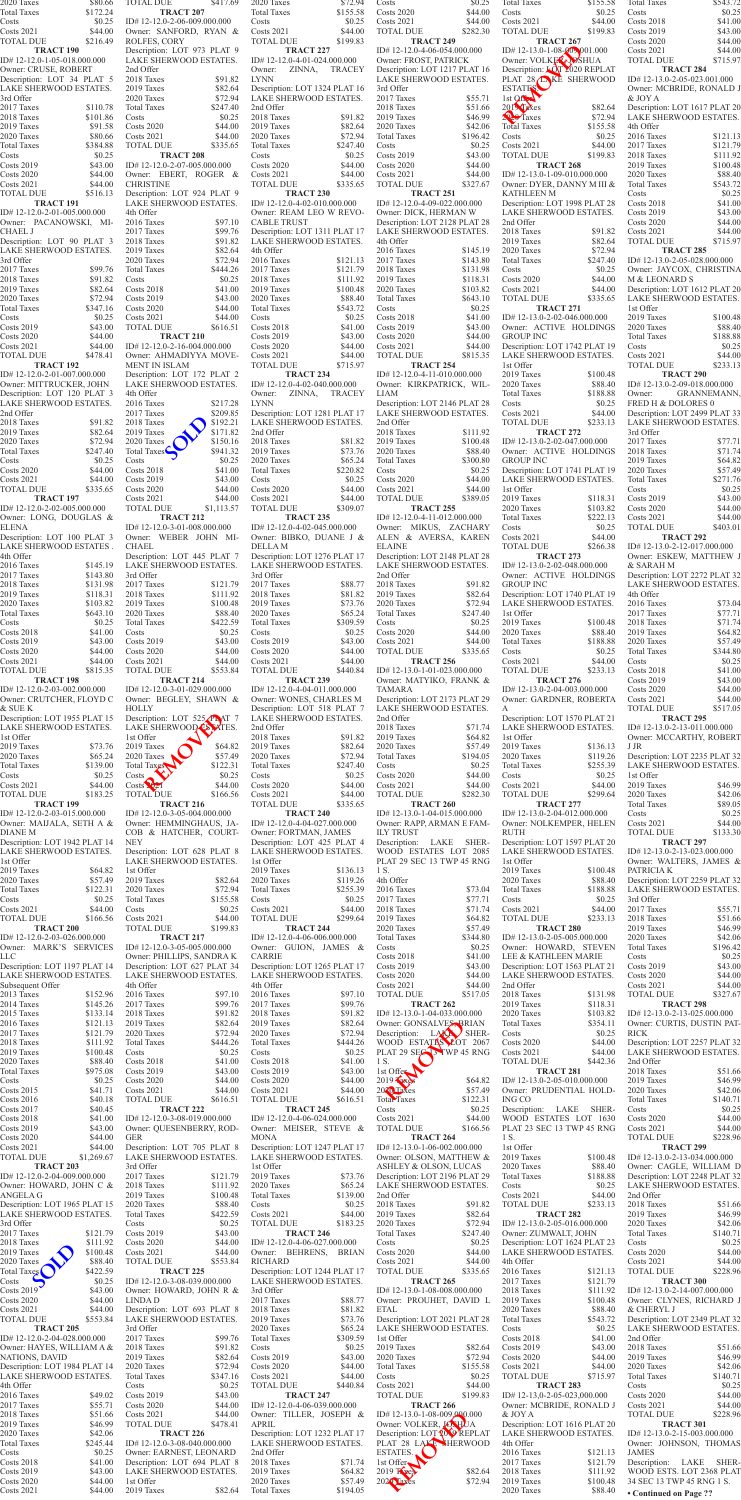| 2020 Taxes<br><b>Total Taxes</b><br>Costs                                     | \$80.66<br>\$172.24<br>\$0.25    | TOTAL DUE<br><b>TRACT 207</b><br>ID#12-12.0-2-06-009.000.000                           | \$417.69                         | 2020 Taxes<br><b>Total Taxes</b><br>Costs                                     | \$72.94<br>\$155.58<br>\$0.25  | Costs<br><b>Costs 2020</b><br><b>Costs 2021</b>                                        | \$0.25<br>\$44.00<br>\$44.00   | Total Taxes<br>Costs<br><b>Costs 2021</b>                                           | \$155.58<br>\$0.25<br>\$44.00    | Total Taxes<br>Costs<br>Costs 2018                                        | \$543.72<br>\$0.25<br>\$41.00  |
|-------------------------------------------------------------------------------|----------------------------------|----------------------------------------------------------------------------------------|----------------------------------|-------------------------------------------------------------------------------|--------------------------------|----------------------------------------------------------------------------------------|--------------------------------|-------------------------------------------------------------------------------------|----------------------------------|---------------------------------------------------------------------------|--------------------------------|
| Costs 2021<br><b>TOTAL DUE</b>                                                | \$44.00<br>\$216.49              | Owner: SANFORD, RYAN &<br>ROLFES, CORY                                                 |                                  | <b>Costs 2021</b><br><b>TOTAL DUE</b>                                         | \$44.00<br>\$199.83            | <b>TOTAL DUE</b><br><b>TRACT 249</b>                                                   | \$282.30                       | <b>TOTAL DUE</b><br>TRACT <sub>267</sub>                                            | \$199.83                         | <b>Costs 2019</b><br>Costs 2020                                           | \$43.00<br>\$44.00             |
| <b>TRACT 190</b><br>ID#12-12.0-1-05-018.000.000<br>Owner: CRUSE, ROBERT       |                                  | Description: LOT 973 PLAT 9<br>LAKE SHERWOOD ESTATES.<br>2nd Offer                     |                                  | <b>TRACT 227</b><br>ID#12-12.0-4-01-024.000.000<br>Owner: ZINNA, TRACEY       |                                | ID# 12-12.0-4-06-054.000.000<br>Owner: FROST, PATRICK<br>Description: LOT 1217 PLAT 16 |                                | ID#12-13.0-1-08-009-001.000<br>Owner: VOLKEZA OSHUA<br>Description: LOT 2020 REPLAT |                                  | <b>Costs 2021</b><br><b>TOTAL DUE</b><br><b>TRACT 284</b>                 | \$44.00<br>\$715.97            |
| Description: LOT 34 PLAT 5<br>LAKE SHERWOOD ESTATES.                          |                                  | 2018 Taxes<br>2019 Taxes                                                               | \$91.82<br>\$82.64               | <b>LYNN</b><br>Description: LOT 1324 PLAT 16                                  |                                | LAKE SHERWOOD ESTATES.<br>3rd Offer                                                    |                                | PLAT 28 LAKE SHERWOOD<br>ESTATES.                                                   |                                  | ID#12-13.0-2-05-023.001.000<br>Owner: MCBRIDE, RONALD J                   |                                |
| 3rd Offer<br>2017 Taxes<br>2018 Taxes                                         | \$110.78<br>\$101.86             | 2020 Taxes<br><b>Total Taxes</b><br>Costs                                              | \$72.94<br>\$247.40<br>\$0.25    | LAKE SHERWOOD ESTATES.<br>2nd Offer<br>2018 Taxes                             | \$91.82                        | 2017 Taxes<br>2018 Taxes<br>2019 Taxes                                                 | \$55.71<br>\$51.66<br>\$46.99  | 1st Offer<br>2019 Taxes<br>$29.0$ Taxes                                             | \$82.64<br>\$72.94               | & JOY A<br>Description: LOT 1617 PLAT 20<br><b>LAKE SHERWOOD ESTATES.</b> |                                |
| 2019 Taxes<br>2020 Taxes                                                      | \$91.58<br>\$80.66               | <b>Costs 2020</b><br><b>Costs 2021</b>                                                 | \$44.00<br>\$44.00               | 2019 Taxes<br>2020 Taxes                                                      | \$82.64<br>\$72.94             | 2020 Taxes<br><b>Total Taxes</b>                                                       | \$42.06<br>\$196.42            | <b>Total Taxes</b><br>Costs                                                         | \$155.58<br>\$0.25               | 4th Offer<br>2016 Taxes                                                   | \$121.13                       |
| <b>Total Taxes</b><br>Costs                                                   | \$384.88<br>\$0.25               | <b>TOTAL DUE</b><br><b>TRACT 208</b>                                                   | \$335.65                         | <b>Total Taxes</b><br>Costs                                                   | \$247.40<br>\$0.25             | Costs<br><b>Costs 2019</b>                                                             | \$0.25<br>\$43.00              | <b>Costs 2021</b><br><b>TOTAL DUE</b>                                               | \$44.00<br>\$199.83              | 2017 Taxes<br>2018 Taxes                                                  | \$121.79<br>\$111.92           |
| <b>Costs 2019</b><br><b>Costs 2020</b>                                        | \$43.00<br>\$44.00               | ID#12-12.0-2-07-005.000.000<br>Owner: EBERT, ROGER &<br><b>CHRISTINE</b>               |                                  | <b>Costs 2020</b><br><b>Costs 2021</b>                                        | \$44.00<br>\$44.00             | $\text{Costs } 2020$<br><b>Costs 2021</b>                                              | \$44.00<br>\$44.00             | <b>TRACT 268</b><br>ID# 12-13.0-1-09-010.000.000                                    |                                  | 2019 Taxes<br>2020 Taxes                                                  | \$100.48<br>\$88.40            |
| <b>Costs 2021</b><br><b>TOTAL DUE</b><br><b>TRACT 191</b>                     | \$44.00<br>\$516.13              | Description: LOT 924 PLAT 9<br>LAKE SHERWOOD ESTATES.                                  |                                  | <b>TOTAL DUE</b><br><b>TRACT 230</b><br>ID#12-12.0-4-02-010.000.000           | \$335.65                       | <b>TOTAL DUE</b><br>TRACT <sub>251</sub><br>ID#12-12.0-4-09-022.000.000                | \$327.67                       | Owner: DYER, DANNY M III &<br>KATHLEEN M<br>Description: LOT 1998 PLAT 28           |                                  | <b>Total Taxes</b><br>Costs<br>Costs 2018                                 | \$543.72<br>\$0.25<br>\$41.00  |
| ID#12-12.0-2-01-005.000.000<br>Owner: PACANOWSKI, MI-                         |                                  | 4th Offer<br>2016 Taxes                                                                | \$97.10                          | Owner: REAM LEO W REVO-<br><b>CABLE TRUST</b>                                 |                                | Owner: DICK, HERMAN W<br>Description: LOT 2128 PLAT 28                                 |                                | LAKE SHERWOOD ESTATES.<br>2nd Offer                                                 |                                  | <b>Costs 2019</b><br><b>Costs 2020</b>                                    | \$43.00<br>\$44.00             |
| CHAEL J<br>Description: LOT 90 PLAT 3<br>LAKE SHERWOOD ESTATES.               |                                  | 2017 Taxes<br>2018 Taxes<br>2019 Taxes                                                 | \$99.76<br>\$91.82<br>\$82.64    | Description: LOT 1311 PLAT 17<br>LAKE SHERWOOD ESTATES.<br>4th Offer          |                                | LAKE SHERWOOD ESTATES.<br>4th Offer<br>2016 Taxes                                      | \$145.19                       | 2018 Taxes<br>2019 Taxes<br>2020 Taxes                                              | \$91.82<br>\$82.64<br>\$72.94    | <b>Costs 2021</b><br><b>TOTAL DUE</b><br>TRACT <sub>285</sub>             | \$44.00<br>\$715.97            |
| 3rd Offer<br>2017 Taxes                                                       | \$99.76                          | 2020 Taxes<br><b>Total Taxes</b>                                                       | \$72.94<br>\$444.26              | 2016 Taxes<br>2017 Taxes                                                      | \$121.13<br>\$121.79           | 2017 Taxes<br>2018 Taxes                                                               | \$143.80<br>\$131.98           | <b>Total Taxes</b><br>Costs                                                         | \$247.40<br>\$0.25               | $ID# 12-13.0-2-05-028.000.000$<br>Owner: JAYCOX, CHRISTINA                |                                |
| 2018 Taxes<br>2019 Taxes                                                      | \$91.82<br>\$82.64               | Costs<br><b>Costs 2018</b>                                                             | \$0.25<br>\$41.00                | 2018 Taxes<br>2019 Taxes                                                      | \$111.92<br>\$100.48           | 2019 Taxes<br>2020 Taxes                                                               | \$118.31<br>\$103.82           | <b>Costs 2020</b><br><b>Costs 2021</b>                                              | \$44.00<br>\$44.00               | M & LEONARD S<br>Description: LOT 1612 PLAT 20                            |                                |
| 2020 Taxes<br><b>Total Taxes</b><br>Costs                                     | \$72.94<br>\$347.16<br>\$0.25    | <b>Costs 2019</b><br>Costs 2020<br><b>Costs 2021</b>                                   | \$43.00<br>\$44.00<br>\$44.00    | 2020 Taxes<br><b>Total Taxes</b><br>Costs                                     | \$88.40<br>\$543.72<br>\$0.25  | <b>Total Taxes</b><br>Costs<br><b>Costs 2018</b>                                       | \$643.10<br>\$0.25<br>\$41.00  | <b>TOTAL DUE</b><br><b>TRACT 271</b><br>ID# 12-13.0-2-02-046.000.000                | \$335.65                         | LAKE SHERWOOD ESTATES.<br>1st Offer<br>2019 Taxes                         | \$100.48                       |
| <b>Costs 2019</b><br><b>Costs 2020</b>                                        | \$43.00<br>\$44.00               | <b>TOTAL DUE</b><br><b>TRACT 210</b>                                                   | \$616.51                         | Costs 2018<br><b>Costs 2019</b>                                               | \$41.00<br>\$43.00             | <b>Costs 2019</b><br>Costs 2020                                                        | \$43.00<br>\$44.00             | Owner: ACTIVE HOLDINGS<br><b>GROUP INC</b>                                          |                                  | 2020 Taxes<br><b>Total Taxes</b>                                          | \$88.40<br>\$188.88            |
| $\text{Costs } 2021$<br><b>TOTAL DUE</b>                                      | \$44.00<br>\$478.41              | ID# $12-12.0-2-16-004.000.000$<br>Owner: AHMADIYYA MOVE-                               |                                  | <b>Costs 2020</b><br><b>Costs 2021</b>                                        | \$44.00<br>\$44.00             | <b>Costs 2021</b><br><b>TOTAL DUE</b>                                                  | \$44.00<br>\$815.35            | Description: LOT 1742 PLAT 19<br>LAKE SHERWOOD ESTATES.                             |                                  | Costs<br><b>Costs 2021</b>                                                | \$0.25<br>\$44.00              |
| <b>TRACT 192</b><br>ID#12-12.0-2-01-007.000.000<br>Owner: MITTRUCKER, JOHN    |                                  | <b>MENT IN ISLAM</b><br>Description: LOT 172 PLAT 2<br>LAKE SHERWOOD ESTATES.          |                                  | <b>TOTAL DUE</b><br>TRACT <sub>234</sub><br>ID#12-12.0-4-02-040.000.000       | \$715.97                       | <b>TRACT 254</b><br>$ID# 12-12.0-4-11-010.000.000$<br>Owner: KIRKPATRICK, WIL-         |                                | 1st Offer<br>2019 Taxes<br>2020 Taxes                                               | \$100.48<br>\$88.40              | <b>TOTAL DUE</b><br>TRACT <sub>290</sub><br>ID#12-13.0-2-09-018.000.000   | \$233.13                       |
| Description: LOT 120 PLAT 3<br>LAKE SHERWOOD ESTATES.                         |                                  | 4th Offer<br>2016 Taxes                                                                | \$217.28                         | Owner: ZINNA, TRACEY<br><b>LYNN</b>                                           |                                | LIAM<br>Description: LOT 2146 PLAT 28                                                  |                                | <b>Total Taxes</b><br>Costs                                                         | \$188.88<br>\$0.25               | <b>GRANNEMANN,</b><br>Owner:<br>FRED H & DOLORES 0                        |                                |
| 2nd Offer<br>2018 Taxes                                                       | \$91.82                          | 2017 Taxes<br>2018 Taxes                                                               | \$209.85<br>\$192.21             | Description: LOT 1281 PLAT 17<br>LAKE SHERWOOD ESTATES.                       |                                | LAKE SHERWOOD ESTATES.<br>2nd Offer<br>2018 Taxes                                      |                                | <b>Costs 2021</b><br><b>TOTAL DUE</b>                                               | \$44.00<br>\$233.13              | Description: LOT 2499 PLAT 33<br>LAKE SHERWOOD ESTATES.                   |                                |
| 2019 Taxes<br>2020 Taxes<br><b>Total Taxes</b>                                | \$82.64<br>\$72.94               | 2019 Taxes<br>2020 Taxes<br>$$247.40$ Total Taxes                                      | \$171.82<br>\$150.16<br>\$941.32 | 2nd Offer<br>2018 Taxes<br>2019 Taxes                                         | \$81.82<br>\$73.76             | 2019 Taxes<br>2020 Taxes                                                               | \$111.92<br>\$100.48           | <b>TRACT 272</b><br>ID#12-13.0-2-02-047.000.000<br>\$88.40 Owner: ACTIVE HOLDINGS   |                                  | 3rd Offer<br>2017 Taxes<br>2018 Taxes                                     | \$77.71<br>\$71.74             |
| Costs<br><b>Costs 2020</b>                                                    | \$44.00                          | Costs 2018                                                                             | \$0.25<br>\$41.00                | 2020 Taxes<br><b>Total Taxes</b>                                              | \$65.24<br>\$220.82            | <b>Total Taxes</b><br>Costs                                                            | \$300.80<br>\$0.25             | <b>GROUP INC</b><br>Description: LOT 1741 PLAT 19                                   |                                  | 2019 Taxes<br>2020 Taxes                                                  | \$64.82<br>\$57.49             |
| <b>Costs 2021</b><br><b>TOTAL DUE</b><br><b>TRACT 197</b>                     | \$44.00<br>\$335.65              | <b>Costs 2019</b><br>Costs 2020<br><b>Costs 2021</b>                                   | \$43.00<br>\$44.00<br>\$44.00    | Costs<br>Costs 2020<br><b>Costs 2021</b>                                      | \$0.25<br>\$44.00<br>\$44.00   | <b>Costs 2020</b><br>Costs 2021<br><b>TOTAL DUE</b>                                    | \$44.00<br>\$44.00<br>\$389.05 | LAKE SHERWOOD ESTATES.<br>1st Offer<br>2019 Taxes                                   | \$118.31                         | <b>Total Taxes</b><br>Costs<br><b>Costs 2019</b>                          | \$271.76<br>\$0.25<br>\$43.00  |
| ID#12-12.0-2-02-005.000.000<br>Owner: LONG, DOUGLAS &                         |                                  | <b>TOTAL DUE</b><br><b>TRACT 212</b>                                                   | \$1,113.57                       | <b>TOTAL DUE</b><br>TRACT 235                                                 | \$309.07                       | <b>TRACT 255</b><br>ID# 12-12.0-4-11-012.000.000                                       |                                | 2020 Taxes<br><b>Total Taxes</b>                                                    | \$103.82<br>\$222.13             | Costs 2020<br><b>Costs 2021</b>                                           | \$44.00<br>\$44.00             |
| ELENA<br>Description: LOT 100 PLAT 3                                          |                                  | ID# 12-12.0-3-01-008.000.000<br>Owner: WEBER JOHN MI-                                  |                                  | ID# 12-12.0-4-02-045.000.000<br>Owner: BIBKO, DUANE J &                       |                                | Owner: MIKUS, ZACHARY<br>ALEN & AVERSA, KAREN                                          |                                | Costs<br><b>Costs 2021</b>                                                          | \$0.25<br>\$44.00                | <b>TOTAL DUE</b><br>TRACT <sub>292</sub>                                  | \$403.01                       |
| LAKE SHERWOOD ESTATES .<br>4th Offer<br>2016 Taxes                            | \$145.19                         | CHAEL<br>Description: LOT 445 PLAT 7<br>LAKE SHERWOOD ESTATES.                         |                                  | DELLA M<br>Description: LOT 1276 PLAT 17<br>LAKE SHERWOOD ESTATES.            |                                | <b>ELAINE</b><br>Description: LOT 2148 PLAT 28<br>LAKE SHERWOOD ESTATES.               |                                | <b>TOTAL DUE</b><br><b>TRACT 273</b><br>ID# 12-13.0-2-02-048.000.000                | \$266.38                         | ID#12-13.0-2-12-017.000.000<br>Owner: ESKEW, MATTHEW J<br>& SARAH M       |                                |
| 2017 Taxes<br>2018 Taxes                                                      | \$143.80<br>\$131.98             | 3rd Offer<br>2017 Taxes                                                                | \$121.79                         | 3rd Offer<br>2017 Taxes                                                       | \$88.77                        | 2nd Offer<br>2018 Taxes                                                                | \$91.82                        | Owner: ACTIVE HOLDINGS<br><b>GROUP INC</b>                                          |                                  | Description: LOT 2272 PLAT 32<br>LAKE SHERWOOD ESTATES.                   |                                |
| 2019 Taxes<br>2020 Taxes                                                      | \$118.31<br>\$103.82             | 2018 Taxes<br>2019 Taxes                                                               | \$111.92<br>\$100.48             | 2018 Taxes<br>2019 Taxes                                                      | \$81.82<br>\$73.76             | 2019 Taxes<br>2020 Taxes                                                               | \$82.64<br>\$72.94             | Description: LOT 1740 PLAT 19<br>LAKE SHERWOOD ESTATES.                             |                                  | 4th Offer<br>2016 Taxes                                                   | \$73.04                        |
| <b>Total Taxes</b><br>Costs<br><b>Costs 2018</b>                              | \$643.10<br>\$0.25<br>\$41.00    | 2020 Taxes<br><b>Total Taxes</b><br>Costs                                              | \$88.40<br>\$422.59<br>\$0.25    | 2020 Taxes<br><b>Total Taxes</b><br>Costs                                     | \$65.24<br>\$309.59<br>\$0.25  | <b>Total Taxes</b><br>Costs<br>Costs 2020                                              | \$247.40<br>\$0.25<br>\$44.00  | 1st Offer<br>2019 Taxes<br>2020 Taxes                                               | \$100.48<br>\$88.40              | 2017 Taxes<br>2018 Taxes<br>2019 Taxes                                    | \$77.71<br>\$71.74<br>\$64.82  |
| <b>Costs 2019</b><br><b>Costs 2020</b>                                        | \$43.00<br>\$44.00               | <b>Costs 2019</b><br>Costs 2020                                                        | \$43.00<br>\$44.00               | Costs 2019<br>Costs 2020                                                      | \$43.00<br>\$44.00             | Costs 2021<br><b>TOTAL DUE</b>                                                         | \$44.00<br>\$335.65            | <b>Total Taxes</b><br>Costs                                                         | \$188.88<br>\$0.25               | 2020 Taxes<br><b>Total Taxes</b>                                          | \$57.49<br>\$344.80            |
| <b>Costs 2021</b><br><b>TOTAL DUE</b>                                         | \$44.00<br>\$815.35              | <b>Costs 2021</b><br><b>TOTAL DUE</b>                                                  | \$44.00<br>\$553.84              | <b>Costs 2021</b><br><b>TOTAL DUE</b>                                         | \$44.00<br>\$440.84            | <b>TRACT 256</b><br>ID#12-13.0-1-01-023.000.000                                        |                                | Costs 2021<br><b>TOTAL DUE</b>                                                      | \$44.00<br>\$233.13              | Costs<br><b>Costs 2018</b>                                                | \$0.25<br>\$41.00              |
| <b>TRACT 198</b><br>ID#12-12.0-2-03-002.000.000<br>Owner: CRUTCHER, FLOYD C   |                                  | <b>TRACT 214</b><br>ID#12-12.0-3-01-029.000.000<br>Owner: BEGLEY, SHAWN &              |                                  | <b>TRACT 239</b><br>ID#12-12.0-4-04-011.000.000<br>Owner: WONES, CHARLES M    |                                | Owner: MATYIKO, FRANK &<br><b>TAMARA</b><br>Description: LOT 2173 PLAT 29              |                                | <b>TRACT 276</b><br>ID#12-13.0-2-04-003.000.000<br>Owner: GARDNER, ROBERTA          |                                  | <b>Costs 2019</b><br><b>Costs 2020</b><br>Costs 2021                      | \$43.00<br>\$44.00<br>\$44.00  |
| & SUE K<br>Description: LOT 1955 PLAT 15                                      |                                  | <b>HOLLY</b><br>Description: LOT 525 PLAT 7                                            |                                  | Description: LOT 518 PLAT 7<br>LAKE SHERWOOD ESTATES.                         |                                | LAKE SHERWOOD ESTATES.<br>2nd Offer                                                    |                                | A<br>Description: LOT 1570 PLAT 21                                                  |                                  | <b>TOTAL DUE</b><br>TRACT <sub>295</sub>                                  | \$517.05                       |
| LAKE SHERWOOD ESTATES.<br>1st Offer                                           |                                  | LAKE SHERWOOD COMPLES.<br>1st Offer                                                    |                                  | 2nd Offer<br>2018 Taxes                                                       | \$91.82                        | 2018 Taxes<br>2019 Taxes                                                               | \$71.74<br>\$64.82             | LAKE SHERWOOD ESTATES.<br>1st Offer                                                 |                                  | ID# 12-13.0-2-13-011.000.000<br>Owner: MCCARTHY, ROBERT                   |                                |
| 2019 Taxes<br>2020 Taxes<br><b>Total Taxes</b>                                | \$73.76<br>\$65.24<br>\$139.00   | 2019 Taxes<br>2020 Taxes<br>Total Taxes                                                | \$64.82<br>\$57.49<br>\$122.31   | 2019 Taxes<br>2020 Taxes<br><b>Total Taxes</b>                                | \$82.64<br>\$72.94<br>\$247.40 | 2020 Taxes<br><b>Total Taxes</b><br>Costs                                              | \$57.49<br>\$194.05<br>\$0.25  | 2019 Taxes<br>2020 Taxes<br><b>Total Taxes</b>                                      | \$136.13<br>\$119.26<br>\$255.39 | J JR<br>Description: LOT 2235 PLAT 32<br>LAKE SHERWOOD ESTATES.           |                                |
| Costs<br><b>Costs 2021</b>                                                    | \$0.25<br>\$44.00                | Costs<br>Costs 227                                                                     | \$0.25<br>\$44.00                | Costs<br>Costs 2020                                                           | \$0.25<br>\$44.00              | $\text{Costs } 2020$<br><b>Costs 2021</b>                                              | \$44.00<br>\$44.00             | Costs<br><b>Costs 2021</b>                                                          | \$0.25<br>\$44.00                | 1st Offer<br>2019 Taxes                                                   | \$46.99                        |
| <b>TOTAL DUE</b><br><b>TRACT 199</b><br>ID#12-12.0-2-03-015.000.000           | \$183.25                         | <b>TOTAL DUE</b><br><b>TRACT 216</b><br>ID#12-12.0-3-05-004.000.000                    | \$166.56                         | <b>Costs 2021</b><br><b>TOTAL DUE</b><br>TRACT <sub>240</sub>                 | \$44.00<br>\$335.65            | <b>TOTAL DUE</b><br><b>TRACT 260</b><br>ID# 12-13.0-1-04-015.000.000                   | \$282.30                       | <b>TOTAL DUE</b><br><b>TRACT 277</b><br>ID# 12-13.0-2-04-012.000.000                | \$299.64                         | 2020 Taxes<br><b>Total Taxes</b><br>Costs                                 | \$42.06<br>\$89.05<br>\$0.25   |
| Owner: MAIJALA, SETH A &<br>DIANE M                                           |                                  | Owner: HEMMINGHAUS, JA-<br>COB & HATCHER, COURT-                                       |                                  | ID#12-12.0-4-04-027.000.000<br>Owner: FORTMAN, JAMES                          |                                | Owner: RAPP, ARMAN E FAM-<br><b>ILY TRUST</b>                                          |                                | Owner: NOLKEMPER, HELEN<br>RUTH                                                     |                                  | <b>Costs 2021</b><br><b>TOTAL DUE</b>                                     | \$44.00<br>\$133.30            |
| Description: LOT 1942 PLAT 14<br>LAKE SHERWOOD ESTATES.                       |                                  | <b>NEY</b><br>Description: LOT 628 PLAT 8                                              |                                  | Description: LOT 425 PLAT 4<br>LAKE SHERWOOD ESTATES.                         |                                | Description: LAKE SHER-<br>WOOD ESTATES LOT 2085                                       |                                | Description: LOT 1597 PLAT 20<br>LAKE SHERWOOD ESTATES.                             |                                  | <b>TRACT 297</b><br>ID# 12-13.0-2-13-023.000.000                          |                                |
| 1st Offer<br>2019 Taxes<br>2020 Taxes                                         | \$64.82<br>\$57.49               | LAKE SHERWOOD ESTATES.<br>1st Offer<br>2019 Taxes                                      | \$82.64                          | 1st Offer<br>2019 Taxes<br>2020 Taxes                                         | \$136.13<br>\$119.26           | PLAT 29 SEC 13 TWP 45 RNG<br>1 S.<br>4th Offer                                         |                                | 1st Offer<br>2019 Taxes<br>2020 Taxes                                               | \$100.48<br>\$88.40              | Owner: WALTERS, JAMES &<br>PATRICIA K<br>Description: LOT 2259 PLAT 32    |                                |
| <b>Total Taxes</b><br>Costs                                                   | \$122.31                         | 2020 Taxes<br>\$0.25 Total Taxes                                                       | \$72.94<br>\$155.58              | <b>Total Taxes</b><br>Costs                                                   | \$255.39<br>\$0.25             | 2016 Taxes<br>2017 Taxes                                                               | \$73.04<br>\$77.71             | <b>Total Taxes</b><br>Costs                                                         | \$188.88                         | LAKE SHERWOOD ESTATES.<br>$$0.25$ 3rd Offer                               |                                |
| <b>Costs 2021</b><br><b>TOTAL DUE</b>                                         | \$44.00<br>\$166.56              | Costs<br><b>Costs 2021</b>                                                             | \$0.25<br>\$44.00                | <b>Costs 2021</b><br><b>TOTAL DUE</b>                                         | \$44.00<br>\$299.64            | 2018 Taxes<br>2019 Taxes                                                               | \$71.74<br>\$64.82             | <b>Costs 2021</b><br><b>TOTAL DUE</b>                                               | \$44.00<br>\$233.13              | 2017 Taxes<br>2018 Taxes                                                  | \$55.71<br>\$51.66             |
| TRACT <sub>200</sub><br>ID#12-12.0-2-03-026.000.000<br>Owner: MARK'S SERVICES |                                  | <b>TOTAL DUE</b><br><b>TRACT 217</b><br>ID#12-12.0-3-05-005.000.000                    | \$199.83                         | <b>TRACT 244</b><br>ID#12-12.0-4-06-006.000.000<br>Owner: GUION, JAMES &      |                                | 2020 Taxes<br><b>Total Taxes</b><br>Costs                                              | \$57.49<br>\$344.80<br>\$0.25  | TRACT <sub>280</sub><br>ID#12-13.0-2-05-005.000.000<br>Owner: HOWARD, STEVEN        |                                  | 2019 Taxes<br>2020 Taxes<br><b>Total Taxes</b>                            | \$46.99<br>\$42.06<br>\$196.42 |
| LLC<br>Description: LOT 1197 PLAT 14                                          |                                  | Owner: PHILLIPS, SANDRA K<br>Description: LOT 627 PLAT 34                              |                                  | CARRIE<br>Description: LOT 1265 PLAT 17                                       |                                | <b>Costs 2018</b><br><b>Costs 2019</b>                                                 | \$41.00<br>\$43.00             | LEE & KATHLEEN MARIE<br>Description: LOT 1563 PLAT 21                               |                                  | Costs<br><b>Costs 2019</b>                                                | \$0.25<br>\$43.00              |
| LAKE SHERWOOD ESTATES.<br>Subsequent Offer                                    |                                  | LAKE SHERWOOD ESTATES.<br>4th Offer                                                    |                                  | LAKE SHERWOOD ESTATES.<br>4th Offer                                           | \$97.10                        | Costs 2020<br><b>Costs 2021</b>                                                        | \$44.00<br>\$44.00             | LAKE SHERWOOD ESTATES.<br>2nd Offer                                                 |                                  | Costs 2020<br><b>Costs 2021</b>                                           | \$44.00<br>\$44.00             |
| 2013 Taxes<br>2014 Taxes<br>2015 Taxes                                        | \$152.96<br>\$145.26<br>\$133.14 | 2016 Taxes<br>2017 Taxes<br>2018 Taxes                                                 | \$97.10<br>\$99.76<br>\$91.82    | 2016 Taxes<br>2017 Taxes<br>2018 Taxes                                        | \$99.76<br>\$91.82             | <b>TOTAL DUE</b><br><b>TRACT 262</b><br>ID# 12-13.0-1-04-033.000.000                   | \$517.05                       | 2018 Taxes<br>2019 Taxes<br>2020 Taxes                                              | \$131.98<br>\$118.31<br>\$103.82 | <b>TOTAL DUE</b><br><b>TRACT 298</b><br>ID#12-13.0-2-13-025.000.000       | \$327.67                       |
| 2016 Taxes<br>2017 Taxes                                                      | \$121.13<br>\$121.79             | 2019 Taxes<br>2020 Taxes                                                               | \$82.64<br>\$72.94               | 2019 Taxes<br>2020 Taxes                                                      | \$82.64<br>\$72.94             | Owner: GONSALVES, BRIAN<br>Description: LAK SHER-                                      |                                | <b>Total Taxes</b><br>Costs                                                         | \$354.11<br>\$0.25               | Owner: CURTIS, DUSTIN PAT-<br><b>RICK</b>                                 |                                |
| 2018 Taxes<br>2019 Taxes<br>2020 Taxes                                        | \$111.92<br>\$100.48<br>\$88.40  | <b>Total Taxes</b><br>Costs<br>Costs 2018                                              | \$444.26<br>\$0.25<br>\$41.00    | <b>Total Taxes</b><br>Costs<br>Costs 2018                                     | \$444.26<br>\$0.25<br>\$41.00  | WOOD ESTATES 2007 2067<br>PLAT 29 SECTS TWP 45 RNG<br>1 S.                             |                                | <b>Costs 2020</b><br><b>Costs 2021</b><br><b>TOTAL DUE</b>                          | \$44.00<br>\$44.00<br>\$442.36   | Description: LOT 2257 PLAT 32<br>LAKE SHERWOOD ESTATES.<br>2nd Offer      |                                |
| <b>Total Taxes</b><br>Costs                                                   | \$975.08<br>\$0.25               | <b>Costs 2019</b><br>Costs 2020                                                        | \$43.00<br>\$44.00               | <b>Costs 2019</b><br><b>Costs 2020</b>                                        | \$43.00<br>\$44.00             | 1st Offer<br>2019 Fax ps                                                               | \$64.82                        | <b>TRACT 281</b><br>$ID# 12-13.0-2-05-010.000.000$                                  |                                  | 2018 Taxes<br>2019 Taxes                                                  | \$51.66<br>\$46.99             |
| <b>Costs 2015</b><br><b>Costs 2016</b>                                        | \$41.71<br>\$40.18               | Costs 2021<br><b>TOTAL DUE</b>                                                         | \$44.00<br>\$616.51              | <b>Costs 2021</b><br><b>TOTAL DUE</b>                                         | \$44.00<br>\$616.51            | 2020 Taxes<br>Total Taxes                                                              | \$57.49<br>\$122.31            | Owner: PRUDENTIAL HOLD-<br>ING CO                                                   |                                  | 2020 Taxes<br><b>Total Taxes</b>                                          | \$42.06<br>\$140.71            |
| <b>Costs 2017</b><br><b>Costs 2018</b><br><b>Costs 2019</b>                   | \$40.45<br>\$41.00<br>\$43.00    | TRACT <sub>222</sub><br>ID#12-12.0-3-08-019.000.000<br>Owner: QUESENBERRY, ROD-        |                                  | TRACT <sub>245</sub><br>ID#12-12.0-4-06-024.000.000<br>Owner: MEISER, STEVE & |                                | Costs<br><b>Costs 2021</b><br><b>TOTAL DUE</b>                                         | \$0.25<br>\$44.00<br>\$166.56  | Description: LAKE SHER-<br>WOOD ESTATES LOT 1630<br>PLAT 23 SEC 13 TWP 45 RNG       |                                  | Costs<br>$\text{Costs } 2020$<br><b>Costs 2021</b>                        | \$0.25<br>\$44.00<br>\$44.00   |
| <b>Costs 2020</b><br>$\text{Costs } 2021$                                     | \$44.00<br>\$44.00               | <b>GER</b><br>Description: LOT 705 PLAT 8                                              |                                  | <b>MONA</b><br>Description: LOT 1247 PLAT 17                                  |                                | TRACT <sub>264</sub><br>ID#12-13.0-1-06-002.000.000                                    |                                | 1 S.<br>1st Offer                                                                   |                                  | <b>TOTAL DUE</b><br><b>TRACT 299</b>                                      | \$228.96                       |
| <b>TOTAL DUE</b><br>TRACT <sub>203</sub>                                      | \$1,269.67                       | LAKE SHERWOOD ESTATES.<br>3rd Offer                                                    |                                  | LAKE SHERWOOD ESTATES.<br>1st Offer                                           |                                | Owner: OLSON, MATTHEW &<br>ASHLEY & OLSON, LUCAS                                       |                                | 2019 Taxes<br>2020 Taxes                                                            | \$100.48<br>\$88.40              | ID# 12-13.0-2-13-034.000.000<br>Owner: CAGLE, WILLIAM D                   |                                |
| ID#12-12.0-2-04-009.000.000<br>Owner: HOWARD, JOHN C &<br>ANGELA G            |                                  | 2017 Taxes<br>2018 Taxes<br>2019 Taxes                                                 | \$121.79<br>\$111.92<br>\$100.48 | 2019 Taxes<br>2020 Taxes<br><b>Total Taxes</b>                                | \$73.76<br>\$65.24<br>\$139.00 | Description: LOT 2196 PLAT 29<br>LAKE SHERWOOD ESTATES.<br>2nd Offer                   |                                | <b>Total Taxes</b><br>Costs<br><b>Costs 2021</b>                                    | \$188.88<br>\$0.25<br>\$44.00    | Description: LOT 2248 PLAT 32<br>LAKE SHERWOOD ESTATES.<br>2nd Offer      |                                |
| Description: LOT 1965 PLAT 15<br>LAKE SHERWOOD ESTATES.                       |                                  | 2020 Taxes<br><b>Total Taxes</b>                                                       | \$88.40<br>\$422.59              | Costs<br>Costs 2021                                                           | \$0.25<br>\$44.00              | 2018 Taxes<br>2019 Taxes                                                               | \$91.82<br>\$82.64             | TOTAL DUE<br><b>TRACT 282</b>                                                       | \$233.13                         | 2018 Taxes<br>2019 Taxes                                                  | \$51.66<br>\$46.99             |
| 3rd Offer<br>2017 Taxes                                                       | \$121.79                         | Costs<br><b>Costs 2019</b>                                                             | \$0.25<br>\$43.00                | <b>TOTAL DUE</b><br><b>TRACT 246</b>                                          | \$183.25                       | 2020 Taxes<br><b>Total Taxes</b>                                                       | \$72.94<br>\$247.40            | ID#12-13.0-2-05-016.000.000<br>Owner: ZUMWALT, JOHN                                 |                                  | 2020 Taxes<br><b>Total Taxes</b>                                          | \$42.06<br>\$140.71            |
| 2018 Taxes<br>2019 Taxes<br>2020 Taxes                                        | \$111.92<br>\$100.48<br>\$88.40  | Costs 2020<br><b>Costs 2021</b><br><b>TOTAL DUE</b>                                    | \$44.00<br>\$44.00<br>\$553.84   | ID#12-12.0-4-06-027.000.000<br>Owner: BEHRENS, BRIAN<br><b>RICHARD</b>        |                                | Costs<br><b>Costs 2020</b><br><b>Costs 2021</b>                                        | \$0.25<br>\$44.00<br>\$44.00   | Description: LOT 1624 PLAT 23<br>LAKE SHERWOOD ESTATES.<br>4th Offer                |                                  | Costs<br>Costs 2020<br><b>Costs 2021</b>                                  | \$0.25<br>\$44.00<br>\$44.00   |
| Total Taxes<br>Costs                                                          | \$422.59<br>\$0.25               | <b>TRACT 225</b><br>ID# 12-12.0-3-08-039.000.000                                       |                                  | Description: LOT 1244 PLAT 17<br>LAKE SHERWOOD ESTATES.                       |                                | <b>TOTAL DUE</b><br><b>TRACT 265</b>                                                   | \$335.65                       | 2016 Taxes<br>2017 Taxes                                                            | \$121.13<br>\$121.79             | <b>TOTAL DUE</b><br>TRACT 300                                             | \$228.96                       |
| $\text{Costs } 2019$<br><b>Costs 2020</b>                                     | \$43.00<br>\$44.00               | Owner: HOWARD, JOHN R &<br>LINDA D                                                     |                                  | 3rd Offer<br>2017 Taxes                                                       | \$88.77                        | ID# 12-13.0-1-08-008.000.000<br>Owner: PROUHET, DAVID L                                |                                | 2018 Taxes<br>2019 Taxes                                                            | \$111.92<br>\$100.48             | ID# $12-13.0-2-14-007.000.000$<br>Owner: CLYNES, RICHARD J                |                                |
| <b>Costs 2021</b><br><b>TOTAL DUE</b><br><b>TRACT 205</b>                     | \$44.00<br>\$553.84              | Description: LOT 693 PLAT 8<br>LAKE SHERWOOD ESTATES.<br>3rd Offer                     |                                  | 2018 Taxes<br>2019 Taxes<br>2020 Taxes                                        | \$81.82<br>\$73.76<br>\$65.24  | ETAL<br>Description: LOT 2021 PLAT 28<br>LAKE SHERWOOD ESTATES.                        |                                | 2020 Taxes<br><b>Total Taxes</b><br>Costs                                           | \$88.40<br>\$543.72<br>\$0.25    | & CHERYL J<br>Description: LOT 2349 PLAT 32<br>LAKE SHERWOOD ESTATES.     |                                |
| ID#12-12.0-2-04-028.000.000<br>Owner: HAYES, WILLIAM A &                      |                                  | 2017 Taxes<br>2018 Taxes                                                               | \$99.76<br>\$91.82               | <b>Total Taxes</b><br>Costs                                                   | \$309.59<br>\$0.25             | 1st Offer<br>2019 Taxes                                                                | \$82.64                        | Costs 2018<br><b>Costs 2019</b>                                                     | \$41.00<br>\$43.00               | 2nd Offer<br>2018 Taxes                                                   | \$51.66                        |
| NATIONS, DAVID<br>Description: LOT 1984 PLAT 14                               |                                  | 2019 Taxes<br>2020 Taxes                                                               | \$82.64<br>\$72.94               | Costs 2019<br><b>Costs 2020</b>                                               | \$43.00<br>\$44.00             | 2020 Taxes<br><b>Total Taxes</b>                                                       | \$72.94<br>\$155.58            | Costs 2020<br>Costs 2021                                                            | \$44.00<br>\$44.00               | 2019 Taxes<br>2020 Taxes                                                  | \$46.99<br>\$42.06             |
| LAKE SHERWOOD ESTATES.<br>4th Offer<br>2016 Taxes                             | \$49.02                          | <b>Total Taxes</b><br>Costs<br><b>Costs 2019</b>                                       | \$347.16<br>\$0.25<br>\$43.00    | <b>Costs 2021</b><br><b>TOTAL DUE</b><br><b>TRACT 247</b>                     | \$44.00<br>\$440.84            | Costs<br>Costs 2021<br><b>TOTAL DUE</b>                                                | \$0.25<br>\$44.00<br>\$199.83  | <b>TOTAL DUE</b><br><b>TRACT 283</b><br>ID# 12-13,0-2-05-023,000.000                | \$715.97                         | <b>Total Taxes</b><br>Costs<br><b>Costs 2020</b>                          | \$140.71<br>\$0.25<br>\$44.00  |
| 2017 Taxes<br>2018 Taxes                                                      | \$55.71<br>\$51.66               | <b>Costs 2020</b><br><b>Costs 2021</b>                                                 | \$44.00<br>\$44.00               | ID#12-12.0-4-06-039.000.000<br>Owner: TILLER, JOSEPH &                        |                                | <b>TRACT 266</b><br>ID#12-13.0-1-08-009.000.000                                        |                                | Owner: MCBRIDE, RONALD J<br>& JOY A                                                 |                                  | Costs 2021<br><b>TOTAL DUE</b>                                            | \$44.00<br>\$228.96            |
| 2019 Taxes<br>2020 Taxes                                                      | \$46.99<br>\$42.06               | <b>TOTAL DUE</b><br>TRACT <sub>226</sub>                                               | \$478.41                         | <b>APRIL</b><br>Description: LOT 1232 PLAT 17                                 |                                | Owner: VOLKER, JONHUA<br>Description: LOT <b>10 O</b> REPLAT                           |                                | Description: LOT 1616 PLAT 20<br>LAKE SHERWOOD ESTATES.                             |                                  | <b>TRACT 301</b><br>ID# 12-13.0-2-15-003.000.000                          |                                |
| <b>Total Taxes</b><br>Costs<br><b>Costs 2018</b>                              | \$245.44<br>\$0.25<br>\$41.00    | ID# 12-12.0-3-08-040.000.000<br>Owner: EARNEST, LEONARD<br>Description: LOT 694 PLAT 8 |                                  | LAKE SHERWOOD ESTATES.<br>2nd Offer<br>2018 Taxes                             | \$71.74                        | PLAT 28 LAKE SHERWOOD<br><b>ESTATES.</b><br>1st Offer                                  |                                | 4th Offer<br>2016 Taxes<br>2017 Taxes                                               | \$121.13<br>\$121.79             | Owner: JOHNSON, THOMAS<br>JAMES<br>Description: LAKE                      | SHER-                          |
| <b>Costs 2019</b><br><b>Costs 2020</b>                                        | \$43.00<br>\$44.00               | LAKE SHERWOOD ESTATES.<br>1st Offer                                                    |                                  | 2019 Taxes<br>2020 Taxes                                                      | \$64.82<br>\$57.49             | 2019 Trees<br>2024 Taxes                                                               | \$82.64<br>\$72.94             | 2018 Taxes<br>2019 Taxes                                                            | \$111.92<br>\$100.48             | WOOD ESTS. LOT 2368 PLAT<br>34 SEC 13 TWP 45 RNG 1 S.                     |                                |
| <b>Costs 2021</b>                                                             | \$44.00                          | 2019 Taxes                                                                             | \$82.64                          | <b>Total Taxes</b>                                                            | \$194.05                       | C                                                                                      |                                | 2020 Taxes                                                                          | \$88.40                          | • Continued on Page ??                                                    |                                |